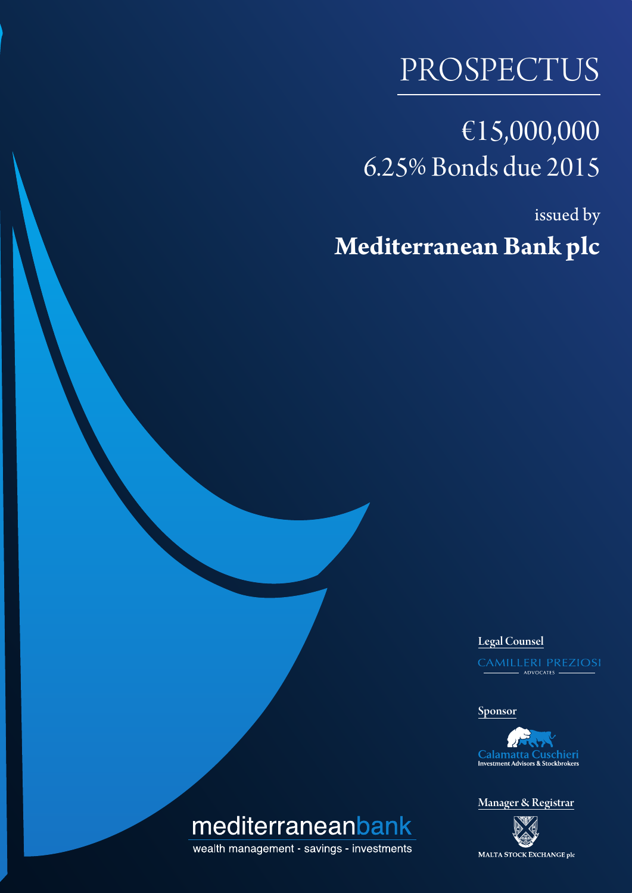# PROSPECTUS

€15,000,000 6.25% Bonds due 2015

issued by **Mediterranean Bank plc**

Legal Counsel

ADVOCATES

Sponsor



Manager & Registrar



# mediterraneanbank

wealth management - savings - investments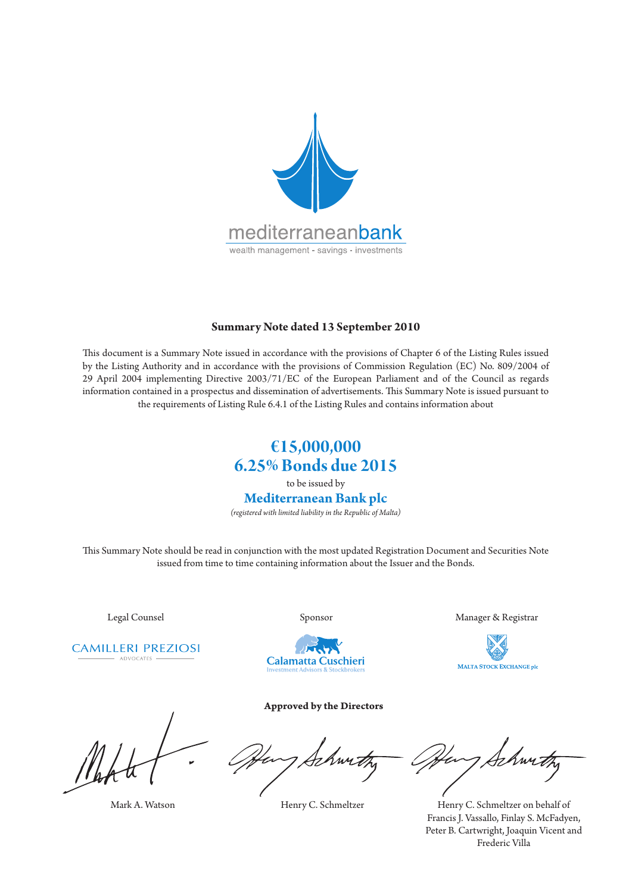

# **Summary Note dated 13 September 2010**

This document is a Summary Note issued in accordance with the provisions of Chapter 6 of the Listing Rules issued by the Listing Authority and in accordance with the provisions of Commission Regulation (EC) No. 809/2004 of 29 April 2004 implementing Directive 2003/71/EC of the European Parliament and of the Council as regards information contained in a prospectus and dissemination of advertisements. This Summary Note is issued pursuant to the requirements of Listing Rule 6.4.1 of the Listing Rules and contains information about

# **€15,000,000 6.25% Bonds due 2015**  to be issued by **Mediterranean Bank plc**

*(registered with limited liability in the Republic of Malta)*

This Summary Note should be read in conjunction with the most updated Registration Document and Securities Note issued from time to time containing information about the Issuer and the Bonds.

Legal Counsel Sponsor Manager & Registrar

**CAMILLERI PREZIOSI** ADVOCATES

**Calamatta Cuschieri** 

**Approved by the Directors**

**MALTA STOCK EXCHANGE plc** 

Mark A. Watson

Henry C. Schmeltzer Henry C. Schmeltzer on behalf of Francis J. Vassallo, Finlay S. McFadyen, Peter B. Cartwright, Joaquin Vicent and Frederic Villa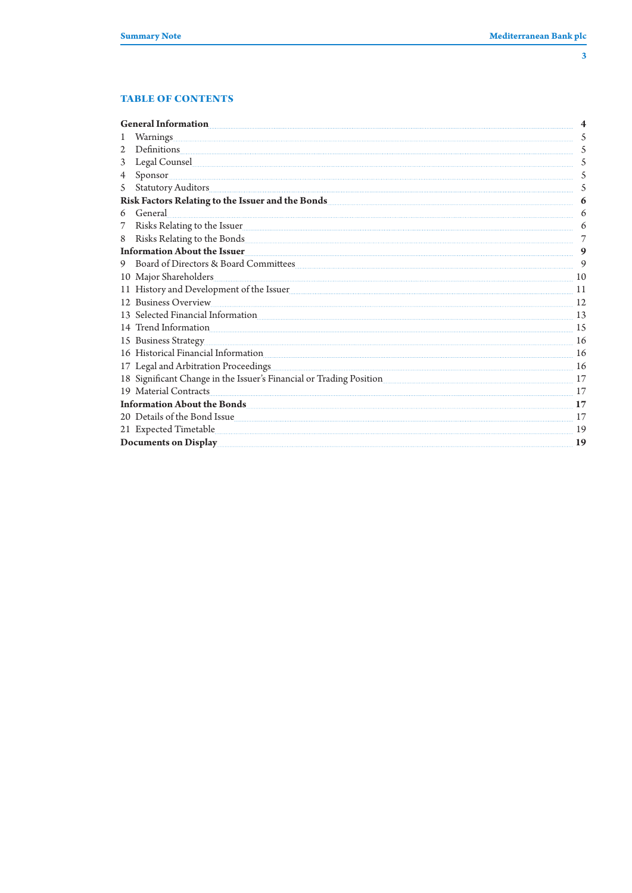# **Table of Contents**

| General Information                                                                                                                                                                                                                                                                                                                                                                                                                                                                                                                                                 | $\overline{\mathbf{4}}$ |
|---------------------------------------------------------------------------------------------------------------------------------------------------------------------------------------------------------------------------------------------------------------------------------------------------------------------------------------------------------------------------------------------------------------------------------------------------------------------------------------------------------------------------------------------------------------------|-------------------------|
| Warnings<br>1                                                                                                                                                                                                                                                                                                                                                                                                                                                                                                                                                       | 5                       |
| Definitions<br>2                                                                                                                                                                                                                                                                                                                                                                                                                                                                                                                                                    | 5                       |
| Legal Counsel and Counsel and Counsel and Counsel and Counsel and Counsel and Counsel and Counsel and Counsel and Counsel and Counsel and Counsel and Counsel and Counsel and Counsel and Counsel and Counsel and Counsel and<br>3                                                                                                                                                                                                                                                                                                                                  | 5                       |
| $\texttt{Sponsor}\textcolor{red}{.\textcolor{blue}{\sum_{\textcolor{blue}{\mu_{\textcolor{blue}{\mu_{\textcolor{blue}{\mu_{\textcolor{blue}{\mu_{\textcolor{blue}{\mu_{\textcolor{blue}{\mu_{\textcolor{blue}{\mu_{\textcolor{blue}{\mu_{\textcolor{blue}{\mu_{\textcolor{blue}{\mu_{\textcolor{blue}{\mu_{\textcolor{blue}{\mu_{\textcolor{blue}{\mu_{\textcolor{blue}{\mu_{\textcolor{blue}{\mu_{\textcolor{blue}{\mu_{\textcolor{blue}{\mu_{\textcolor{blue}{\nu_{\textcolor{blue}{\nu_{\textcolor{blue}{\nu_{\textcolor{blue}{\nu_{\textcolor{blue}{\nu_{$<br>4 | 5                       |
| 5 Statutory Auditors                                                                                                                                                                                                                                                                                                                                                                                                                                                                                                                                                | 5                       |
| Risk Factors Relating to the Issuer and the Bonds                                                                                                                                                                                                                                                                                                                                                                                                                                                                                                                   | 6                       |
| 6 General                                                                                                                                                                                                                                                                                                                                                                                                                                                                                                                                                           | 6                       |
| Risks Relating to the Issuer<br>7                                                                                                                                                                                                                                                                                                                                                                                                                                                                                                                                   | 6                       |
| 8                                                                                                                                                                                                                                                                                                                                                                                                                                                                                                                                                                   | 7                       |
| Information About the Issuer                                                                                                                                                                                                                                                                                                                                                                                                                                                                                                                                        | 9                       |
| 9 Board of Directors & Board Committees                                                                                                                                                                                                                                                                                                                                                                                                                                                                                                                             | 9                       |
| 10 Major Shareholders <b>March 2018</b> 10 Major Shareholders <b>March 2019</b>                                                                                                                                                                                                                                                                                                                                                                                                                                                                                     | 10                      |
| 11 History and Development of the Issuer                                                                                                                                                                                                                                                                                                                                                                                                                                                                                                                            | 11                      |
| 12 Business Overview                                                                                                                                                                                                                                                                                                                                                                                                                                                                                                                                                | 12                      |
| 13 Selected Financial Information                                                                                                                                                                                                                                                                                                                                                                                                                                                                                                                                   | 13                      |
| 14 Trend Information                                                                                                                                                                                                                                                                                                                                                                                                                                                                                                                                                | 15                      |
| 15 Business Strategy                                                                                                                                                                                                                                                                                                                                                                                                                                                                                                                                                | 16                      |
| 16 Historical Financial Information                                                                                                                                                                                                                                                                                                                                                                                                                                                                                                                                 | 16                      |
| 17 Legal and Arbitration Proceedings                                                                                                                                                                                                                                                                                                                                                                                                                                                                                                                                | 16                      |
| 18 Significant Change in the Issuer's Financial or Trading Position                                                                                                                                                                                                                                                                                                                                                                                                                                                                                                 | 17                      |
| 19 Material Contracts                                                                                                                                                                                                                                                                                                                                                                                                                                                                                                                                               | 17                      |
| Information About the Bonds                                                                                                                                                                                                                                                                                                                                                                                                                                                                                                                                         | 17                      |
| 20 Details of the Bond Issue                                                                                                                                                                                                                                                                                                                                                                                                                                                                                                                                        | 17                      |
| 21 Expected Timetable                                                                                                                                                                                                                                                                                                                                                                                                                                                                                                                                               | 19                      |
| Documents on Display                                                                                                                                                                                                                                                                                                                                                                                                                                                                                                                                                | 19                      |
|                                                                                                                                                                                                                                                                                                                                                                                                                                                                                                                                                                     |                         |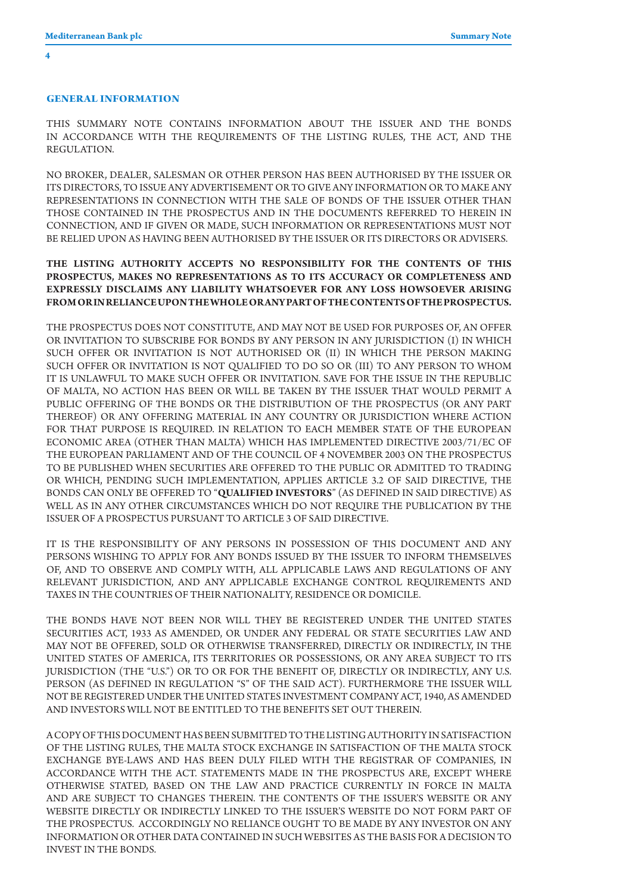#### **GENERAL INFORMATION**

THIS SUMMARY NOTE CONTAINS INFORMATION ABOUT THE ISSUER AND THE BONDS IN ACCORDANCE WITH THE REQUIREMENTS OF THE LISTING RULES, THE ACT, AND THE REGULATION.

NO BROKER, DEALER, SALESMAN OR OTHER PERSON HAS BEEN AUTHORISED BY THE ISSUER OR ITS DIRECTORS, TO ISSUE ANY ADVERTISEMENT OR TO GIVE ANY INFORMATION OR TO MAKE ANY REPRESENTATIONS IN CONNECTION WITH THE SALE OF BONDS OF THE ISSUER OTHER THAN THOSE CONTAINED IN THE PROSPECTUS AND IN THE DOCUMENTS REFERRED TO HEREIN IN CONNECTION, AND IF GIVEN OR MADE, SUCH INFORMATION OR REPRESENTATIONS MUST NOT BE RELIED UPON AS HAVING BEEN AUTHORISED BY THE ISSUER OR ITS DIRECTORS OR ADVISERS.

## **THE LISTING AUTHORITY ACCEPTS NO RESPONSIBILITY FOR THE CONTENTS OF THIS PROSPECTUS, MAKES NO REPRESENTATIONS AS TO ITS ACCURACY OR COMPLETENESS AND EXPRESSLY DISCLAIMS ANY LIABILITY WHATSOEVER FOR ANY LOSS HOWSOEVER ARISING FROM OR IN RELIANCE UPON THE WHOLE OR ANY PART OF THE CONTENTS OF THE PROSPECTUS.**

THE PROSPECTUS DOES NOT CONSTITUTE, AND MAY NOT BE USED FOR PURPOSES OF, AN OFFER OR INVITATION TO SUBSCRIBE FOR BONDS BY ANY PERSON IN ANY JURISDICTION (I) IN WHICH SUCH OFFER OR INVITATION IS NOT AUTHORISED OR (II) IN WHICH THE PERSON MAKING SUCH OFFER OR INVITATION IS NOT QUALIFIED TO DO SO OR (III) TO ANY PERSON TO WHOM IT IS UNLAWFUL TO MAKE SUCH OFFER OR INVITATION. SAVE FOR THE ISSUE IN THE REPUBLIC OF MALTA, NO ACTION HAS BEEN OR WILL BE TAKEN BY THE ISSUER THAT WOULD PERMIT A PUBLIC OFFERING OF THE BONDS OR THE DISTRIBUTION OF THE PROSPECTUS (OR ANY PART THEREOF) OR ANY OFFERING MATERIAL IN ANY COUNTRY OR JURISDICTION WHERE ACTION FOR THAT PURPOSE IS REQUIRED. IN RELATION TO EACH MEMBER STATE OF THE EUROPEAN ECONOMIC AREA (OTHER THAN MALTA) WHICH HAS IMPLEMENTED DIRECTIVE 2003/71/EC OF THE EUROPEAN PARLIAMENT AND OF THE COUNCIL OF 4 NOVEMBER 2003 ON THE PROSPECTUS TO BE PUBLISHED WHEN SECURITIES ARE OFFERED TO THE PUBLIC OR ADMITTED TO TRADING OR WHICH, PENDING SUCH IMPLEMENTATION, APPLIES ARTICLE 3.2 OF SAID DIRECTIVE, THE BONDS CAN ONLY BE OFFERED TO "**QUALIFIED INVESTORS**" (AS DEFINED IN SAID DIRECTIVE) AS WELL AS IN ANY OTHER CIRCUMSTANCES WHICH DO NOT REQUIRE THE PUBLICATION BY THE ISSUER OF A PROSPECTUS PURSUANT TO ARTICLE 3 OF SAID DIRECTIVE.

IT IS THE RESPONSIBILITY OF ANY PERSONS IN POSSESSION OF THIS DOCUMENT AND ANY PERSONS WISHING TO APPLY FOR ANY BONDS ISSUED BY THE ISSUER TO INFORM THEMSELVES OF, AND TO OBSERVE AND COMPLY WITH, ALL APPLICABLE LAWS AND REGULATIONS OF ANY RELEVANT JURISDICTION, AND ANY APPLICABLE EXCHANGE CONTROL REQUIREMENTS AND TAXES IN THE COUNTRIES OF THEIR NATIONALITY, RESIDENCE OR DOMICILE.

THE BONDS HAVE NOT BEEN NOR WILL THEY BE REGISTERED UNDER THE UNITED STATES SECURITIES ACT, 1933 AS AMENDED, OR UNDER ANY FEDERAL OR STATE SECURITIES LAW AND MAY NOT BE OFFERED, SOLD OR OTHERWISE TRANSFERRED, DIRECTLY OR INDIRECTLY, IN THE UNITED STATES OF AMERICA, ITS TERRITORIES OR POSSESSIONS, OR ANY AREA SUBJECT TO ITS JURISDICTION (THE "U.S.") OR TO OR FOR THE BENEFIT OF, DIRECTLY OR INDIRECTLY, ANY U.S. PERSON (AS DEFINED IN REGULATION "S" OF THE SAID ACT). FURTHERMORE THE ISSUER WILL NOT BE REGISTERED UNDER THE UNITED STATES INVESTMENT COMPANY ACT, 1940, AS AMENDED AND INVESTORS WILL NOT BE ENTITLED TO THE BENEFITS SET OUT THEREIN.

A COPY OF THIS DOCUMENT HAS BEEN SUBMITTED TO THE LISTING AUTHORITY IN SATISFACTION OF THE LISTING RULES, THE MALTA STOCK EXCHANGE IN SATISFACTION OF THE MALTA STOCK EXCHANGE BYE-LAWS AND HAS BEEN DULY FILED WITH THE REGISTRAR OF COMPANIES, IN ACCORDANCE WITH THE ACT. STATEMENTS MADE IN THE PROSPECTUS ARE, EXCEPT WHERE OTHERWISE STATED, BASED ON THE LAW AND PRACTICE CURRENTLY IN FORCE IN MALTA AND ARE SUBJECT TO CHANGES THEREIN. THE CONTENTS OF THE ISSUER'S WEBSITE OR ANY WEBSITE DIRECTLY OR INDIRECTLY LINKED TO THE ISSUER'S WEBSITE DO NOT FORM PART OF THE PROSPECTUS. ACCORDINGLY NO RELIANCE OUGHT TO BE MADE BY ANY INVESTOR ON ANY INFORMATION OR OTHER DATA CONTAINED IN SUCH WEBSITES AS THE BASIS FOR A DECISION TO INVEST IN THE BONDS.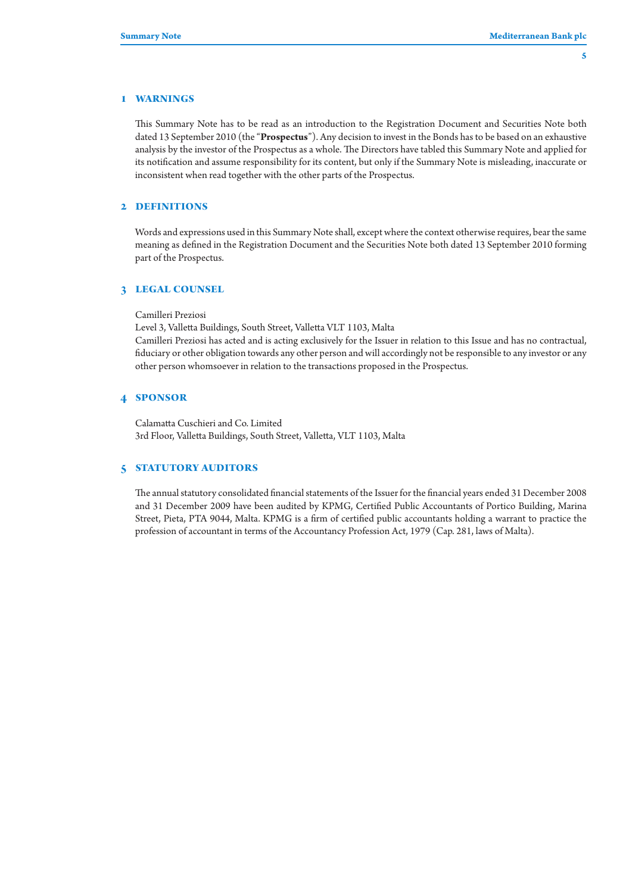## **1 Warnings**

This Summary Note has to be read as an introduction to the Registration Document and Securities Note both dated 13 September 2010 (the "**Prospectus**"). Any decision to invest in the Bonds has to be based on an exhaustive analysis by the investor of the Prospectus as a whole. The Directors have tabled this Summary Note and applied for its notification and assume responsibility for its content, but only if the Summary Note is misleading, inaccurate or inconsistent when read together with the other parts of the Prospectus.

## **2 Definitions**

Words and expressions used in this Summary Note shall, except where the context otherwise requires, bear the same meaning as defined in the Registration Document and the Securities Note both dated 13 September 2010 forming part of the Prospectus.

## **3 Legal Counsel**

Camilleri Preziosi

Level 3, Valletta Buildings, South Street, Valletta VLT 1103, Malta

Camilleri Preziosi has acted and is acting exclusively for the Issuer in relation to this Issue and has no contractual, fiduciary or other obligation towards any other person and will accordingly not be responsible to any investor or any other person whomsoever in relation to the transactions proposed in the Prospectus.

## **4 Sponsor**

Calamatta Cuschieri and Co. Limited 3rd Floor, Valletta Buildings, South Street, Valletta, VLT 1103, Malta

## **5 Statutory Auditors**

The annual statutory consolidated financial statements of the Issuer for the financial years ended 31 December 2008 and 31 December 2009 have been audited by KPMG, Certified Public Accountants of Portico Building, Marina Street, Pieta, PTA 9044, Malta. KPMG is a firm of certified public accountants holding a warrant to practice the profession of accountant in terms of the Accountancy Profession Act, 1979 (Cap. 281, laws of Malta).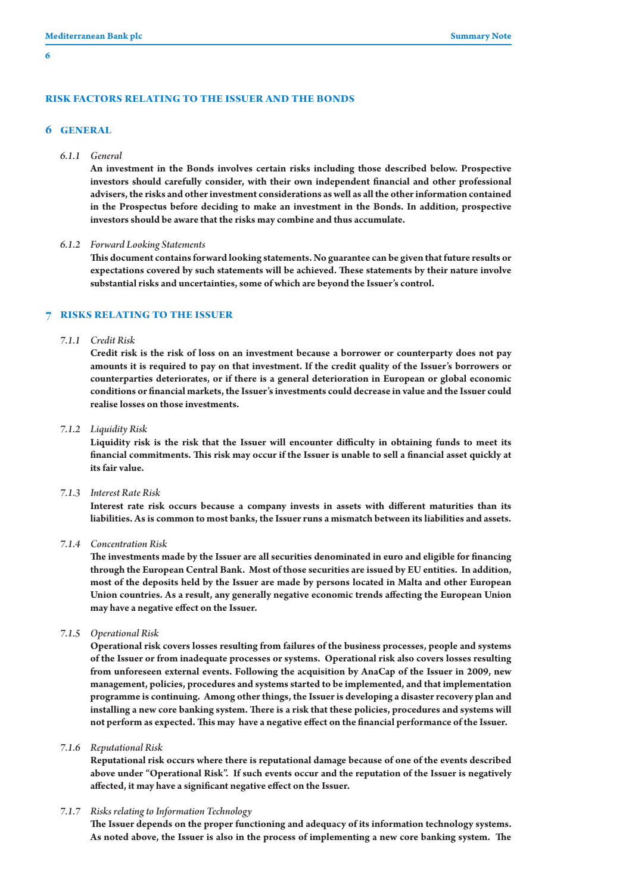## **RISK FACTORS RELATING TO THE ISSUER AND THE BONDS**

# **6 General**

*6.1.1 General*

**An investment in the Bonds involves certain risks including those described below. Prospective investors should carefully consider, with their own independent financial and other professional advisers, the risks and other investment considerations as well as all the other information contained in the Prospectus before deciding to make an investment in the Bonds. In addition, prospective investors should be aware that the risks may combine and thus accumulate.**

#### *6.1.2 Forward Looking Statements*

**This document contains forward looking statements. No guarantee can be given that future results or expectations covered by such statements will be achieved. These statements by their nature involve substantial risks and uncertainties, some of which are beyond the Issuer's control.**

## **7 Risks Relating to the Issuer**

#### *7.1.1 Credit Risk*

**Credit risk is the risk of loss on an investment because a borrower or counterparty does not pay amounts it is required to pay on that investment. If the credit quality of the Issuer's borrowers or counterparties deteriorates, or if there is a general deterioration in European or global economic conditions or financial markets, the Issuer's investments could decrease in value and the Issuer could realise losses on those investments.** 

#### *7.1.2 Liquidity Risk*

**Liquidity risk is the risk that the Issuer will encounter difficulty in obtaining funds to meet its financial commitments. This risk may occur if the Issuer is unable to sell a financial asset quickly at its fair value.** 

## *7.1.3 Interest Rate Risk*

**Interest rate risk occurs because a company invests in assets with different maturities than its liabilities. As is common to most banks, the Issuer runs a mismatch between its liabilities and assets.** 

*7.1.4 Concentration Risk*

**The investments made by the Issuer are all securities denominated in euro and eligible for financing through the European Central Bank. Most of those securities are issued by EU entities. In addition, most of the deposits held by the Issuer are made by persons located in Malta and other European Union countries. As a result, any generally negative economic trends affecting the European Union may have a negative effect on the Issuer.**

#### *7.1.5 Operational Risk*

**Operational risk covers losses resulting from failures of the business processes, people and systems of the Issuer or from inadequate processes or systems. Operational risk also covers losses resulting from unforeseen external events. Following the acquisition by AnaCap of the Issuer in 2009, new management, policies, procedures and systems started to be implemented, and that implementation programme is continuing. Among other things, the Issuer is developing a disaster recovery plan and installing a new core banking system. There is a risk that these policies, procedures and systems will not perform as expected. This may have a negative effect on the financial performance of the Issuer.**

#### *7.1.6 Reputational Risk*

**Reputational risk occurs where there is reputational damage because of one of the events described above under "Operational Risk". If such events occur and the reputation of the Issuer is negatively affected, it may have a significant negative effect on the Issuer.**

#### *7.1.7 Risks relating to Information Technology*

**The Issuer depends on the proper functioning and adequacy of its information technology systems. As noted above, the Issuer is also in the process of implementing a new core banking system. The**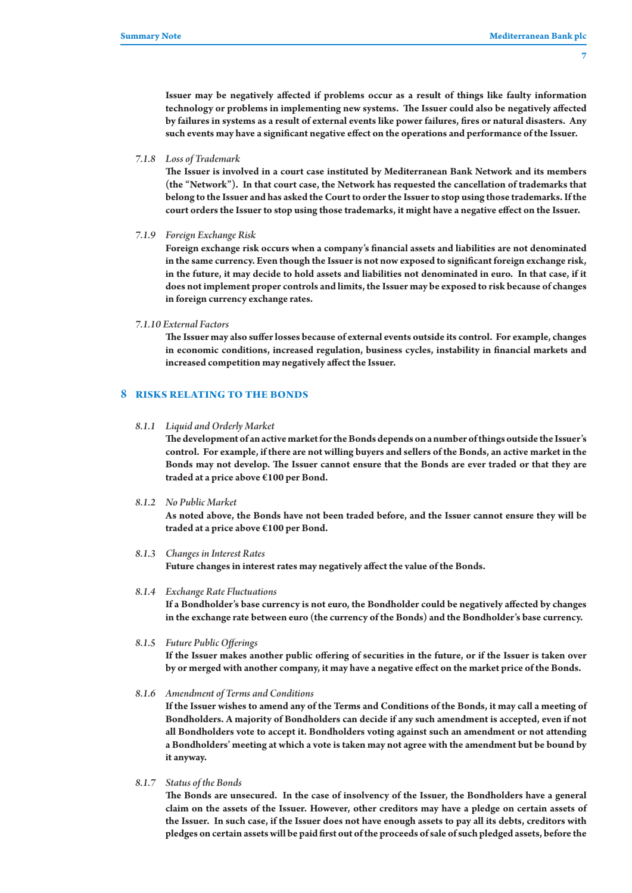**Issuer may be negatively affected if problems occur as a result of things like faulty information technology or problems in implementing new systems. The Issuer could also be negatively affected by failures in systems as a result of external events like power failures, fires or natural disasters. Any such events may have a significant negative effect on the operations and performance of the Issuer.**

#### *7.1.8 Loss of Trademark*

**The Issuer is involved in a court case instituted by Mediterranean Bank Network and its members (the "Network"). In that court case, the Network has requested the cancellation of trademarks that belong to the Issuer and has asked the Court to order the Issuer to stop using those trademarks. If the court orders the Issuer to stop using those trademarks, it might have a negative effect on the Issuer.**

*7.1.9 Foreign Exchange Risk*

**Foreign exchange risk occurs when a company's financial assets and liabilities are not denominated in the same currency. Even though the Issuer is not now exposed to significant foreign exchange risk, in the future, it may decide to hold assets and liabilities not denominated in euro. In that case, if it does not implement proper controls and limits, the Issuer may be exposed to risk because of changes in foreign currency exchange rates.** 

#### *7.1.10 External Factors*

**The Issuer may also suffer losses because of external events outside its control. For example, changes in economic conditions, increased regulation, business cycles, instability in financial markets and increased competition may negatively affect the Issuer.** 

## **8 Risks Relating to the Bonds**

#### *8.1.1 Liquid and Orderly Market*

**The development of an active market for the Bonds depends on a number of things outside the Issuer's control. For example, if there are not willing buyers and sellers of the Bonds, an active market in the Bonds may not develop. The Issuer cannot ensure that the Bonds are ever traded or that they are traded at a price above €100 per Bond.**

#### *8.1.2 No Public Market*

**As noted above, the Bonds have not been traded before, and the Issuer cannot ensure they will be traded at a price above €100 per Bond.**

#### *8.1.3 Changes in Interest Rates*

**Future changes in interest rates may negatively affect the value of the Bonds.**

#### *8.1.4 Exchange Rate Fluctuations*

**If a Bondholder's base currency is not euro, the Bondholder could be negatively affected by changes in the exchange rate between euro (the currency of the Bonds) and the Bondholder's base currency.**

#### *8.1.5 Future Public Offerings*

**If the Issuer makes another public offering of securities in the future, or if the Issuer is taken over by or merged with another company, it may have a negative effect on the market price of the Bonds.**

#### *8.1.6 Amendment of Terms and Conditions*

**If the Issuer wishes to amend any of the Terms and Conditions of the Bonds, it may call a meeting of Bondholders. A majority of Bondholders can decide if any such amendment is accepted, even if not all Bondholders vote to accept it. Bondholders voting against such an amendment or not attending a Bondholders' meeting at which a vote is taken may not agree with the amendment but be bound by it anyway.**

## *8.1.7 Status of the Bonds*

**The Bonds are unsecured. In the case of insolvency of the Issuer, the Bondholders have a general claim on the assets of the Issuer. However, other creditors may have a pledge on certain assets of the Issuer. In such case, if the Issuer does not have enough assets to pay all its debts, creditors with pledges on certain assets will be paid first out of the proceeds of sale of such pledged assets, before the**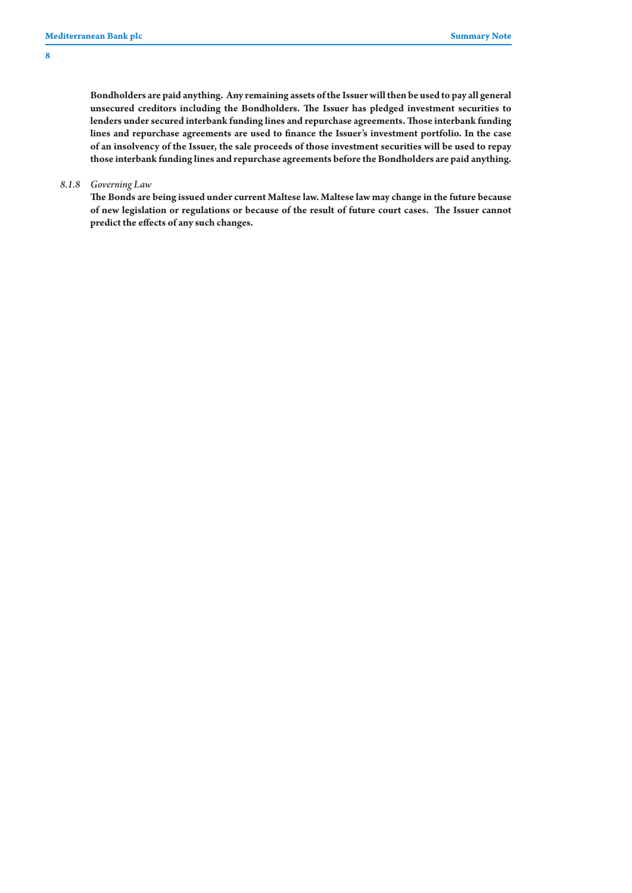**Bondholders are paid anything. Any remaining assets of the Issuer will then be used to pay all general unsecured creditors including the Bondholders. The Issuer has pledged investment securities to lenders under secured interbank funding lines and repurchase agreements. Those interbank funding lines and repurchase agreements are used to finance the Issuer's investment portfolio. In the case of an insolvency of the Issuer, the sale proceeds of those investment securities will be used to repay those interbank funding lines and repurchase agreements before the Bondholders are paid anything.**

## *8.1.8 Governing Law*

**The Bonds are being issued under current Maltese law. Maltese law may change in the future because of new legislation or regulations or because of the result of future court cases. The Issuer cannot predict the effects of any such changes.**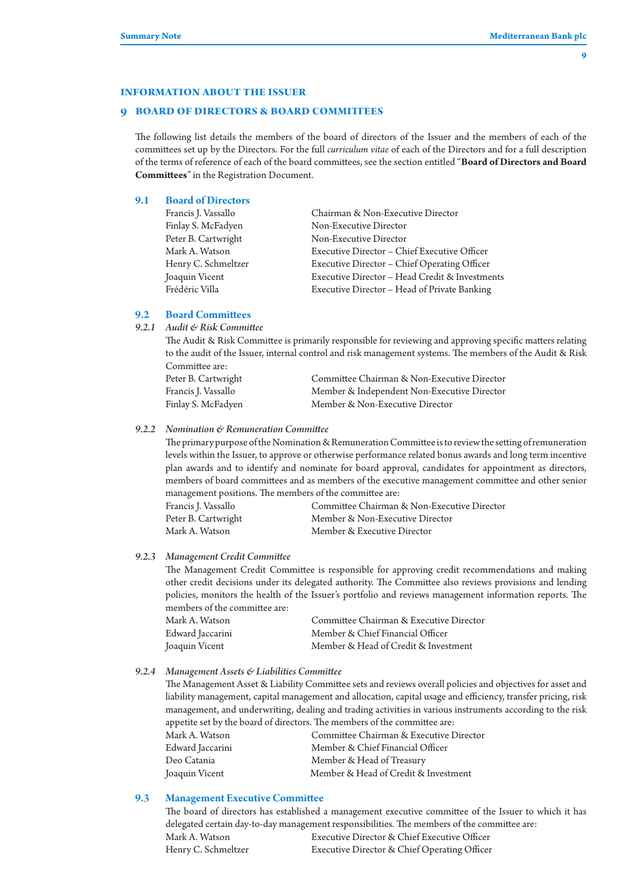## **INFORMATION ABOUT THE ISSUER**

## **9 Board of Directors & Board Committees**

The following list details the members of the board of directors of the Issuer and the members of each of the committees set up by the Directors. For the full *curriculum vitae* of each of the Directors and for a full description of the terms of reference of each of the board committees, see the section entitled "**Board of Directors and Board Committees**" in the Registration Document.

## **9.1 Board of Directors**

| Francis J. Vassallo | Chairman & Non-Executive Director              |
|---------------------|------------------------------------------------|
| Finlay S. McFadyen  | Non-Executive Director                         |
| Peter B. Cartwright | Non-Executive Director                         |
| Mark A. Watson      | Executive Director - Chief Executive Officer   |
| Henry C. Schmeltzer | Executive Director – Chief Operating Officer   |
| Joaquin Vicent      | Executive Director - Head Credit & Investments |
| Frédéric Villa      | Executive Director – Head of Private Banking   |
|                     |                                                |

## **9.2 Board Committees**

*9.2.1 Audit & Risk Committee*

The Audit & Risk Committee is primarily responsible for reviewing and approving specific matters relating to the audit of the Issuer, internal control and risk management systems. The members of the Audit & Risk Committee are:

| Peter B. Cartwright | Committee Chairman & Non-Executive Director |
|---------------------|---------------------------------------------|
| Francis J. Vassallo | Member & Independent Non-Executive Director |
| Finlay S. McFadyen  | Member & Non-Executive Director             |

## *9.2.2 Nomination & Remuneration Committee*

The primary purpose of the Nomination & Remuneration Committee is to review the setting of remuneration levels within the Issuer, to approve or otherwise performance related bonus awards and long term incentive plan awards and to identify and nominate for board approval, candidates for appointment as directors, members of board committees and as members of the executive management committee and other senior management positions. The members of the committee are:

| Francis J. Vassallo | Committee Chairman & Non-Executive Director |
|---------------------|---------------------------------------------|
| Peter B. Cartwright | Member & Non-Executive Director             |
| Mark A. Watson      | Member & Executive Director                 |

#### *9.2.3 Management Credit Committee*

The Management Credit Committee is responsible for approving credit recommendations and making other credit decisions under its delegated authority. The Committee also reviews provisions and lending policies, monitors the health of the Issuer's portfolio and reviews management information reports. The members of the committee are:

| Mark A. Watson   | Committee Chairman & Executive Director |
|------------------|-----------------------------------------|
| Edward Jaccarini | Member & Chief Financial Officer        |
| Joaquin Vicent   | Member & Head of Credit & Investment    |

#### *9.2.4 Management Assets & Liabilities Committee*

The Management Asset & Liability Committee sets and reviews overall policies and objectives for asset and liability management, capital management and allocation, capital usage and efficiency, transfer pricing, risk management, and underwriting, dealing and trading activities in various instruments according to the risk appetite set by the board of directors. The members of the committee are:

| Mark A. Watson   | Committee Chairman & Executive Director |
|------------------|-----------------------------------------|
| Edward Jaccarini | Member & Chief Financial Officer        |
| Deo Catania      | Member & Head of Treasury               |
| Joaquin Vicent   | Member & Head of Credit & Investment    |

## **9.3 Management Executive Committee**

The board of directors has established a management executive committee of the Issuer to which it has delegated certain day-to-day management responsibilities. The members of the committee are:

| Mark A. Watson      | Executive Director & Chief Executive Officer |
|---------------------|----------------------------------------------|
| Henry C. Schmeltzer | Executive Director & Chief Operating Officer |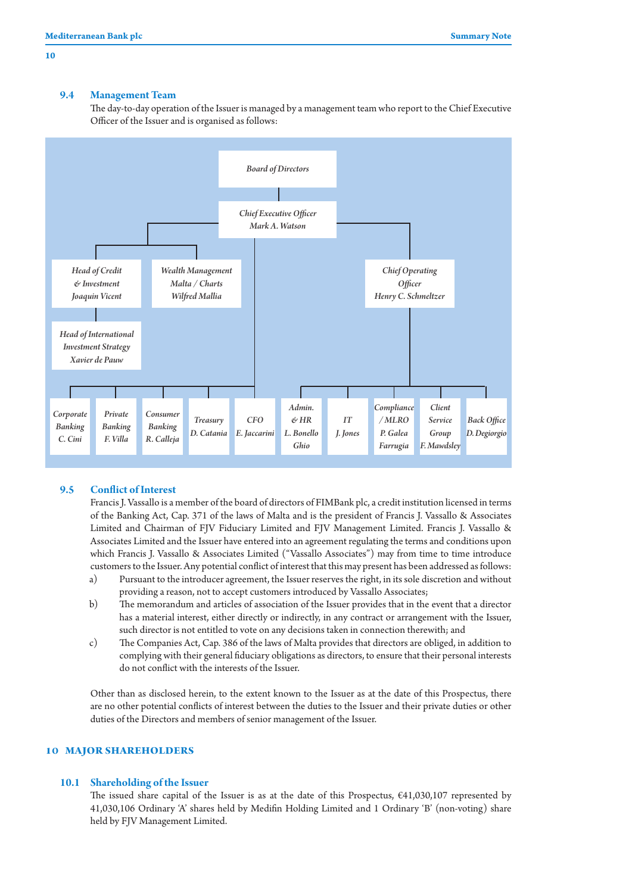## **9.4 Management Team**

The day-to-day operation of the Issuer is managed by a management team who report to the Chief Executive Officer of the Issuer and is organised as follows:



## **9.5 Conflict of Interest**

Francis J. Vassallo is a member of the board of directors of FIMBank plc, a credit institution licensed in terms of the Banking Act, Cap. 371 of the laws of Malta and is the president of Francis J. Vassallo & Associates Limited and Chairman of FJV Fiduciary Limited and FJV Management Limited. Francis J. Vassallo & Associates Limited and the Issuer have entered into an agreement regulating the terms and conditions upon which Francis J. Vassallo & Associates Limited ("Vassallo Associates") may from time to time introduce customers to the Issuer. Any potential conflict of interest that this may present has been addressed as follows:

- a) Pursuant to the introducer agreement, the Issuer reserves the right, in its sole discretion and without providing a reason, not to accept customers introduced by Vassallo Associates;
- b) The memorandum and articles of association of the Issuer provides that in the event that a director has a material interest, either directly or indirectly, in any contract or arrangement with the Issuer, such director is not entitled to vote on any decisions taken in connection therewith; and
- c) The Companies Act, Cap. 386 of the laws of Malta provides that directors are obliged, in addition to complying with their general fiduciary obligations as directors, to ensure that their personal interests do not conflict with the interests of the Issuer.

Other than as disclosed herein, to the extent known to the Issuer as at the date of this Prospectus, there are no other potential conflicts of interest between the duties to the Issuer and their private duties or other duties of the Directors and members of senior management of the Issuer.

# **10 Major Shareholders**

## **10.1 Shareholding of the Issuer**

The issued share capital of the Issuer is as at the date of this Prospectus,  $\epsilon$ 41,030,107 represented by 41,030,106 Ordinary 'A' shares held by Medifin Holding Limited and 1 Ordinary 'B' (non-voting) share held by FJV Management Limited.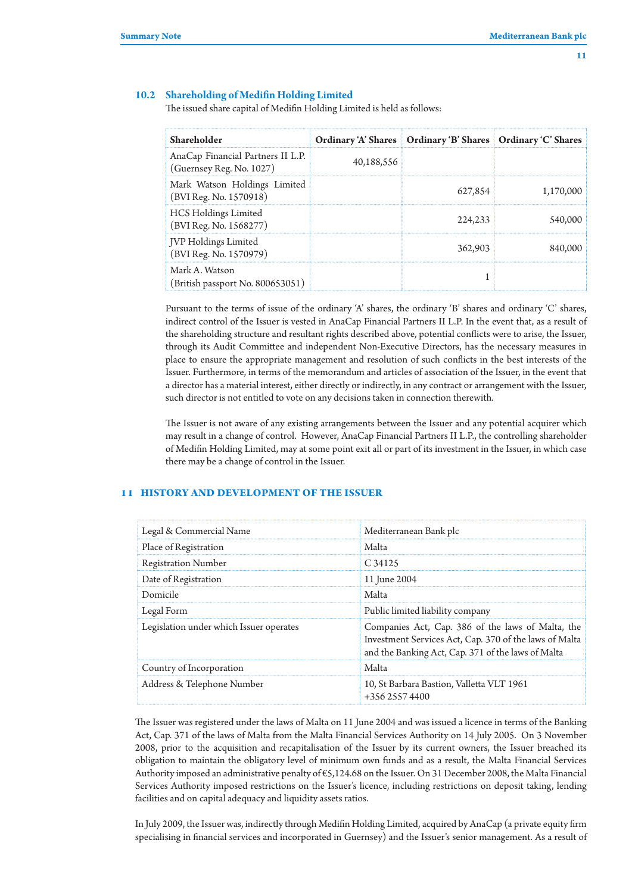# **10.2 Shareholding of Medifin Holding Limited**

The issued share capital of Medifin Holding Limited is held as follows:

| Shareholder                                                   |            | Ordinary 'A' Shares   Ordinary 'B' Shares   Ordinary 'C' Shares |           |
|---------------------------------------------------------------|------------|-----------------------------------------------------------------|-----------|
| AnaCap Financial Partners II L.P.<br>(Guernsey Reg. No. 1027) | 40,188,556 |                                                                 |           |
| Mark Watson Holdings Limited<br>(BVI Reg. No. 1570918)        |            | 627,854                                                         | 1,170,000 |
| HCS Holdings Limited<br>(BVI Reg. No. 1568277)                |            | 224,233                                                         | 540,000   |
| JVP Holdings Limited<br>(BVI Reg. No. 1570979)                |            | 362,903                                                         | 840.000   |
| Mark A. Watson<br>(British passport No. 800653051)            |            |                                                                 |           |

Pursuant to the terms of issue of the ordinary 'A' shares, the ordinary 'B' shares and ordinary 'C' shares, indirect control of the Issuer is vested in AnaCap Financial Partners II L.P. In the event that, as a result of the shareholding structure and resultant rights described above, potential conflicts were to arise, the Issuer, through its Audit Committee and independent Non-Executive Directors, has the necessary measures in place to ensure the appropriate management and resolution of such conflicts in the best interests of the Issuer. Furthermore, in terms of the memorandum and articles of association of the Issuer, in the event that a director has a material interest, either directly or indirectly, in any contract or arrangement with the Issuer, such director is not entitled to vote on any decisions taken in connection therewith.

The Issuer is not aware of any existing arrangements between the Issuer and any potential acquirer which may result in a change of control. However, AnaCap Financial Partners II L.P., the controlling shareholder of Medifin Holding Limited, may at some point exit all or part of its investment in the Issuer, in which case there may be a change of control in the Issuer.

# **11 History and Development of the Issuer**

| Legal & Commercial Name                 | Mediterranean Bank plc                                                                                                                                            |
|-----------------------------------------|-------------------------------------------------------------------------------------------------------------------------------------------------------------------|
| Place of Registration                   | Malta                                                                                                                                                             |
| <b>Registration Number</b>              | C 34125                                                                                                                                                           |
| Date of Registration                    | 11 June 2004                                                                                                                                                      |
| Domicile                                | Malta                                                                                                                                                             |
| Legal Form                              | Public limited liability company                                                                                                                                  |
| Legislation under which Issuer operates | Companies Act, Cap. 386 of the laws of Malta, the<br>Investment Services Act, Cap. 370 of the laws of Malta<br>and the Banking Act, Cap. 371 of the laws of Malta |
| Country of Incorporation                | Malta                                                                                                                                                             |
| Address & Telephone Number              | 10, St Barbara Bastion, Valletta VLT 1961<br>$+35625574400$                                                                                                       |

The Issuer was registered under the laws of Malta on 11 June 2004 and was issued a licence in terms of the Banking Act, Cap. 371 of the laws of Malta from the Malta Financial Services Authority on 14 July 2005. On 3 November 2008, prior to the acquisition and recapitalisation of the Issuer by its current owners, the Issuer breached its obligation to maintain the obligatory level of minimum own funds and as a result, the Malta Financial Services Authority imposed an administrative penalty of €5,124.68 on the Issuer. On 31 December 2008, the Malta Financial Services Authority imposed restrictions on the Issuer's licence, including restrictions on deposit taking, lending facilities and on capital adequacy and liquidity assets ratios.

In July 2009, the Issuer was, indirectly through Medifin Holding Limited, acquired by AnaCap (a private equity firm specialising in financial services and incorporated in Guernsey) and the Issuer's senior management. As a result of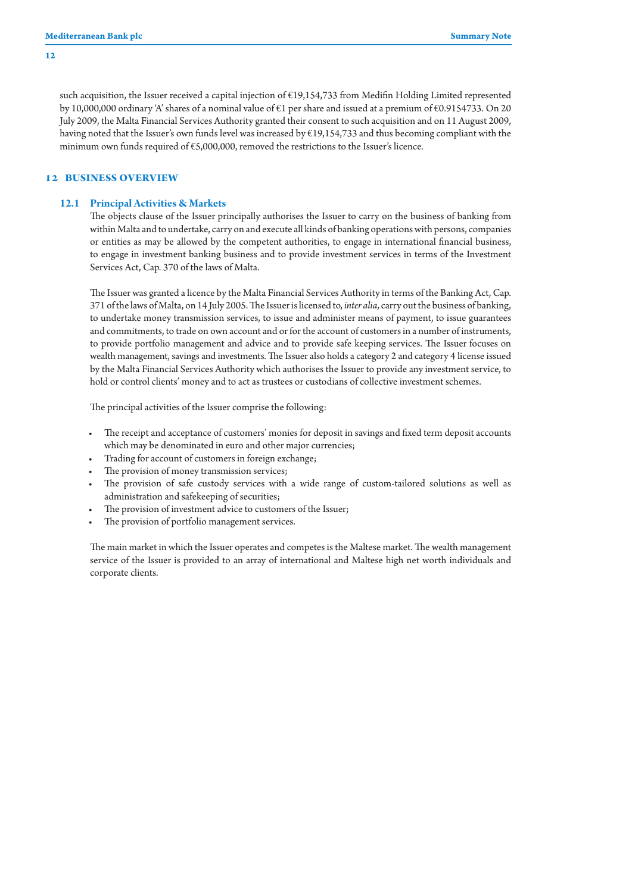such acquisition, the Issuer received a capital injection of €19,154,733 from Medifin Holding Limited represented by 10,000,000 ordinary 'A' shares of a nominal value of €1 per share and issued at a premium of €0.9154733. On 20 July 2009, the Malta Financial Services Authority granted their consent to such acquisition and on 11 August 2009, having noted that the Issuer's own funds level was increased by  $£19,154,733$  and thus becoming compliant with the minimum own funds required of €5,000,000, removed the restrictions to the Issuer's licence.

## **12 Business Overview**

## **12.1 Principal Activities & Markets**

The objects clause of the Issuer principally authorises the Issuer to carry on the business of banking from within Malta and to undertake, carry on and execute all kinds of banking operations with persons, companies or entities as may be allowed by the competent authorities, to engage in international financial business, to engage in investment banking business and to provide investment services in terms of the Investment Services Act, Cap. 370 of the laws of Malta.

The Issuer was granted a licence by the Malta Financial Services Authority in terms of the Banking Act, Cap. 371 of the laws of Malta, on 14 July 2005. The Issuer is licensed to, *inter alia*, carry out the business of banking, to undertake money transmission services, to issue and administer means of payment, to issue guarantees and commitments, to trade on own account and or for the account of customers in a number of instruments, to provide portfolio management and advice and to provide safe keeping services. The Issuer focuses on wealth management, savings and investments. The Issuer also holds a category 2 and category 4 license issued by the Malta Financial Services Authority which authorises the Issuer to provide any investment service, to hold or control clients' money and to act as trustees or custodians of collective investment schemes.

The principal activities of the Issuer comprise the following:

- The receipt and acceptance of customers' monies for deposit in savings and fixed term deposit accounts which may be denominated in euro and other major currencies;
- Trading for account of customers in foreign exchange;
- The provision of money transmission services;
- The provision of safe custody services with a wide range of custom-tailored solutions as well as administration and safekeeping of securities;
- The provision of investment advice to customers of the Issuer;
- The provision of portfolio management services.

The main market in which the Issuer operates and competes is the Maltese market. The wealth management service of the Issuer is provided to an array of international and Maltese high net worth individuals and corporate clients.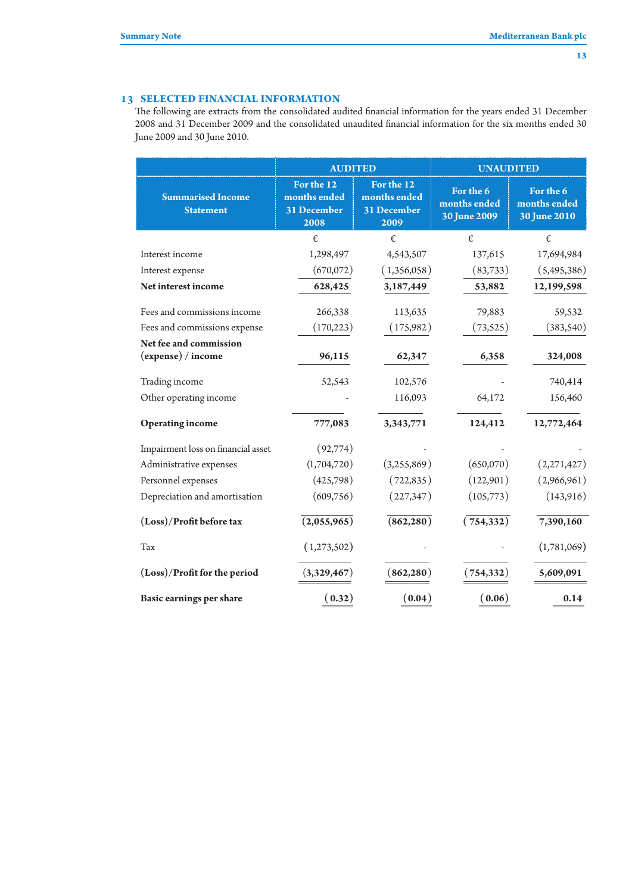# **13 Selected Financial Information**

The following are extracts from the consolidated audited financial information for the years ended 31 December 2008 and 31 December 2009 and the consolidated unaudited financial information for the six months ended 30 June 2009 and 30 June 2010.

|                                              | <b>AUDITED</b>                                           |                                                          | <b>UNAUDITED</b>                                 |                                                  |
|----------------------------------------------|----------------------------------------------------------|----------------------------------------------------------|--------------------------------------------------|--------------------------------------------------|
| <b>Summarised Income</b><br><b>Statement</b> | For the 12<br>months ended<br><b>31 December</b><br>2008 | For the 12<br>months ended<br><b>31 December</b><br>2009 | For the 6<br>months ended<br><b>30 June 2009</b> | For the 6<br>months ended<br><b>30 June 2010</b> |
|                                              | €                                                        | €                                                        | €                                                | €                                                |
| Interest income                              | 1,298,497                                                | 4,543,507                                                | 137,615                                          | 17,694,984                                       |
| Interest expense                             | (670,072)                                                | (1,356,058)                                              | (83, 733)                                        | (5,495,386)                                      |
| Net interest income                          | 628,425                                                  | 3,187,449                                                | 53,882                                           | 12,199,598                                       |
| Fees and commissions income                  | 266,338                                                  | 113,635                                                  | 79,883                                           | 59,532                                           |
| Fees and commissions expense                 | (170, 223)                                               | (175, 982)                                               | (73,525)                                         | (383, 540)                                       |
| Net fee and commission<br>(expense) / income | 96,115                                                   | 62,347                                                   | 6,358                                            | 324,008                                          |
| Trading income                               | 52,543                                                   | 102,576                                                  |                                                  | 740,414                                          |
| Other operating income                       |                                                          | 116,093                                                  | 64,172                                           | 156,460                                          |
| <b>Operating income</b>                      | 777,083                                                  | 3,343,771                                                | 124,412                                          | 12,772,464                                       |
| Impairment loss on financial asset           | (92, 774)                                                |                                                          |                                                  |                                                  |
| Administrative expenses                      | (1,704,720)                                              | (3,255,869)                                              | (650,070)                                        | (2,271,427)                                      |
| Personnel expenses                           | (425,798)                                                | (722, 835)                                               | (122,901)                                        | (2,966,961)                                      |
| Depreciation and amortisation                | (609, 756)                                               | (227, 347)                                               | (105, 773)                                       | (143, 916)                                       |
| (Loss)/Profit before tax                     | (2,055,965)                                              | (862, 280)                                               | (754, 332)                                       | 7,390,160                                        |
| Tax                                          | (1,273,502)                                              |                                                          |                                                  | (1,781,069)                                      |
| (Loss)/Profit for the period                 | (3,329,467)                                              | (862, 280)                                               | (754, 332)                                       | 5,609,091                                        |
| Basic earnings per share                     | (0.32)                                                   | (0.04)                                                   | (0.06)                                           | 0.14                                             |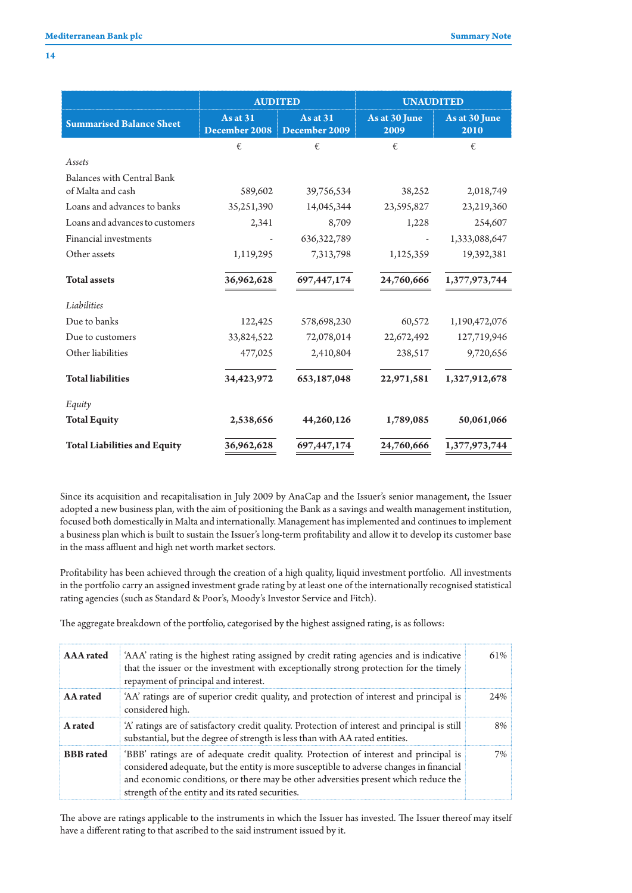|                                     |                           | <b>AUDITED</b>            | <b>UNAUDITED</b>      |                       |
|-------------------------------------|---------------------------|---------------------------|-----------------------|-----------------------|
| <b>Summarised Balance Sheet</b>     | As at 31<br>December 2008 | As at 31<br>December 2009 | As at 30 June<br>2009 | As at 30 June<br>2010 |
|                                     | €                         | €                         | €                     | €                     |
| Assets                              |                           |                           |                       |                       |
| <b>Balances with Central Bank</b>   |                           |                           |                       |                       |
| of Malta and cash                   | 589,602                   | 39,756,534                | 38,252                | 2,018,749             |
| Loans and advances to banks         | 35,251,390                | 14,045,344                | 23,595,827            | 23,219,360            |
| Loans and advances to customers     | 2,341                     | 8,709                     | 1,228                 | 254,607               |
| Financial investments               |                           | 636,322,789               |                       | 1,333,088,647         |
| Other assets                        | 1,119,295                 | 7,313,798                 | 1,125,359             | 19,392,381            |
| <b>Total assets</b>                 | 36,962,628                | 697,447,174               | 24,760,666            | 1,377,973,744         |
| Liabilities                         |                           |                           |                       |                       |
| Due to banks                        | 122,425                   | 578,698,230               | 60,572                | 1,190,472,076         |
| Due to customers                    | 33,824,522                | 72,078,014                | 22,672,492            | 127,719,946           |
| Other liabilities                   | 477,025                   | 2,410,804                 | 238,517               | 9,720,656             |
| <b>Total liabilities</b>            | 34,423,972                | 653,187,048               | 22,971,581            | 1,327,912,678         |
| Equity                              |                           |                           |                       |                       |
| <b>Total Equity</b>                 | 2,538,656                 | 44,260,126                | 1,789,085             | 50,061,066            |
| <b>Total Liabilities and Equity</b> | 36,962,628                | 697,447,174               | 24,760,666            | 1,377,973,744         |

Since its acquisition and recapitalisation in July 2009 by AnaCap and the Issuer's senior management, the Issuer adopted a new business plan, with the aim of positioning the Bank as a savings and wealth management institution, focused both domestically in Malta and internationally. Management has implemented and continues to implement a business plan which is built to sustain the Issuer's long-term profitability and allow it to develop its customer base in the mass affluent and high net worth market sectors.

Profitability has been achieved through the creation of a high quality, liquid investment portfolio. All investments in the portfolio carry an assigned investment grade rating by at least one of the internationally recognised statistical rating agencies (such as Standard & Poor's, Moody's Investor Service and Fitch).

The aggregate breakdown of the portfolio, categorised by the highest assigned rating, is as follows:

| <b>AAA</b> rated | 'AAA' rating is the highest rating assigned by credit rating agencies and is indicative<br>that the issuer or the investment with exceptionally strong protection for the timely<br>repayment of principal and interest.                                                                                                    | 61%     |
|------------------|-----------------------------------------------------------------------------------------------------------------------------------------------------------------------------------------------------------------------------------------------------------------------------------------------------------------------------|---------|
| <b>AA</b> rated  | 'AA' ratings are of superior credit quality, and protection of interest and principal is<br>considered high.                                                                                                                                                                                                                | $2.4\%$ |
| A rated          | 'A' ratings are of satisfactory credit quality. Protection of interest and principal is still<br>substantial, but the degree of strength is less than with AA rated entities.                                                                                                                                               | 8%      |
| <b>BBB</b> rated | 'BBB' ratings are of adequate credit quality. Protection of interest and principal is<br>considered adequate, but the entity is more susceptible to adverse changes in financial<br>and economic conditions, or there may be other adversities present which reduce the<br>strength of the entity and its rated securities. | 7%      |

The above are ratings applicable to the instruments in which the Issuer has invested. The Issuer thereof may itself have a different rating to that ascribed to the said instrument issued by it.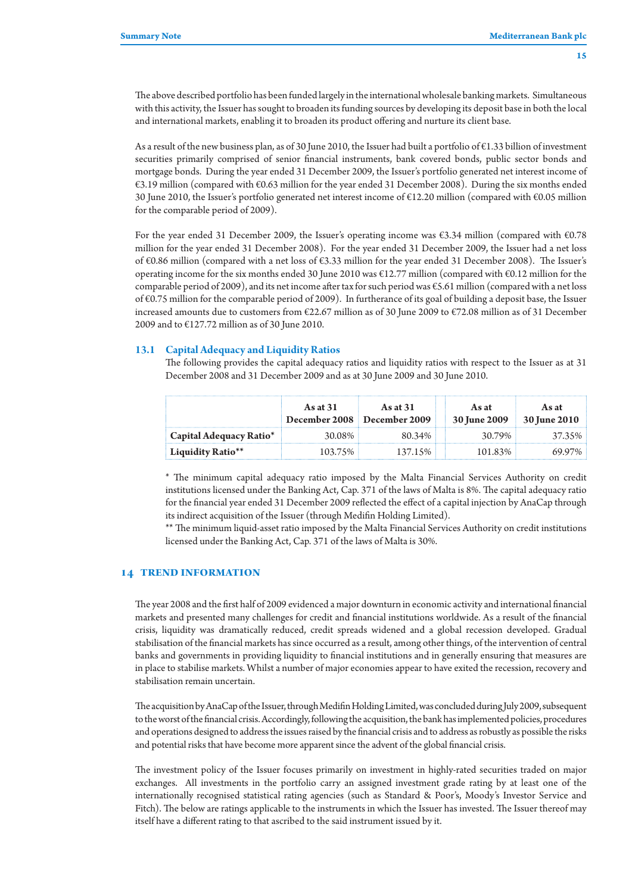The above described portfolio has been funded largely in the international wholesale banking markets. Simultaneous with this activity, the Issuer has sought to broaden its funding sources by developing its deposit base in both the local and international markets, enabling it to broaden its product offering and nurture its client base.

As a result of the new business plan, as of 30 June 2010, the Issuer had built a portfolio of €1.33 billion of investment securities primarily comprised of senior financial instruments, bank covered bonds, public sector bonds and mortgage bonds. During the year ended 31 December 2009, the Issuer's portfolio generated net interest income of €3.19 million (compared with €0.63 million for the year ended 31 December 2008). During the six months ended 30 June 2010, the Issuer's portfolio generated net interest income of €12.20 million (compared with €0.05 million for the comparable period of 2009).

For the year ended 31 December 2009, the Issuer's operating income was €3.34 million (compared with €0.78 million for the year ended 31 December 2008). For the year ended 31 December 2009, the Issuer had a net loss of €0.86 million (compared with a net loss of €3.33 million for the year ended 31 December 2008). The Issuer's operating income for the six months ended 30 June 2010 was €12.77 million (compared with €0.12 million for the comparable period of 2009), and its net income after tax for such period was €5.61 million (compared with a net loss of €0.75 million for the comparable period of 2009). In furtherance of its goal of building a deposit base, the Issuer increased amounts due to customers from €22.67 million as of 30 June 2009 to €72.08 million as of 31 December 2009 and to €127.72 million as of 30 June 2010.

#### **13.1 Capital Adequacy and Liquidity Ratios**

The following provides the capital adequacy ratios and liquidity ratios with respect to the Issuer as at 31 December 2008 and 31 December 2009 and as at 30 June 2009 and 30 June 2010.

|                                         | <b>As at 31</b><br>December 2008 December 2009 | As at $31$ | As at<br>30 June 2009 | As at<br><b>30 June 2010</b> |
|-----------------------------------------|------------------------------------------------|------------|-----------------------|------------------------------|
| $\mathbb E$ Capital Adequacy Ratio $^*$ | 30.08%                                         | 80.34%     | 30.79%                | 37.35%                       |
| <b>Liquidity Ratio</b> $**$             | 103.75%                                        | 137.15%    | 101.83%               |                              |

\* The minimum capital adequacy ratio imposed by the Malta Financial Services Authority on credit institutions licensed under the Banking Act, Cap. 371 of the laws of Malta is 8%. The capital adequacy ratio for the financial year ended 31 December 2009 reflected the effect of a capital injection by AnaCap through its indirect acquisition of the Issuer (through Medifin Holding Limited).

\*\* The minimum liquid-asset ratio imposed by the Malta Financial Services Authority on credit institutions licensed under the Banking Act, Cap. 371 of the laws of Malta is 30%.

## **14 Trend Information**

The year 2008 and the first half of 2009 evidenced a major downturn in economic activity and international financial markets and presented many challenges for credit and financial institutions worldwide. As a result of the financial crisis, liquidity was dramatically reduced, credit spreads widened and a global recession developed. Gradual stabilisation of the financial markets has since occurred as a result, among other things, of the intervention of central banks and governments in providing liquidity to financial institutions and in generally ensuring that measures are in place to stabilise markets. Whilst a number of major economies appear to have exited the recession, recovery and stabilisation remain uncertain.

The acquisition by AnaCap of the Issuer, through Medifin Holding Limited, was concluded during July 2009, subsequent to the worst of the financial crisis. Accordingly, following the acquisition, the bank has implemented policies, procedures and operations designed to address the issues raised by the financial crisis and to address as robustly as possible the risks and potential risks that have become more apparent since the advent of the global financial crisis.

The investment policy of the Issuer focuses primarily on investment in highly-rated securities traded on major exchanges. All investments in the portfolio carry an assigned investment grade rating by at least one of the internationally recognised statistical rating agencies (such as Standard & Poor's, Moody's Investor Service and Fitch). The below are ratings applicable to the instruments in which the Issuer has invested. The Issuer thereof may itself have a different rating to that ascribed to the said instrument issued by it.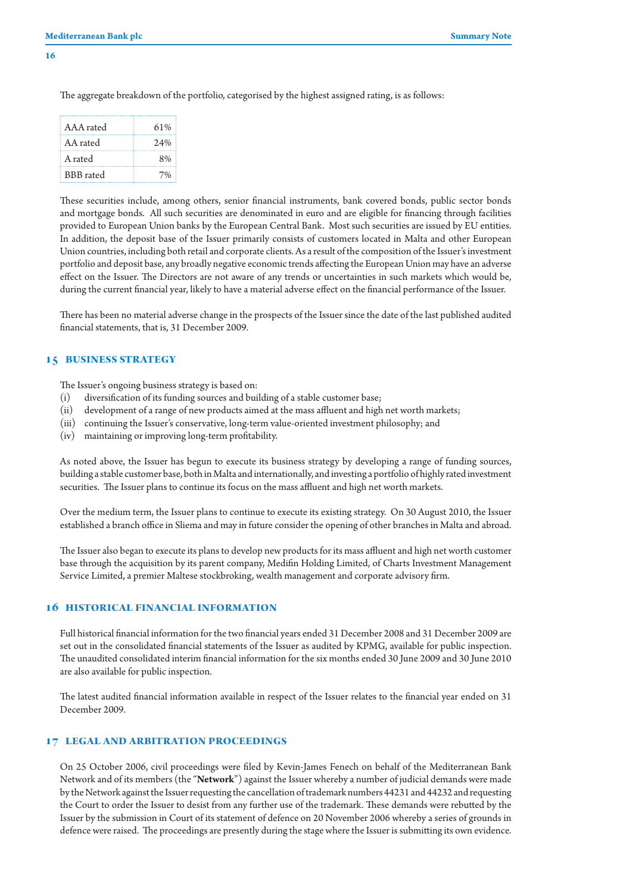The aggregate breakdown of the portfolio, categorised by the highest assigned rating, is as follows:

| AAA rated        | 61% |
|------------------|-----|
| AA rated         | 24% |
| A rated          | 8%  |
| <b>BBB</b> rated | 7%  |

These securities include, among others, senior financial instruments, bank covered bonds, public sector bonds and mortgage bonds. All such securities are denominated in euro and are eligible for financing through facilities provided to European Union banks by the European Central Bank. Most such securities are issued by EU entities. In addition, the deposit base of the Issuer primarily consists of customers located in Malta and other European Union countries, including both retail and corporate clients. As a result of the composition of the Issuer's investment portfolio and deposit base, any broadly negative economic trends affecting the European Union may have an adverse effect on the Issuer. The Directors are not aware of any trends or uncertainties in such markets which would be, during the current financial year, likely to have a material adverse effect on the financial performance of the Issuer.

There has been no material adverse change in the prospects of the Issuer since the date of the last published audited financial statements, that is, 31 December 2009.

## **15 Business Strategy**

The Issuer's ongoing business strategy is based on:

- (i) diversification of its funding sources and building of a stable customer base;
- (ii) development of a range of new products aimed at the mass affluent and high net worth markets;
- (iii) continuing the Issuer's conservative, long-term value-oriented investment philosophy; and
- (iv) maintaining or improving long-term profitability.

As noted above, the Issuer has begun to execute its business strategy by developing a range of funding sources, building a stable customer base, both in Malta and internationally, and investing a portfolio of highly rated investment securities. The Issuer plans to continue its focus on the mass affluent and high net worth markets.

Over the medium term, the Issuer plans to continue to execute its existing strategy. On 30 August 2010, the Issuer established a branch office in Sliema and may in future consider the opening of other branches in Malta and abroad.

The Issuer also began to execute its plans to develop new products for its mass affluent and high net worth customer base through the acquisition by its parent company, Medifin Holding Limited, of Charts Investment Management Service Limited, a premier Maltese stockbroking, wealth management and corporate advisory firm.

#### **16 Historical Financial Information**

Full historical financial information for the two financial years ended 31 December 2008 and 31 December 2009 are set out in the consolidated financial statements of the Issuer as audited by KPMG, available for public inspection. The unaudited consolidated interim financial information for the six months ended 30 June 2009 and 30 June 2010 are also available for public inspection.

The latest audited financial information available in respect of the Issuer relates to the financial year ended on 31 December 2009.

## **17 Legal and Arbitration Proceedings**

On 25 October 2006, civil proceedings were filed by Kevin-James Fenech on behalf of the Mediterranean Bank Network and of its members (the "**Network**") against the Issuer whereby a number of judicial demands were made by the Network against the Issuer requesting the cancellation of trademark numbers 44231 and 44232 and requesting the Court to order the Issuer to desist from any further use of the trademark. These demands were rebutted by the Issuer by the submission in Court of its statement of defence on 20 November 2006 whereby a series of grounds in defence were raised. The proceedings are presently during the stage where the Issuer is submitting its own evidence.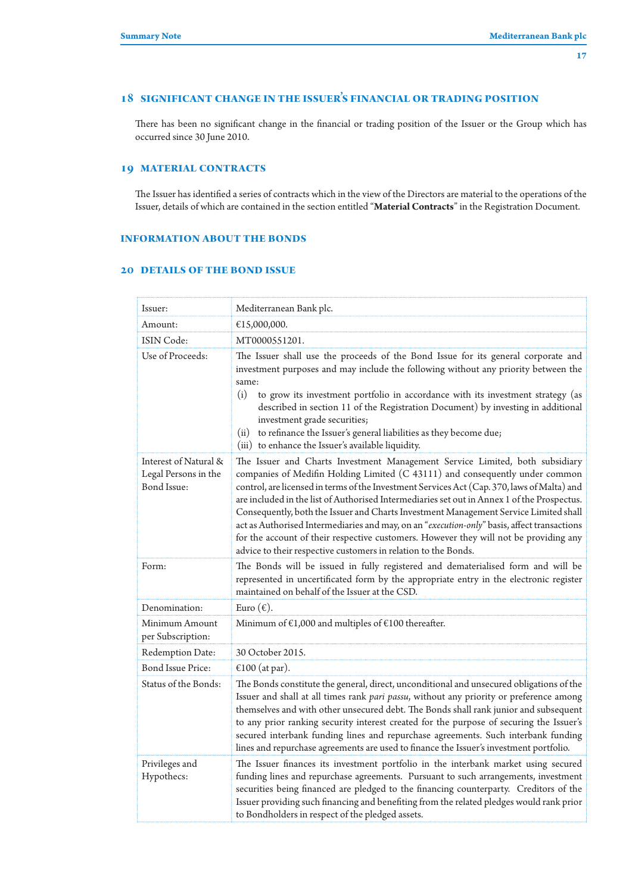# **18 Significant Change in the Issuer's Financial or Trading Position**

There has been no significant change in the financial or trading position of the Issuer or the Group which has occurred since 30 June 2010.

# **19 Material Contracts**

The Issuer has identified a series of contracts which in the view of the Directors are material to the operations of the Issuer, details of which are contained in the section entitled "**Material Contracts**" in the Registration Document.

# **INFORMATION ABOUT THE BONDS**

## **20 Details of the Bond Issue**

| Issuer:                                                      | Mediterranean Bank plc.                                                                                                                                                                                                                                                                                                                                                                                                                                                                                                                                                                                                                                                                                      |
|--------------------------------------------------------------|--------------------------------------------------------------------------------------------------------------------------------------------------------------------------------------------------------------------------------------------------------------------------------------------------------------------------------------------------------------------------------------------------------------------------------------------------------------------------------------------------------------------------------------------------------------------------------------------------------------------------------------------------------------------------------------------------------------|
| Amount:                                                      | €15,000,000.                                                                                                                                                                                                                                                                                                                                                                                                                                                                                                                                                                                                                                                                                                 |
| ISIN Code:                                                   | MT0000551201.                                                                                                                                                                                                                                                                                                                                                                                                                                                                                                                                                                                                                                                                                                |
| Use of Proceeds:                                             | The Issuer shall use the proceeds of the Bond Issue for its general corporate and<br>investment purposes and may include the following without any priority between the<br>same:<br>(i)<br>to grow its investment portfolio in accordance with its investment strategy (as<br>described in section 11 of the Registration Document) by investing in additional<br>investment grade securities;<br>to refinance the Issuer's general liabilities as they become due;<br>(ii)<br>(iii) to enhance the Issuer's available liquidity.                                                                                                                                                                            |
| Interest of Natural &<br>Legal Persons in the<br>Bond Issue: | The Issuer and Charts Investment Management Service Limited, both subsidiary<br>companies of Medifin Holding Limited (C 43111) and consequently under common<br>control, are licensed in terms of the Investment Services Act (Cap. 370, laws of Malta) and<br>are included in the list of Authorised Intermediaries set out in Annex 1 of the Prospectus.<br>Consequently, both the Issuer and Charts Investment Management Service Limited shall<br>act as Authorised Intermediaries and may, on an "execution-only" basis, affect transactions<br>for the account of their respective customers. However they will not be providing any<br>advice to their respective customers in relation to the Bonds. |
| Form:                                                        | The Bonds will be issued in fully registered and dematerialised form and will be<br>represented in uncertificated form by the appropriate entry in the electronic register<br>maintained on behalf of the Issuer at the CSD.                                                                                                                                                                                                                                                                                                                                                                                                                                                                                 |
| Denomination:                                                | Euro $(\epsilon)$ .                                                                                                                                                                                                                                                                                                                                                                                                                                                                                                                                                                                                                                                                                          |
| Minimum Amount<br>per Subscription:                          | Minimum of $€1,000$ and multiples of $€100$ thereafter.                                                                                                                                                                                                                                                                                                                                                                                                                                                                                                                                                                                                                                                      |
| Redemption Date:                                             | 30 October 2015.                                                                                                                                                                                                                                                                                                                                                                                                                                                                                                                                                                                                                                                                                             |
| <b>Bond Issue Price:</b>                                     | €100 (at par).                                                                                                                                                                                                                                                                                                                                                                                                                                                                                                                                                                                                                                                                                               |
| Status of the Bonds:                                         | The Bonds constitute the general, direct, unconditional and unsecured obligations of the<br>Issuer and shall at all times rank pari passu, without any priority or preference among<br>themselves and with other unsecured debt. The Bonds shall rank junior and subsequent<br>to any prior ranking security interest created for the purpose of securing the Issuer's<br>secured interbank funding lines and repurchase agreements. Such interbank funding<br>lines and repurchase agreements are used to finance the Issuer's investment portfolio.                                                                                                                                                        |
| Privileges and<br>Hypothecs:                                 | The Issuer finances its investment portfolio in the interbank market using secured<br>funding lines and repurchase agreements. Pursuant to such arrangements, investment<br>securities being financed are pledged to the financing counterparty. Creditors of the<br>Issuer providing such financing and benefiting from the related pledges would rank prior<br>to Bondholders in respect of the pledged assets.                                                                                                                                                                                                                                                                                            |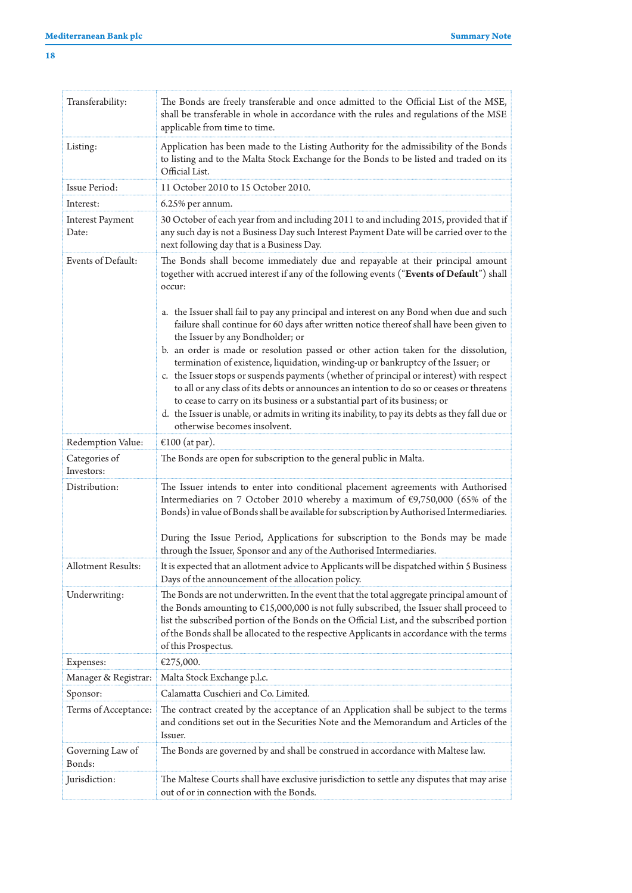| Transferability:                 | The Bonds are freely transferable and once admitted to the Official List of the MSE,<br>shall be transferable in whole in accordance with the rules and regulations of the MSE<br>applicable from time to time.                                                                                                                                                                                                                                                                                                                                                                        |  |
|----------------------------------|----------------------------------------------------------------------------------------------------------------------------------------------------------------------------------------------------------------------------------------------------------------------------------------------------------------------------------------------------------------------------------------------------------------------------------------------------------------------------------------------------------------------------------------------------------------------------------------|--|
| Listing:                         | Application has been made to the Listing Authority for the admissibility of the Bonds<br>to listing and to the Malta Stock Exchange for the Bonds to be listed and traded on its<br>Official List.                                                                                                                                                                                                                                                                                                                                                                                     |  |
| Issue Period:                    | 11 October 2010 to 15 October 2010.                                                                                                                                                                                                                                                                                                                                                                                                                                                                                                                                                    |  |
| Interest:                        | 6.25% per annum.                                                                                                                                                                                                                                                                                                                                                                                                                                                                                                                                                                       |  |
| <b>Interest Payment</b><br>Date: | 30 October of each year from and including 2011 to and including 2015, provided that if<br>any such day is not a Business Day such Interest Payment Date will be carried over to the<br>next following day that is a Business Day.                                                                                                                                                                                                                                                                                                                                                     |  |
| Events of Default:               | The Bonds shall become immediately due and repayable at their principal amount<br>together with accrued interest if any of the following events ("Events of Default") shall<br>occur:                                                                                                                                                                                                                                                                                                                                                                                                  |  |
|                                  | a. the Issuer shall fail to pay any principal and interest on any Bond when due and such<br>failure shall continue for 60 days after written notice thereof shall have been given to<br>the Issuer by any Bondholder; or                                                                                                                                                                                                                                                                                                                                                               |  |
|                                  | b. an order is made or resolution passed or other action taken for the dissolution,<br>termination of existence, liquidation, winding-up or bankruptcy of the Issuer; or<br>c. the Issuer stops or suspends payments (whether of principal or interest) with respect<br>to all or any class of its debts or announces an intention to do so or ceases or threatens<br>to cease to carry on its business or a substantial part of its business; or<br>d. the Issuer is unable, or admits in writing its inability, to pay its debts as they fall due or<br>otherwise becomes insolvent. |  |
| Redemption Value:                | €100 (at par).                                                                                                                                                                                                                                                                                                                                                                                                                                                                                                                                                                         |  |
| Categories of<br>Investors:      | The Bonds are open for subscription to the general public in Malta.                                                                                                                                                                                                                                                                                                                                                                                                                                                                                                                    |  |
| Distribution:                    | The Issuer intends to enter into conditional placement agreements with Authorised<br>Intermediaries on 7 October 2010 whereby a maximum of €9,750,000 (65% of the<br>Bonds) in value of Bonds shall be available for subscription by Authorised Intermediaries.<br>During the Issue Period, Applications for subscription to the Bonds may be made                                                                                                                                                                                                                                     |  |
|                                  | through the Issuer, Sponsor and any of the Authorised Intermediaries.                                                                                                                                                                                                                                                                                                                                                                                                                                                                                                                  |  |
| Allotment Results:               | It is expected that an allotment advice to Applicants will be dispatched within 5 Business<br>Days of the announcement of the allocation policy.                                                                                                                                                                                                                                                                                                                                                                                                                                       |  |
| Underwriting:                    | The Bonds are not underwritten. In the event that the total aggregate principal amount of<br>the Bonds amounting to €15,000,000 is not fully subscribed, the Issuer shall proceed to<br>list the subscribed portion of the Bonds on the Official List, and the subscribed portion<br>of the Bonds shall be allocated to the respective Applicants in accordance with the terms<br>of this Prospectus.                                                                                                                                                                                  |  |
| Expenses:                        | €275,000.                                                                                                                                                                                                                                                                                                                                                                                                                                                                                                                                                                              |  |
| Manager & Registrar:             | Malta Stock Exchange p.l.c.                                                                                                                                                                                                                                                                                                                                                                                                                                                                                                                                                            |  |
| Sponsor:                         | Calamatta Cuschieri and Co. Limited.                                                                                                                                                                                                                                                                                                                                                                                                                                                                                                                                                   |  |
| Terms of Acceptance:             | The contract created by the acceptance of an Application shall be subject to the terms<br>and conditions set out in the Securities Note and the Memorandum and Articles of the<br>Issuer.                                                                                                                                                                                                                                                                                                                                                                                              |  |
| Governing Law of<br>Bonds:       | The Bonds are governed by and shall be construed in accordance with Maltese law.                                                                                                                                                                                                                                                                                                                                                                                                                                                                                                       |  |
| Jurisdiction:                    | The Maltese Courts shall have exclusive jurisdiction to settle any disputes that may arise<br>out of or in connection with the Bonds.                                                                                                                                                                                                                                                                                                                                                                                                                                                  |  |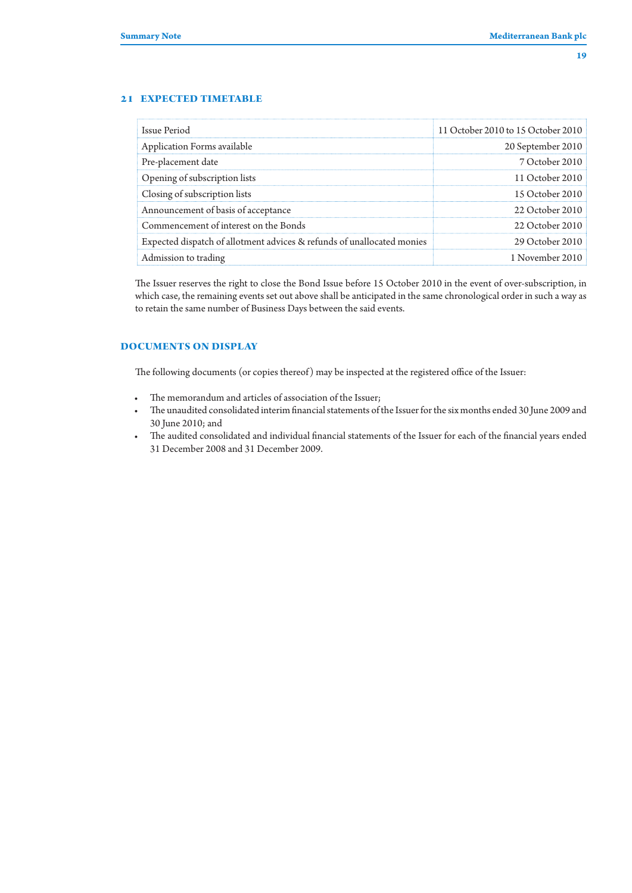# **21 Expected Timetable**

| Issue Period                                                           | 11 October 2010 to 15 October 2010 |
|------------------------------------------------------------------------|------------------------------------|
| Application Forms available                                            | 20 September 2010                  |
| Pre-placement date                                                     | 7 October 2010                     |
| Opening of subscription lists                                          | $11$ October $2010$                |
| Closing of subscription lists                                          | 15 October 2010                    |
| Announcement of basis of acceptance                                    | 22 October 2010                    |
| Commencement of interest on the Bonds                                  | 22 October 2010                    |
| Expected dispatch of allotment advices & refunds of unallocated monies | 29 October 2010                    |
| Admission to trading                                                   | 1 November 2010                    |

The Issuer reserves the right to close the Bond Issue before 15 October 2010 in the event of over-subscription, in which case, the remaining events set out above shall be anticipated in the same chronological order in such a way as to retain the same number of Business Days between the said events.

# **DOCUMENTS ON DISPLAY**

The following documents (or copies thereof) may be inspected at the registered office of the Issuer:

- The memorandum and articles of association of the Issuer;
- The unaudited consolidated interim financial statements of the Issuer for the six months ended 30 June 2009 and 30 June 2010; and
- • The audited consolidated and individual financial statements of the Issuer for each of the financial years ended 31 December 2008 and 31 December 2009.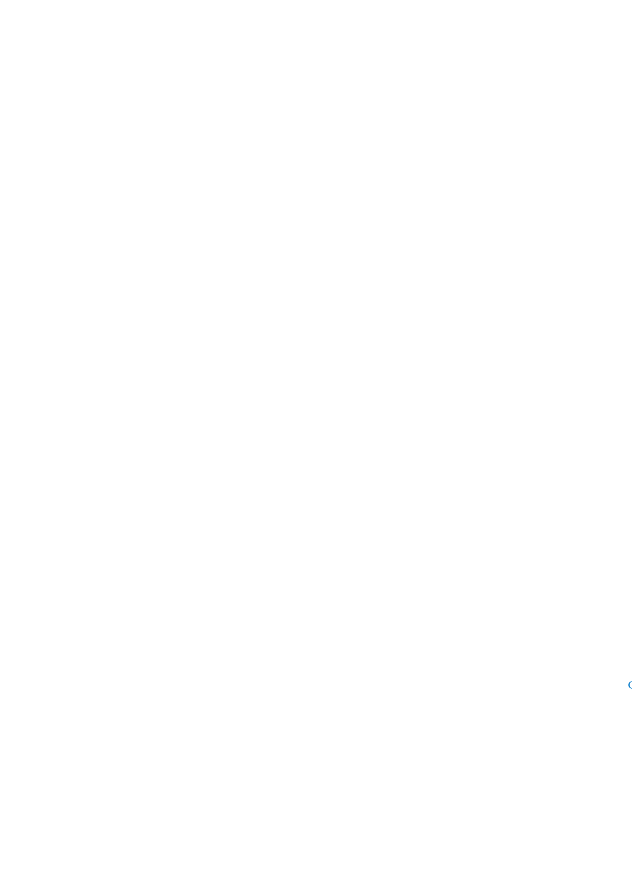$\overline{\mathbf{C}}$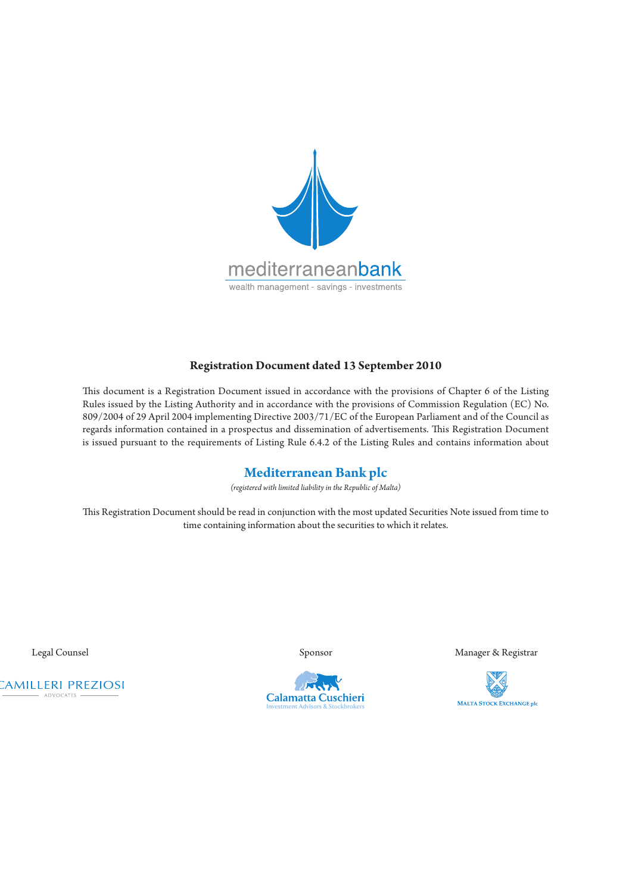

# **Registration Document dated 13 September 2010**

This document is a Registration Document issued in accordance with the provisions of Chapter 6 of the Listing Rules issued by the Listing Authority and in accordance with the provisions of Commission Regulation (EC) No. 809/2004 of 29 April 2004 implementing Directive 2003/71/EC of the European Parliament and of the Council as regards information contained in a prospectus and dissemination of advertisements. This Registration Document is issued pursuant to the requirements of Listing Rule 6.4.2 of the Listing Rules and contains information about

# **Mediterranean Bank plc**

*(registered with limited liability in the Republic of Malta)*

This Registration Document should be read in conjunction with the most updated Securities Note issued from time to time containing information about the securities to which it relates.

**CAMILLERI PREZIOSI** A DAY



Legal Counsel **Sponsor** Sponsor Manager & Registrar

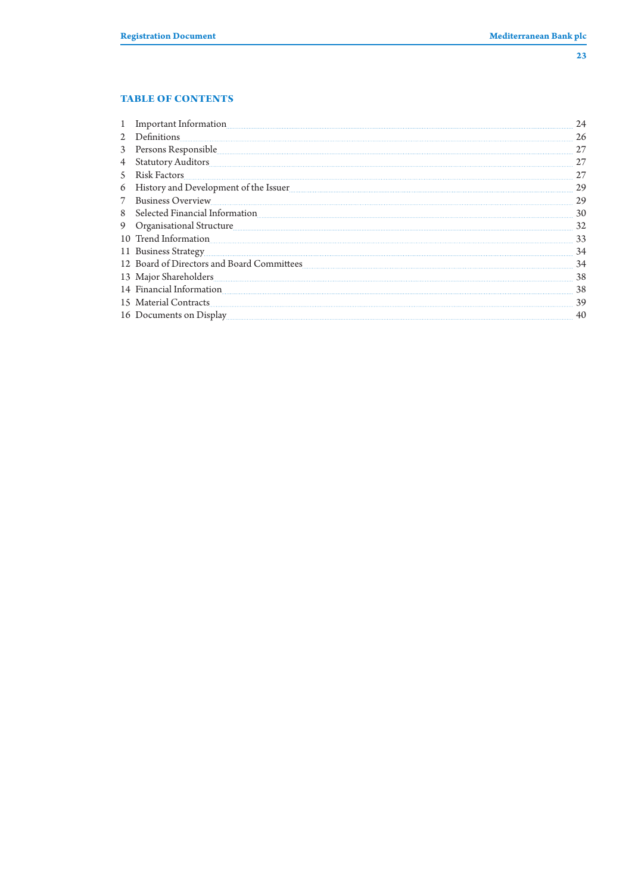# **Table of Contents**

|                | Important Information                                                                         |    |
|----------------|-----------------------------------------------------------------------------------------------|----|
| 2              | Definitions                                                                                   | 26 |
| 3              | Persons Responsible                                                                           | 27 |
| $\overline{4}$ | Statutory Auditors                                                                            |    |
| $\mathcal{S}$  | <b>Risk Factors</b>                                                                           |    |
| 6              | History and Development of the Issuer                                                         | 29 |
| 7              | <b>Business Overview</b>                                                                      | 29 |
| 8              | Selected Financial Information                                                                |    |
| 9              | Organisational Structure                                                                      | 32 |
|                | 10 Trend Information                                                                          | 33 |
|                | 11 Business Strategy                                                                          |    |
|                | 12 Board of Directors and Board Committees                                                    | 34 |
|                | 13 Major Shareholders                                                                         | 38 |
|                | 14 Financial Information                                                                      |    |
|                | 15 Material Contracts                                                                         | 39 |
|                | 16 Documents on Display <b>Section 2018</b> 2014 16 Documents on Display <b>Contract 2018</b> |    |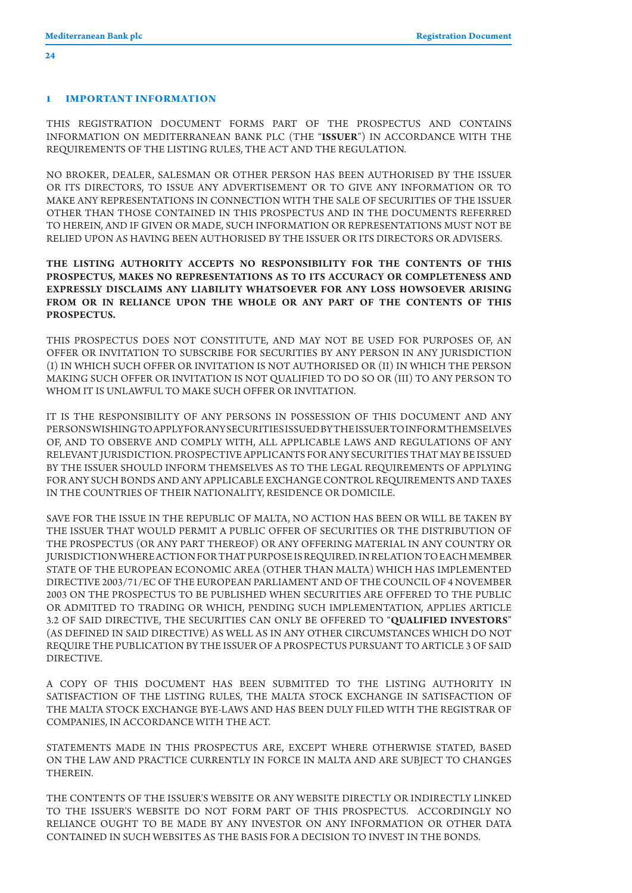## **1 Important Information**

THIS REGISTRATION DOCUMENT FORMS PART OF THE PROSPECTUS AND CONTAINS INFORMATION ON MEDITERRANEAN BANK PLC (THE "**ISSUER**") IN ACCORDANCE WITH THE REQUIREMENTS OF THE LISTING RULES, THE ACT AND THE REGULATION.

NO BROKER, DEALER, SALESMAN OR OTHER PERSON HAS BEEN AUTHORISED BY THE ISSUER OR ITS DIRECTORS, TO ISSUE ANY ADVERTISEMENT OR TO GIVE ANY INFORMATION OR TO MAKE ANY REPRESENTATIONS IN CONNECTION WITH THE SALE OF SECURITIES OF THE ISSUER OTHER THAN THOSE CONTAINED IN THIS PROSPECTUS AND IN THE DOCUMENTS REFERRED TO HEREIN, AND IF GIVEN OR MADE, SUCH INFORMATION OR REPRESENTATIONS MUST NOT BE RELIED UPON AS HAVING BEEN AUTHORISED BY THE ISSUER OR ITS DIRECTORS OR ADVISERS.

## **THE LISTING AUTHORITY ACCEPTS NO RESPONSIBILITY FOR THE CONTENTS OF THIS PROSPECTUS, MAKES NO REPRESENTATIONS AS TO ITS ACCURACY OR COMPLETENESS AND EXPRESSLY DISCLAIMS ANY LIABILITY WHATSOEVER FOR ANY LOSS HOWSOEVER ARISING FROM OR IN RELIANCE UPON THE WHOLE OR ANY PART OF THE CONTENTS OF THIS PROSPECTUS.**

THIS PROSPECTUS DOES NOT CONSTITUTE, AND MAY NOT BE USED FOR PURPOSES OF, AN OFFER OR INVITATION TO SUBSCRIBE FOR SECURITIES BY ANY PERSON IN ANY JURISDICTION (I) IN WHICH SUCH OFFER OR INVITATION IS NOT AUTHORISED OR (II) IN WHICH THE PERSON MAKING SUCH OFFER OR INVITATION IS NOT QUALIFIED TO DO SO OR (III) TO ANY PERSON TO WHOM IT IS UNLAWFUL TO MAKE SUCH OFFER OR INVITATION.

IT IS THE RESPONSIBILITY OF ANY PERSONS IN POSSESSION OF THIS DOCUMENT AND ANY PERSONS WISHING TO APPLY FOR ANY SECURITIES ISSUED BY THE ISSUER TO INFORM THEMSELVES OF, AND TO OBSERVE AND COMPLY WITH, ALL APPLICABLE LAWS AND REGULATIONS OF ANY RELEVANT JURISDICTION. PROSPECTIVE APPLICANTS FOR ANY SECURITIES THAT MAY BE ISSUED BY THE ISSUER SHOULD INFORM THEMSELVES AS TO THE LEGAL REQUIREMENTS OF APPLYING FOR ANY SUCH BONDS AND ANY APPLICABLE EXCHANGE CONTROL REQUIREMENTS AND TAXES IN THE COUNTRIES OF THEIR NATIONALITY, RESIDENCE OR DOMICILE.

SAVE FOR THE ISSUE IN THE REPUBLIC OF MALTA, NO ACTION HAS BEEN OR WILL BE TAKEN BY THE ISSUER THAT WOULD PERMIT A PUBLIC OFFER OF SECURITIES OR THE DISTRIBUTION OF THE PROSPECTUS (OR ANY PART THEREOF) OR ANY OFFERING MATERIAL IN ANY COUNTRY OR JURISDICTION WHERE ACTION FOR THAT PURPOSE IS REQUIRED. IN RELATION TO EACH MEMBER STATE OF THE EUROPEAN ECONOMIC AREA (OTHER THAN MALTA) WHICH HAS IMPLEMENTED DIRECTIVE 2003/71/EC OF THE EUROPEAN PARLIAMENT AND OF THE COUNCIL OF 4 NOVEMBER 2003 ON THE PROSPECTUS TO BE PUBLISHED WHEN SECURITIES ARE OFFERED TO THE PUBLIC OR ADMITTED TO TRADING OR WHICH, PENDING SUCH IMPLEMENTATION, APPLIES ARTICLE 3.2 OF SAID DIRECTIVE, THE SECURITIES CAN ONLY BE OFFERED TO "**QUALIFIED INVESTORS**" (AS DEFINED IN SAID DIRECTIVE) AS WELL AS IN ANY OTHER CIRCUMSTANCES WHICH DO NOT REQUIRE THE PUBLICATION BY THE ISSUER OF A PROSPECTUS PURSUANT TO ARTICLE 3 OF SAID DIRECTIVE.

A COPY OF THIS DOCUMENT HAS BEEN SUBMITTED TO THE LISTING AUTHORITY IN SATISFACTION OF THE LISTING RULES, THE MALTA STOCK EXCHANGE IN SATISFACTION OF THE MALTA STOCK EXCHANGE BYE-LAWS AND HAS BEEN DULY FILED WITH THE REGISTRAR OF COMPANIES, IN ACCORDANCE WITH THE ACT.

STATEMENTS MADE IN THIS PROSPECTUS ARE, EXCEPT WHERE OTHERWISE STATED, BASED ON THE LAW AND PRACTICE CURRENTLY IN FORCE IN MALTA AND ARE SUBJECT TO CHANGES THEREIN.

THE CONTENTS OF THE ISSUER'S WEBSITE OR ANY WEBSITE DIRECTLY OR INDIRECTLY LINKED TO THE ISSUER'S WEBSITE DO NOT FORM PART OF THIS PROSPECTUS. ACCORDINGLY NO RELIANCE OUGHT TO BE MADE BY ANY INVESTOR ON ANY INFORMATION OR OTHER DATA CONTAINED IN SUCH WEBSITES AS THE BASIS FOR A DECISION TO INVEST IN THE BONDS.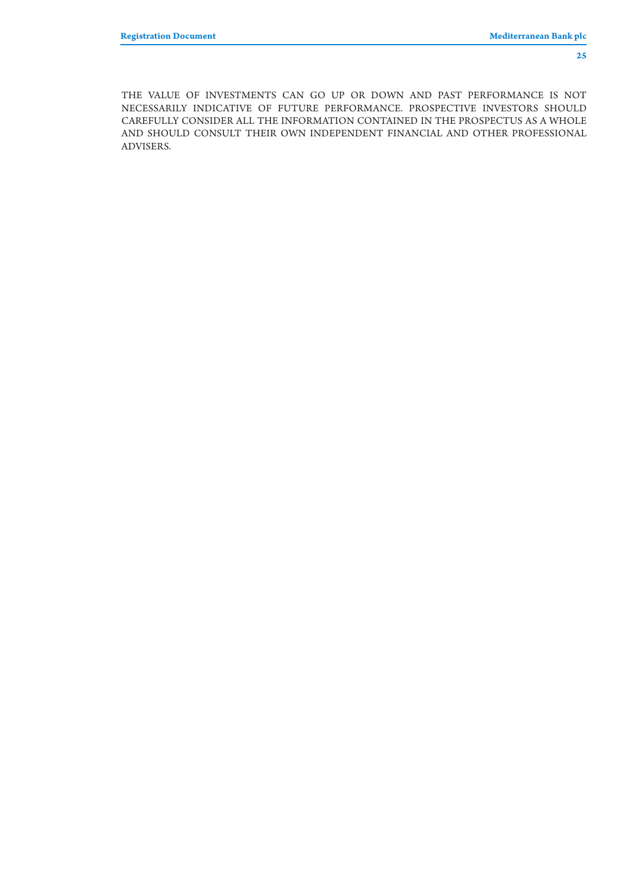THE VALUE OF INVESTMENTS CAN GO UP OR DOWN AND PAST PERFORMANCE IS NOT NECESSARILY INDICATIVE OF FUTURE PERFORMANCE. PROSPECTIVE INVESTORS SHOULD CAREFULLY CONSIDER ALL THE INFORMATION CONTAINED IN THE PROSPECTUS AS A WHOLE AND SHOULD CONSULT THEIR OWN INDEPENDENT FINANCIAL AND OTHER PROFESSIONAL ADVISERS.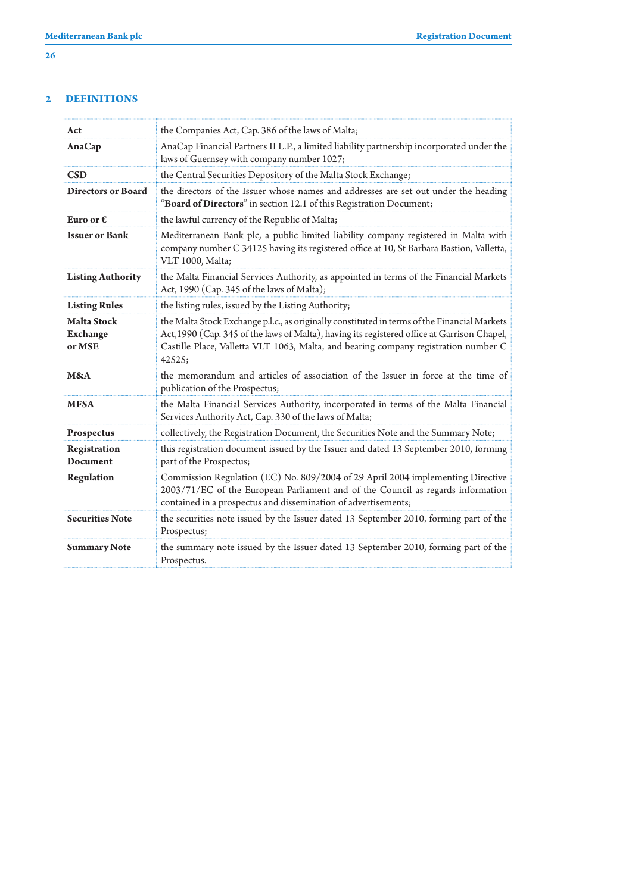# **2 Definitions**

| Act                                             | the Companies Act, Cap. 386 of the laws of Malta;                                                                                                                                                                                                                                            |
|-------------------------------------------------|----------------------------------------------------------------------------------------------------------------------------------------------------------------------------------------------------------------------------------------------------------------------------------------------|
| AnaCap                                          | AnaCap Financial Partners II L.P., a limited liability partnership incorporated under the<br>laws of Guernsey with company number 1027;                                                                                                                                                      |
| $\mathbf{CSD}$                                  | the Central Securities Depository of the Malta Stock Exchange;                                                                                                                                                                                                                               |
| <b>Directors or Board</b>                       | the directors of the Issuer whose names and addresses are set out under the heading<br>"Board of Directors" in section 12.1 of this Registration Document;                                                                                                                                   |
| Euro or $\epsilon$                              | the lawful currency of the Republic of Malta;                                                                                                                                                                                                                                                |
| <b>Issuer or Bank</b>                           | Mediterranean Bank plc, a public limited liability company registered in Malta with<br>company number C 34125 having its registered office at 10, St Barbara Bastion, Valletta,<br>VLT 1000, Malta;                                                                                          |
| <b>Listing Authority</b>                        | the Malta Financial Services Authority, as appointed in terms of the Financial Markets<br>Act, 1990 (Cap. 345 of the laws of Malta);                                                                                                                                                         |
| <b>Listing Rules</b>                            | the listing rules, issued by the Listing Authority;                                                                                                                                                                                                                                          |
| <b>Malta Stock</b><br><b>Exchange</b><br>or MSE | the Malta Stock Exchange p.l.c., as originally constituted in terms of the Financial Markets<br>Act, 1990 (Cap. 345 of the laws of Malta), having its registered office at Garrison Chapel,<br>Castille Place, Valletta VLT 1063, Malta, and bearing company registration number C<br>42525; |
| M&A                                             | the memorandum and articles of association of the Issuer in force at the time of<br>publication of the Prospectus;                                                                                                                                                                           |
| <b>MFSA</b>                                     | the Malta Financial Services Authority, incorporated in terms of the Malta Financial<br>Services Authority Act, Cap. 330 of the laws of Malta;                                                                                                                                               |
| Prospectus                                      | collectively, the Registration Document, the Securities Note and the Summary Note;                                                                                                                                                                                                           |
| Registration<br><b>Document</b>                 | this registration document issued by the Issuer and dated 13 September 2010, forming<br>part of the Prospectus;                                                                                                                                                                              |
| Regulation                                      | Commission Regulation (EC) No. 809/2004 of 29 April 2004 implementing Directive<br>2003/71/EC of the European Parliament and of the Council as regards information<br>contained in a prospectus and dissemination of advertisements;                                                         |
| <b>Securities Note</b>                          | the securities note issued by the Issuer dated 13 September 2010, forming part of the<br>Prospectus;                                                                                                                                                                                         |
| <b>Summary Note</b>                             | the summary note issued by the Issuer dated 13 September 2010, forming part of the<br>Prospectus.                                                                                                                                                                                            |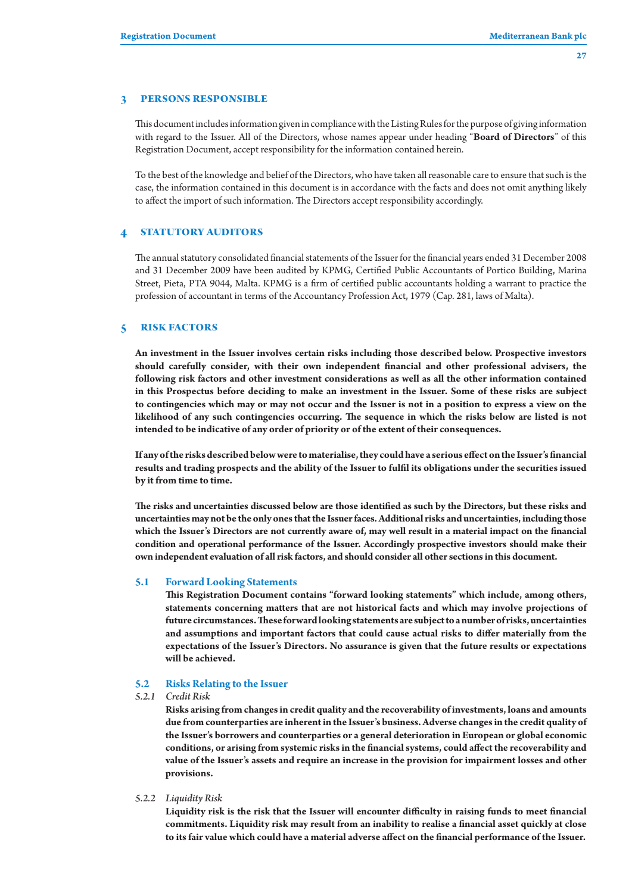# **3 Persons Responsible**

This document includes information given in compliance with the Listing Rules for the purpose of giving information with regard to the Issuer. All of the Directors, whose names appear under heading "**Board of Directors**" of this Registration Document, accept responsibility for the information contained herein.

To the best of the knowledge and belief of the Directors, who have taken all reasonable care to ensure that such is the case, the information contained in this document is in accordance with the facts and does not omit anything likely to affect the import of such information. The Directors accept responsibility accordingly.

## **4 Statutory Auditors**

The annual statutory consolidated financial statements of the Issuer for the financial years ended 31 December 2008 and 31 December 2009 have been audited by KPMG, Certified Public Accountants of Portico Building, Marina Street, Pieta, PTA 9044, Malta. KPMG is a firm of certified public accountants holding a warrant to practice the profession of accountant in terms of the Accountancy Profession Act, 1979 (Cap. 281, laws of Malta).

## **5 Risk Factors**

**An investment in the Issuer involves certain risks including those described below. Prospective investors should carefully consider, with their own independent financial and other professional advisers, the following risk factors and other investment considerations as well as all the other information contained in this Prospectus before deciding to make an investment in the Issuer. Some of these risks are subject to contingencies which may or may not occur and the Issuer is not in a position to express a view on the likelihood of any such contingencies occurring. The sequence in which the risks below are listed is not intended to be indicative of any order of priority or of the extent of their consequences.**

**If any of the risks described below were to materialise, they could have a serious effect on the Issuer's financial results and trading prospects and the ability of the Issuer to fulfil its obligations under the securities issued by it from time to time.**

**The risks and uncertainties discussed below are those identified as such by the Directors, but these risks and uncertainties may not be the only ones that the Issuer faces. Additional risks and uncertainties, including those which the Issuer's Directors are not currently aware of, may well result in a material impact on the financial condition and operational performance of the Issuer. Accordingly prospective investors should make their own independent evaluation of all risk factors, and should consider all other sections in this document.**

#### **5.1 Forward Looking Statements**

**This Registration Document contains "forward looking statements" which include, among others, statements concerning matters that are not historical facts and which may involve projections of future circumstances. These forward looking statements are subject to a number of risks, uncertainties and assumptions and important factors that could cause actual risks to differ materially from the expectations of the Issuer's Directors. No assurance is given that the future results or expectations will be achieved.** 

#### **5.2 Risks Relating to the Issuer**

#### *5.2.1 Credit Risk*

**Risks arising from changes in credit quality and the recoverability of investments, loans and amounts due from counterparties are inherent in the Issuer's business. Adverse changes in the credit quality of the Issuer's borrowers and counterparties or a general deterioration in European or global economic conditions, or arising from systemic risks in the financial systems, could affect the recoverability and value of the Issuer's assets and require an increase in the provision for impairment losses and other provisions.** 

#### *5.2.2 Liquidity Risk*

**Liquidity risk is the risk that the Issuer will encounter difficulty in raising funds to meet financial commitments. Liquidity risk may result from an inability to realise a financial asset quickly at close to its fair value which could have a material adverse affect on the financial performance of the Issuer.**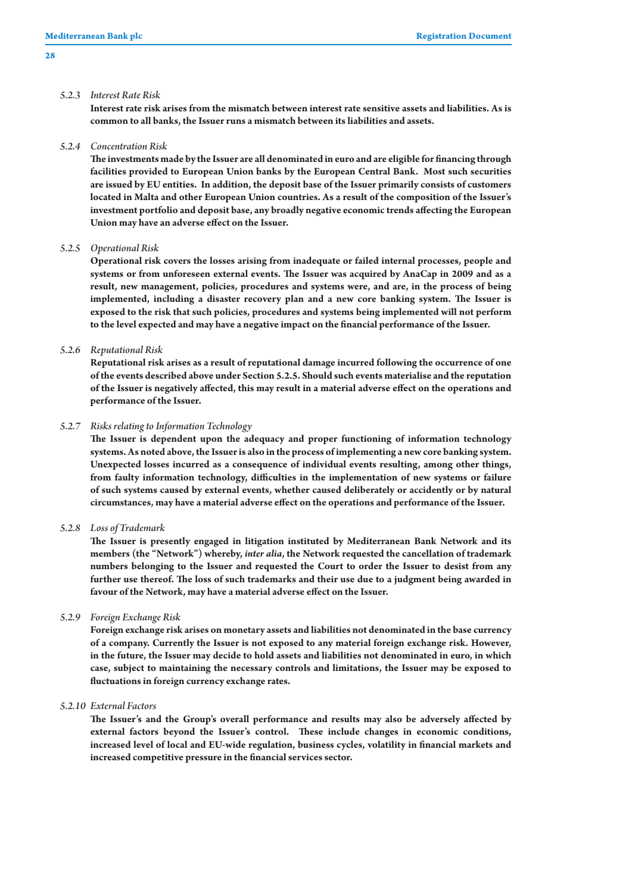#### *5.2.3 Interest Rate Risk*

**Interest rate risk arises from the mismatch between interest rate sensitive assets and liabilities. As is common to all banks, the Issuer runs a mismatch between its liabilities and assets.** 

#### *5.2.4 Concentration Risk*

**The investments made by the Issuer are all denominated in euro and are eligible for financing through facilities provided to European Union banks by the European Central Bank. Most such securities are issued by EU entities. In addition, the deposit base of the Issuer primarily consists of customers located in Malta and other European Union countries. As a result of the composition of the Issuer's investment portfolio and deposit base, any broadly negative economic trends affecting the European Union may have an adverse effect on the Issuer.** 

## *5.2.5 Operational Risk*

**Operational risk covers the losses arising from inadequate or failed internal processes, people and systems or from unforeseen external events. The Issuer was acquired by AnaCap in 2009 and as a result, new management, policies, procedures and systems were, and are, in the process of being implemented, including a disaster recovery plan and a new core banking system. The Issuer is exposed to the risk that such policies, procedures and systems being implemented will not perform to the level expected and may have a negative impact on the financial performance of the Issuer.**

#### *5.2.6 Reputational Risk*

**Reputational risk arises as a result of reputational damage incurred following the occurrence of one of the events described above under Section 5.2.5. Should such events materialise and the reputation of the Issuer is negatively affected, this may result in a material adverse effect on the operations and performance of the Issuer.** 

## *5.2.7 Risks relating to Information Technology*

**The Issuer is dependent upon the adequacy and proper functioning of information technology systems. As noted above, the Issuer is also in the process of implementing a new core banking system. Unexpected losses incurred as a consequence of individual events resulting, among other things, from faulty information technology, difficulties in the implementation of new systems or failure of such systems caused by external events, whether caused deliberately or accidently or by natural circumstances, may have a material adverse effect on the operations and performance of the Issuer.** 

## *5.2.8 Loss of Trademark*

**The Issuer is presently engaged in litigation instituted by Mediterranean Bank Network and its members (the "Network") whereby,** *inter alia***, the Network requested the cancellation of trademark numbers belonging to the Issuer and requested the Court to order the Issuer to desist from any further use thereof. The loss of such trademarks and their use due to a judgment being awarded in favour of the Network, may have a material adverse effect on the Issuer.**

#### *5.2.9 Foreign Exchange Risk*

**Foreign exchange risk arises on monetary assets and liabilities not denominated in the base currency of a company. Currently the Issuer is not exposed to any material foreign exchange risk. However, in the future, the Issuer may decide to hold assets and liabilities not denominated in euro, in which case, subject to maintaining the necessary controls and limitations, the Issuer may be exposed to fluctuations in foreign currency exchange rates.** 

## *5.2.10 External Factors*

**The Issuer's and the Group's overall performance and results may also be adversely affected by external factors beyond the Issuer's control. These include changes in economic conditions, increased level of local and EU-wide regulation, business cycles, volatility in financial markets and increased competitive pressure in the financial services sector.**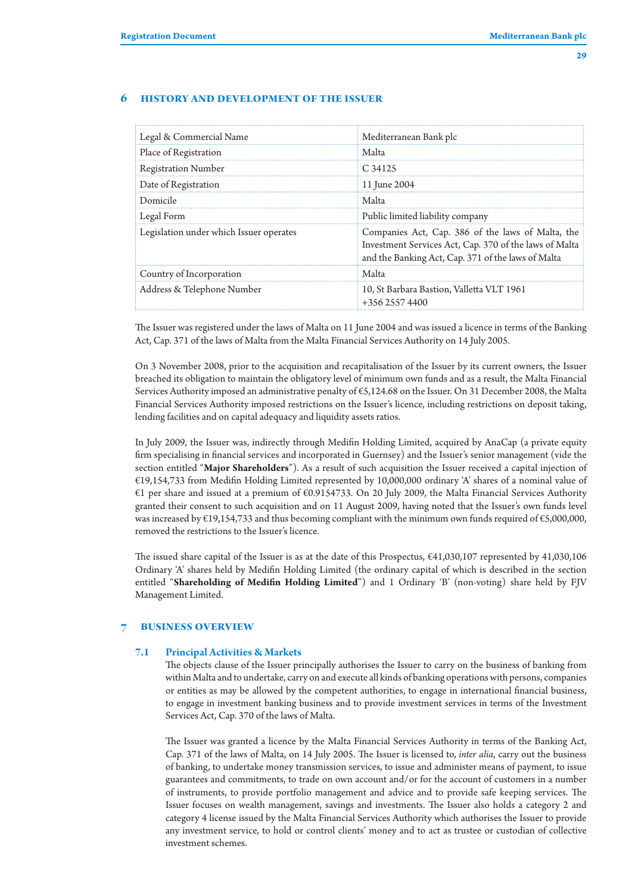| Legal & Commercial Name                 | Mediterranean Bank plc                                                                                                                                            |
|-----------------------------------------|-------------------------------------------------------------------------------------------------------------------------------------------------------------------|
| Place of Registration                   | Malta                                                                                                                                                             |
| <b>Registration Number</b>              | C 34125                                                                                                                                                           |
| Date of Registration                    | 11 June 2004                                                                                                                                                      |
| Domicile                                | Malta                                                                                                                                                             |
| Legal Form                              | Public limited liability company                                                                                                                                  |
| Legislation under which Issuer operates | Companies Act, Cap. 386 of the laws of Malta, the<br>Investment Services Act, Cap. 370 of the laws of Malta<br>and the Banking Act, Cap. 371 of the laws of Malta |
| Country of Incorporation                | Malta                                                                                                                                                             |
| Address & Telephone Number              | 10, St Barbara Bastion, Valletta VLT 1961<br>$+35625574400$                                                                                                       |

## **6 History and Development of the Issuer**

The Issuer was registered under the laws of Malta on 11 June 2004 and was issued a licence in terms of the Banking Act, Cap. 371 of the laws of Malta from the Malta Financial Services Authority on 14 July 2005.

On 3 November 2008, prior to the acquisition and recapitalisation of the Issuer by its current owners, the Issuer breached its obligation to maintain the obligatory level of minimum own funds and as a result, the Malta Financial Services Authority imposed an administrative penalty of €5,124.68 on the Issuer. On 31 December 2008, the Malta Financial Services Authority imposed restrictions on the Issuer's licence, including restrictions on deposit taking, lending facilities and on capital adequacy and liquidity assets ratios.

In July 2009, the Issuer was, indirectly through Medifin Holding Limited, acquired by AnaCap (a private equity firm specialising in financial services and incorporated in Guernsey) and the Issuer's senior management (vide the section entitled "**Major Shareholders**"). As a result of such acquisition the Issuer received a capital injection of €19,154,733 from Medifin Holding Limited represented by 10,000,000 ordinary 'A' shares of a nominal value of €1 per share and issued at a premium of €0.9154733. On 20 July 2009, the Malta Financial Services Authority granted their consent to such acquisition and on 11 August 2009, having noted that the Issuer's own funds level was increased by €19,154,733 and thus becoming compliant with the minimum own funds required of €5,000,000, removed the restrictions to the Issuer's licence.

The issued share capital of the Issuer is as at the date of this Prospectus, €41,030,107 represented by 41,030,106 Ordinary 'A' shares held by Medifin Holding Limited (the ordinary capital of which is described in the section entitled "**Shareholding of Medifin Holding Limited**") and 1 Ordinary 'B' (non-voting) share held by FJV Management Limited.

#### **7 Business Overview**

#### **7.1 Principal Activities & Markets**

The objects clause of the Issuer principally authorises the Issuer to carry on the business of banking from within Malta and to undertake, carry on and execute all kinds of banking operations with persons, companies or entities as may be allowed by the competent authorities, to engage in international financial business, to engage in investment banking business and to provide investment services in terms of the Investment Services Act, Cap. 370 of the laws of Malta.

The Issuer was granted a licence by the Malta Financial Services Authority in terms of the Banking Act, Cap. 371 of the laws of Malta, on 14 July 2005. The Issuer is licensed to, *inter alia*, carry out the business of banking, to undertake money transmission services, to issue and administer means of payment, to issue guarantees and commitments, to trade on own account and/or for the account of customers in a number of instruments, to provide portfolio management and advice and to provide safe keeping services. The Issuer focuses on wealth management, savings and investments. The Issuer also holds a category 2 and category 4 license issued by the Malta Financial Services Authority which authorises the Issuer to provide any investment service, to hold or control clients' money and to act as trustee or custodian of collective investment schemes.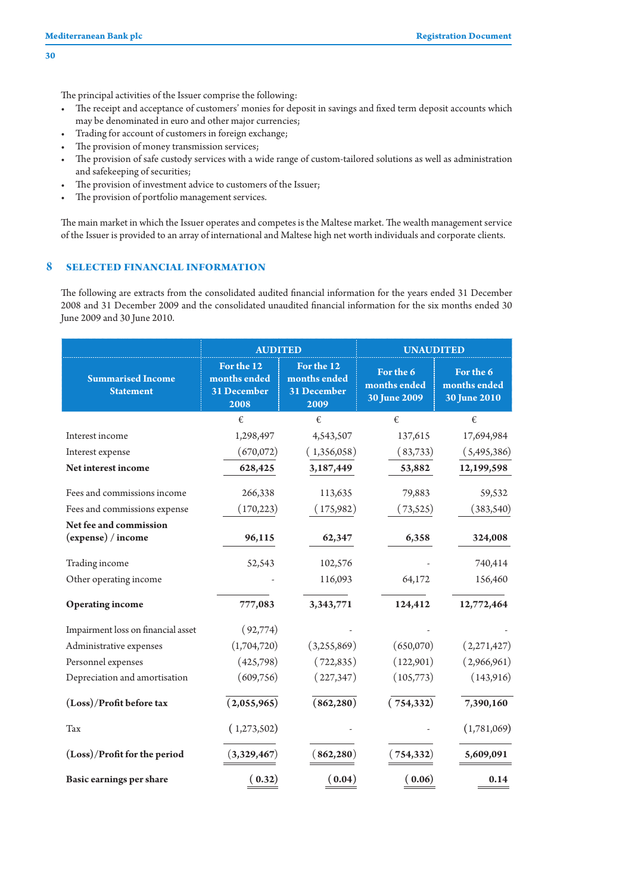The principal activities of the Issuer comprise the following:

- • The receipt and acceptance of customers' monies for deposit in savings and fixed term deposit accounts which may be denominated in euro and other major currencies;
- • Trading for account of customers in foreign exchange;
- • The provision of money transmission services;
- • The provision of safe custody services with a wide range of custom-tailored solutions as well as administration and safekeeping of securities;
- The provision of investment advice to customers of the Issuer;
- • The provision of portfolio management services.

The main market in which the Issuer operates and competes is the Maltese market. The wealth management service of the Issuer is provided to an array of international and Maltese high net worth individuals and corporate clients.

## **8 Selected Financial Information**

The following are extracts from the consolidated audited financial information for the years ended 31 December 2008 and 31 December 2009 and the consolidated unaudited financial information for the six months ended 30 June 2009 and 30 June 2010.

|                                              | <b>AUDITED</b>                                    |                                                          | <b>UNAUDITED</b>                                 |                                                  |
|----------------------------------------------|---------------------------------------------------|----------------------------------------------------------|--------------------------------------------------|--------------------------------------------------|
| <b>Summarised Income</b><br><b>Statement</b> | For the 12<br>months ended<br>31 December<br>2008 | For the 12<br>months ended<br><b>31 December</b><br>2009 | For the 6<br>months ended<br><b>30 June 2009</b> | For the 6<br>months ended<br><b>30 June 2010</b> |
|                                              | €                                                 | €                                                        | €                                                | €                                                |
| Interest income                              | 1,298,497                                         | 4,543,507                                                | 137,615                                          | 17,694,984                                       |
| Interest expense                             | (670,072)                                         | (1,356,058)                                              | (83,733)                                         | (5,495,386)                                      |
| Net interest income                          | 628,425                                           | 3,187,449                                                | 53,882                                           | 12,199,598                                       |
| Fees and commissions income                  | 266,338                                           | 113,635                                                  | 79,883                                           | 59,532                                           |
| Fees and commissions expense                 | (170, 223)                                        | 175,982)                                                 | (73, 525)                                        | (383, 540)                                       |
| Net fee and commission<br>(expense) / income | 96,115                                            | 62,347                                                   | 6,358                                            | 324,008                                          |
| Trading income                               | 52,543                                            | 102,576                                                  |                                                  | 740,414                                          |
| Other operating income                       |                                                   | 116,093                                                  | 64,172                                           | 156,460                                          |
| <b>Operating income</b>                      | 777,083                                           | 3,343,771                                                | 124,412                                          | 12,772,464                                       |
| Impairment loss on financial asset           | (92, 774)                                         |                                                          |                                                  |                                                  |
| Administrative expenses                      | (1,704,720)                                       | (3,255,869)                                              | (650,070)                                        | (2,271,427)                                      |
| Personnel expenses                           | (425,798)                                         | (722, 835)                                               | (122,901)                                        | (2,966,961)                                      |
| Depreciation and amortisation                | (609, 756)                                        | (227, 347)                                               | (105,773)                                        | (143,916)                                        |
| (Loss)/Profit before tax                     | (2,055,965)                                       | (862, 280)                                               | (754, 332)                                       | 7,390,160                                        |
| Tax                                          | (1,273,502)                                       |                                                          |                                                  | (1,781,069)                                      |
| (Loss)/Profit for the period                 | (3,329,467)                                       | (862, 280)                                               | (754, 332)                                       | 5,609,091                                        |
| Basic earnings per share                     | (0.32)                                            | (0.04)                                                   | (0.06)                                           | 0.14                                             |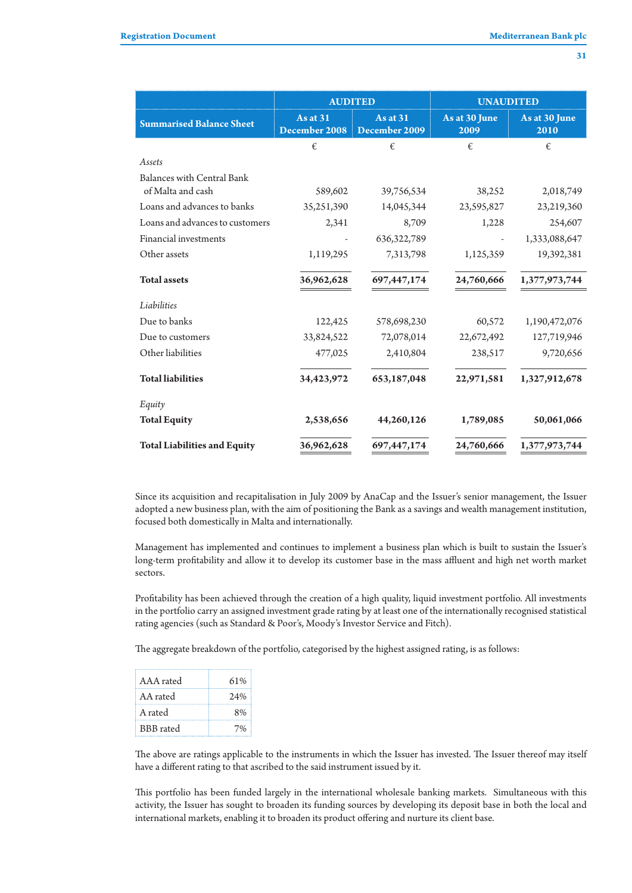|                                                 | <b>AUDITED</b>            |                           | <b>UNAUDITED</b>      |                       |
|-------------------------------------------------|---------------------------|---------------------------|-----------------------|-----------------------|
| <b>Summarised Balance Sheet</b>                 | As at 31<br>December 2008 | As at 31<br>December 2009 | As at 30 June<br>2009 | As at 30 June<br>2010 |
|                                                 | €                         | €                         | €                     | €                     |
| Assets                                          |                           |                           |                       |                       |
| Balances with Central Bank<br>of Malta and cash | 589,602                   | 39,756,534                | 38,252                | 2,018,749             |
| Loans and advances to banks                     | 35,251,390                | 14,045,344                | 23,595,827            | 23,219,360            |
| Loans and advances to customers                 | 2,341                     | 8,709                     | 1,228                 | 254,607               |
| Financial investments                           |                           | 636,322,789               |                       | 1,333,088,647         |
| Other assets                                    | 1,119,295                 | 7,313,798                 | 1,125,359             | 19,392,381            |
| <b>Total assets</b>                             | 36,962,628                | 697,447,174               | 24,760,666            | 1,377,973,744         |
| Liabilities                                     |                           |                           |                       |                       |
| Due to banks                                    | 122,425                   | 578,698,230               | 60,572                | 1,190,472,076         |
| Due to customers                                | 33,824,522                | 72,078,014                | 22,672,492            | 127,719,946           |
| Other liabilities                               | 477,025                   | 2,410,804                 | 238,517               | 9,720,656             |
| <b>Total liabilities</b>                        | 34,423,972                | 653,187,048               | 22,971,581            | 1,327,912,678         |
| Equity                                          |                           |                           |                       |                       |
| <b>Total Equity</b>                             | 2,538,656                 | 44,260,126                | 1,789,085             | 50,061,066            |
| <b>Total Liabilities and Equity</b>             | 36,962,628                | 697,447,174               | 24,760,666            | 1,377,973,744         |

Since its acquisition and recapitalisation in July 2009 by AnaCap and the Issuer's senior management, the Issuer adopted a new business plan, with the aim of positioning the Bank as a savings and wealth management institution, focused both domestically in Malta and internationally.

Management has implemented and continues to implement a business plan which is built to sustain the Issuer's long-term profitability and allow it to develop its customer base in the mass affluent and high net worth market sectors.

Profitability has been achieved through the creation of a high quality, liquid investment portfolio. All investments in the portfolio carry an assigned investment grade rating by at least one of the internationally recognised statistical rating agencies (such as Standard & Poor's, Moody's Investor Service and Fitch).

The aggregate breakdown of the portfolio, categorised by the highest assigned rating, is as follows:

| AAA rated        | 61% |
|------------------|-----|
| AA rated         | 24% |
| A rated          | 8%  |
| <b>BBB</b> rated | 7%  |

The above are ratings applicable to the instruments in which the Issuer has invested. The Issuer thereof may itself have a different rating to that ascribed to the said instrument issued by it.

This portfolio has been funded largely in the international wholesale banking markets. Simultaneous with this activity, the Issuer has sought to broaden its funding sources by developing its deposit base in both the local and international markets, enabling it to broaden its product offering and nurture its client base.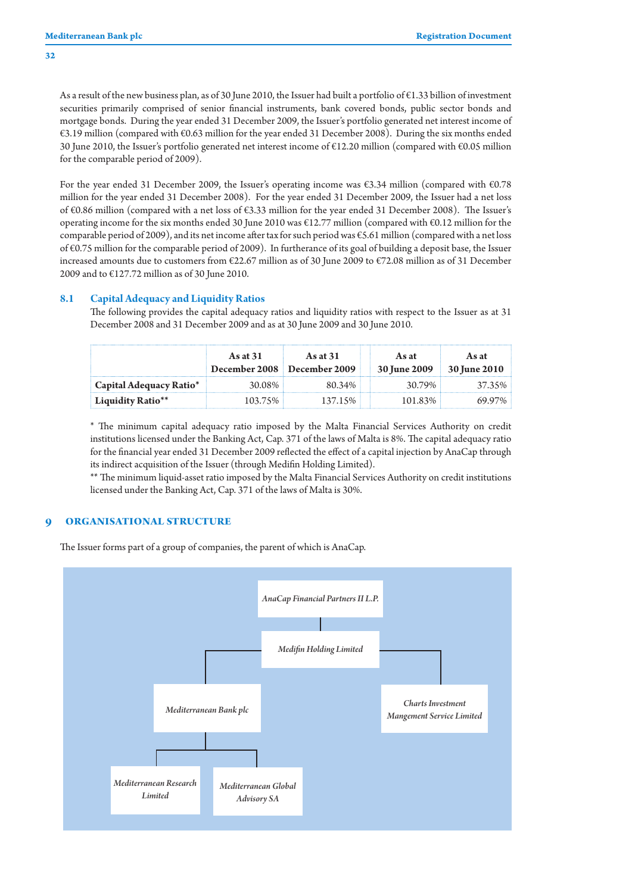As a result of the new business plan, as of 30 June 2010, the Issuer had built a portfolio of €1.33 billion of investment securities primarily comprised of senior financial instruments, bank covered bonds, public sector bonds and mortgage bonds. During the year ended 31 December 2009, the Issuer's portfolio generated net interest income of €3.19 million (compared with €0.63 million for the year ended 31 December 2008). During the six months ended 30 June 2010, the Issuer's portfolio generated net interest income of €12.20 million (compared with €0.05 million for the comparable period of 2009).

For the year ended 31 December 2009, the Issuer's operating income was €3.34 million (compared with €0.78 million for the year ended 31 December 2008). For the year ended 31 December 2009, the Issuer had a net loss of €0.86 million (compared with a net loss of €3.33 million for the year ended 31 December 2008). The Issuer's operating income for the six months ended 30 June 2010 was €12.77 million (compared with €0.12 million for the comparable period of 2009), and its net income after tax for such period was  $\epsilon$ 5.61 million (compared with a net loss of €0.75 million for the comparable period of 2009). In furtherance of its goal of building a deposit base, the Issuer increased amounts due to customers from €22.67 million as of 30 June 2009 to €72.08 million as of 31 December 2009 and to €127.72 million as of 30 June 2010.

## **8.1 Capital Adequacy and Liquidity Ratios**

The following provides the capital adequacy ratios and liquidity ratios with respect to the Issuer as at 31 December 2008 and 31 December 2009 and as at 30 June 2009 and 30 June 2010.

|                                        | As at $31$ | As at $31$<br>December 2008 December 2009 | As at<br><b>30 June 2009</b> | As at<br>30 June 2010 |
|----------------------------------------|------------|-------------------------------------------|------------------------------|-----------------------|
| $\epsilon$ Capital Adequacy Ratio $^*$ | 0.08%      | 80 34%                                    | 30 79%.                      |                       |
| Liquidity Ratio**                      | 03.75%     | 137.15%                                   | 01.83%                       |                       |

\* The minimum capital adequacy ratio imposed by the Malta Financial Services Authority on credit institutions licensed under the Banking Act, Cap. 371 of the laws of Malta is 8%. The capital adequacy ratio for the financial year ended 31 December 2009 reflected the effect of a capital injection by AnaCap through its indirect acquisition of the Issuer (through Medifin Holding Limited).

\*\* The minimum liquid-asset ratio imposed by the Malta Financial Services Authority on credit institutions licensed under the Banking Act, Cap. 371 of the laws of Malta is 30%.

## **9 Organisational Structure**

The Issuer forms part of a group of companies, the parent of which is AnaCap.



## **32**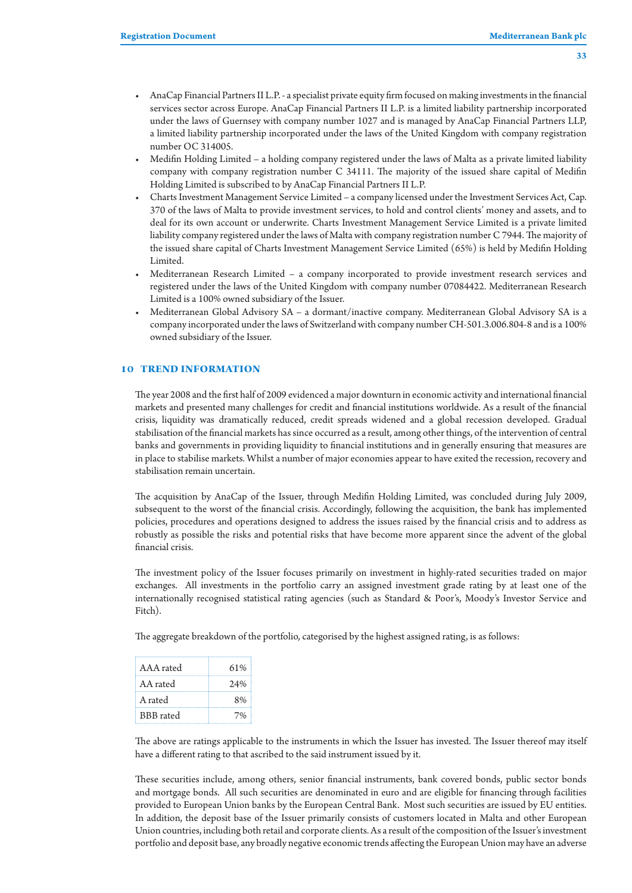- AnaCap Financial Partners II L.P. a specialist private equity firm focused on making investments in the financial services sector across Europe. AnaCap Financial Partners II L.P. is a limited liability partnership incorporated under the laws of Guernsey with company number 1027 and is managed by AnaCap Financial Partners LLP, a limited liability partnership incorporated under the laws of the United Kingdom with company registration number OC 314005.
- Medifin Holding Limited a holding company registered under the laws of Malta as a private limited liability company with company registration number C 34111. The majority of the issued share capital of Medifin Holding Limited is subscribed to by AnaCap Financial Partners II L.P.
- Charts Investment Management Service Limited a company licensed under the Investment Services Act, Cap. 370 of the laws of Malta to provide investment services, to hold and control clients' money and assets, and to deal for its own account or underwrite. Charts Investment Management Service Limited is a private limited liability company registered under the laws of Malta with company registration number C 7944. The majority of the issued share capital of Charts Investment Management Service Limited (65%) is held by Medifin Holding Limited.
- Mediterranean Research Limited a company incorporated to provide investment research services and registered under the laws of the United Kingdom with company number 07084422. Mediterranean Research Limited is a 100% owned subsidiary of the Issuer.
- Mediterranean Global Advisory SA a dormant/inactive company. Mediterranean Global Advisory SA is a company incorporated under the laws of Switzerland with company number CH-501.3.006.804-8 and is a 100% owned subsidiary of the Issuer.

## **10 Trend Information**

The year 2008 and the first half of 2009 evidenced a major downturn in economic activity and international financial markets and presented many challenges for credit and financial institutions worldwide. As a result of the financial crisis, liquidity was dramatically reduced, credit spreads widened and a global recession developed. Gradual stabilisation of the financial markets has since occurred as a result, among other things, of the intervention of central banks and governments in providing liquidity to financial institutions and in generally ensuring that measures are in place to stabilise markets. Whilst a number of major economies appear to have exited the recession, recovery and stabilisation remain uncertain.

The acquisition by AnaCap of the Issuer, through Medifin Holding Limited, was concluded during July 2009, subsequent to the worst of the financial crisis. Accordingly, following the acquisition, the bank has implemented policies, procedures and operations designed to address the issues raised by the financial crisis and to address as robustly as possible the risks and potential risks that have become more apparent since the advent of the global financial crisis.

The investment policy of the Issuer focuses primarily on investment in highly-rated securities traded on major exchanges. All investments in the portfolio carry an assigned investment grade rating by at least one of the internationally recognised statistical rating agencies (such as Standard & Poor's, Moody's Investor Service and Fitch).

The aggregate breakdown of the portfolio, categorised by the highest assigned rating, is as follows:

| AAA rated        | 61% |
|------------------|-----|
| AA rated         | 24% |
| A rated          | 8%  |
| <b>BBB</b> rated | 7%  |

The above are ratings applicable to the instruments in which the Issuer has invested. The Issuer thereof may itself have a different rating to that ascribed to the said instrument issued by it.

These securities include, among others, senior financial instruments, bank covered bonds, public sector bonds and mortgage bonds. All such securities are denominated in euro and are eligible for financing through facilities provided to European Union banks by the European Central Bank. Most such securities are issued by EU entities. In addition, the deposit base of the Issuer primarily consists of customers located in Malta and other European Union countries, including both retail and corporate clients. As a result of the composition of the Issuer's investment portfolio and deposit base, any broadly negative economic trends affecting the European Union may have an adverse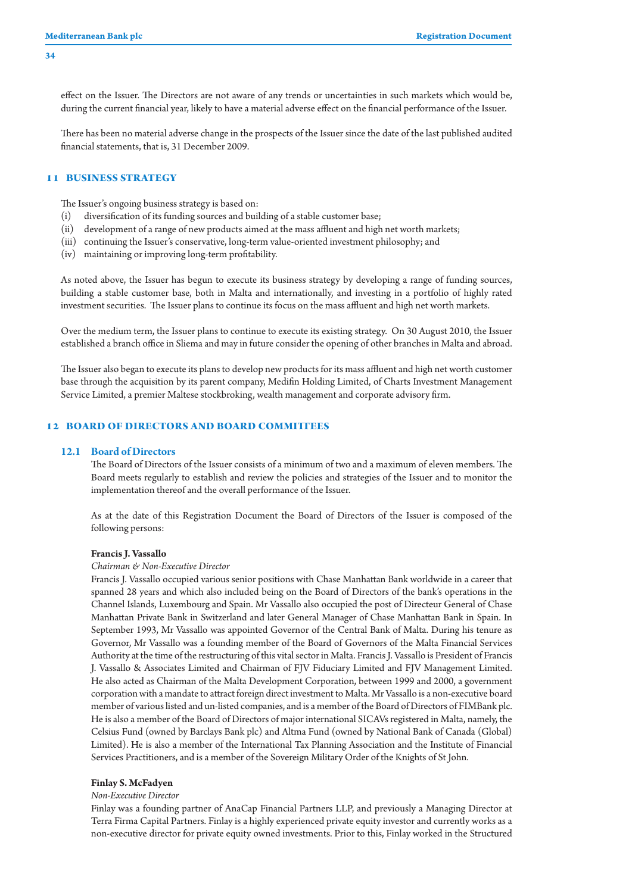effect on the Issuer. The Directors are not aware of any trends or uncertainties in such markets which would be, during the current financial year, likely to have a material adverse effect on the financial performance of the Issuer.

There has been no material adverse change in the prospects of the Issuer since the date of the last published audited financial statements, that is, 31 December 2009.

## **11 Business Strategy**

The Issuer's ongoing business strategy is based on:

- (i) diversification of its funding sources and building of a stable customer base;
- (ii) development of a range of new products aimed at the mass affluent and high net worth markets;
- (iii) continuing the Issuer's conservative, long-term value-oriented investment philosophy; and
- (iv) maintaining or improving long-term profitability.

As noted above, the Issuer has begun to execute its business strategy by developing a range of funding sources, building a stable customer base, both in Malta and internationally, and investing in a portfolio of highly rated investment securities. The Issuer plans to continue its focus on the mass affluent and high net worth markets.

Over the medium term, the Issuer plans to continue to execute its existing strategy. On 30 August 2010, the Issuer established a branch office in Sliema and may in future consider the opening of other branches in Malta and abroad.

The Issuer also began to execute its plans to develop new products for its mass affluent and high net worth customer base through the acquisition by its parent company, Medifin Holding Limited, of Charts Investment Management Service Limited, a premier Maltese stockbroking, wealth management and corporate advisory firm.

## **12 Board of Directors and Board Committees**

## **12.1 Board of Directors**

The Board of Directors of the Issuer consists of a minimum of two and a maximum of eleven members. The Board meets regularly to establish and review the policies and strategies of the Issuer and to monitor the implementation thereof and the overall performance of the Issuer.

As at the date of this Registration Document the Board of Directors of the Issuer is composed of the following persons:

#### **Francis J. Vassallo**

#### *Chairman & Non-Executive Director*

Francis J. Vassallo occupied various senior positions with Chase Manhattan Bank worldwide in a career that spanned 28 years and which also included being on the Board of Directors of the bank's operations in the Channel Islands, Luxembourg and Spain. Mr Vassallo also occupied the post of Directeur General of Chase Manhattan Private Bank in Switzerland and later General Manager of Chase Manhattan Bank in Spain. In September 1993, Mr Vassallo was appointed Governor of the Central Bank of Malta. During his tenure as Governor, Mr Vassallo was a founding member of the Board of Governors of the Malta Financial Services Authority at the time of the restructuring of this vital sector in Malta. Francis J. Vassallo is President of Francis J. Vassallo & Associates Limited and Chairman of FJV Fiduciary Limited and FJV Management Limited. He also acted as Chairman of the Malta Development Corporation, between 1999 and 2000, a government corporation with a mandate to attract foreign direct investment to Malta. Mr Vassallo is a non-executive board member of various listed and un-listed companies, and is a member of the Board of Directors of FIMBank plc. He is also a member of the Board of Directors of major international SICAVs registered in Malta, namely, the Celsius Fund (owned by Barclays Bank plc) and Altma Fund (owned by National Bank of Canada (Global) Limited). He is also a member of the International Tax Planning Association and the Institute of Financial Services Practitioners, and is a member of the Sovereign Military Order of the Knights of St John.

## **Finlay S. McFadyen**

# *Non-Executive Director*

Finlay was a founding partner of AnaCap Financial Partners LLP, and previously a Managing Director at Terra Firma Capital Partners. Finlay is a highly experienced private equity investor and currently works as a non-executive director for private equity owned investments. Prior to this, Finlay worked in the Structured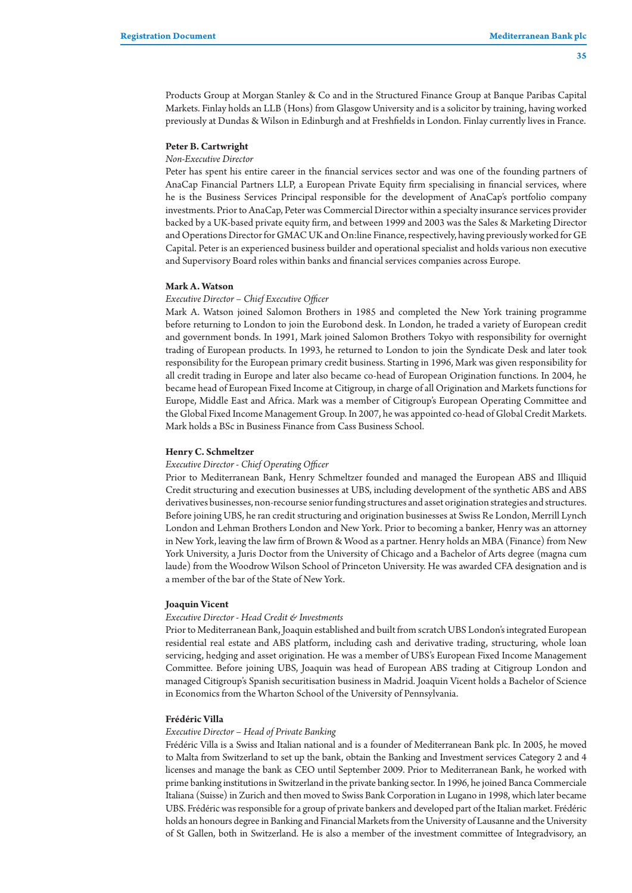Products Group at Morgan Stanley & Co and in the Structured Finance Group at Banque Paribas Capital Markets. Finlay holds an LLB (Hons) from Glasgow University and is a solicitor by training, having worked previously at Dundas & Wilson in Edinburgh and at Freshfields in London. Finlay currently lives in France.

## **Peter B. Cartwright**

#### *Non-Executive Director*

Peter has spent his entire career in the financial services sector and was one of the founding partners of AnaCap Financial Partners LLP, a European Private Equity firm specialising in financial services, where he is the Business Services Principal responsible for the development of AnaCap's portfolio company investments. Prior to AnaCap, Peter was Commercial Director within a specialty insurance services provider backed by a UK-based private equity firm, and between 1999 and 2003 was the Sales & Marketing Director and Operations Director for GMAC UK and On:line Finance, respectively, having previously worked for GE Capital. Peter is an experienced business builder and operational specialist and holds various non executive and Supervisory Board roles within banks and financial services companies across Europe.

#### **Mark A. Watson**

#### *Executive Director – Chief Executive Officer*

Mark A. Watson joined Salomon Brothers in 1985 and completed the New York training programme before returning to London to join the Eurobond desk. In London, he traded a variety of European credit and government bonds. In 1991, Mark joined Salomon Brothers Tokyo with responsibility for overnight trading of European products. In 1993, he returned to London to join the Syndicate Desk and later took responsibility for the European primary credit business. Starting in 1996, Mark was given responsibility for all credit trading in Europe and later also became co-head of European Origination functions. In 2004, he became head of European Fixed Income at Citigroup, in charge of all Origination and Markets functions for Europe, Middle East and Africa. Mark was a member of Citigroup's European Operating Committee and the Global Fixed Income Management Group. In 2007, he was appointed co-head of Global Credit Markets. Mark holds a BSc in Business Finance from Cass Business School.

#### **Henry C. Schmeltzer**

#### *Executive Director - Chief Operating Officer*

Prior to Mediterranean Bank, Henry Schmeltzer founded and managed the European ABS and Illiquid Credit structuring and execution businesses at UBS, including development of the synthetic ABS and ABS derivatives businesses, non-recourse senior funding structures and asset origination strategies and structures. Before joining UBS, he ran credit structuring and origination businesses at Swiss Re London, Merrill Lynch London and Lehman Brothers London and New York. Prior to becoming a banker, Henry was an attorney in New York, leaving the law firm of Brown & Wood as a partner. Henry holds an MBA (Finance) from New York University, a Juris Doctor from the University of Chicago and a Bachelor of Arts degree (magna cum laude) from the Woodrow Wilson School of Princeton University. He was awarded CFA designation and is a member of the bar of the State of New York.

#### **Joaquin Vicent**

#### *Executive Director - Head Credit & Investments*

Prior to Mediterranean Bank, Joaquin established and built from scratch UBS London's integrated European residential real estate and ABS platform, including cash and derivative trading, structuring, whole loan servicing, hedging and asset origination. He was a member of UBS's European Fixed Income Management Committee. Before joining UBS, Joaquin was head of European ABS trading at Citigroup London and managed Citigroup's Spanish securitisation business in Madrid. Joaquin Vicent holds a Bachelor of Science in Economics from the Wharton School of the University of Pennsylvania.

## **Frédéric Villa**

#### *Executive Director – Head of Private Banking*

Frédéric Villa is a Swiss and Italian national and is a founder of Mediterranean Bank plc. In 2005, he moved to Malta from Switzerland to set up the bank, obtain the Banking and Investment services Category 2 and 4 licenses and manage the bank as CEO until September 2009. Prior to Mediterranean Bank, he worked with prime banking institutions in Switzerland in the private banking sector. In 1996, he joined Banca Commerciale Italiana (Suisse) in Zurich and then moved to Swiss Bank Corporation in Lugano in 1998, which later became UBS. Frédéric was responsible for a group of private bankers and developed part of the Italian market. Frédéric holds an honours degree in Banking and Financial Markets from the University of Lausanne and the University of St Gallen, both in Switzerland. He is also a member of the investment committee of Integradvisory, an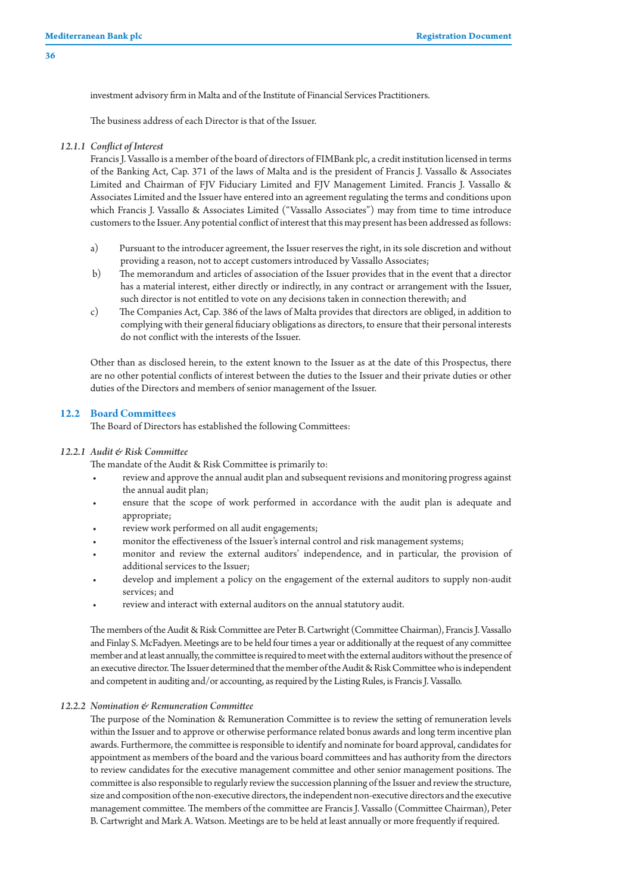investment advisory firm in Malta and of the Institute of Financial Services Practitioners.

The business address of each Director is that of the Issuer.

#### *12.1.1 Conflict of Interest*

Francis J. Vassallo is a member of the board of directors of FIMBank plc, a credit institution licensed in terms of the Banking Act, Cap. 371 of the laws of Malta and is the president of Francis J. Vassallo & Associates Limited and Chairman of FJV Fiduciary Limited and FJV Management Limited. Francis J. Vassallo & Associates Limited and the Issuer have entered into an agreement regulating the terms and conditions upon which Francis J. Vassallo & Associates Limited ("Vassallo Associates") may from time to time introduce customers to the Issuer. Any potential conflict of interest that this may present has been addressed as follows:

- a) Pursuant to the introducer agreement, the Issuer reserves the right, in its sole discretion and without providing a reason, not to accept customers introduced by Vassallo Associates;
- b) The memorandum and articles of association of the Issuer provides that in the event that a director has a material interest, either directly or indirectly, in any contract or arrangement with the Issuer, such director is not entitled to vote on any decisions taken in connection therewith; and
- c) The Companies Act, Cap. 386 of the laws of Malta provides that directors are obliged, in addition to complying with their general fiduciary obligations as directors, to ensure that their personal interests do not conflict with the interests of the Issuer.

Other than as disclosed herein, to the extent known to the Issuer as at the date of this Prospectus, there are no other potential conflicts of interest between the duties to the Issuer and their private duties or other duties of the Directors and members of senior management of the Issuer.

## **12.2 Board Committees**

The Board of Directors has established the following Committees:

## *12.2.1 Audit & Risk Committee*

The mandate of the Audit & Risk Committee is primarily to:

- • review and approve the annual audit plan and subsequent revisions and monitoring progress against the annual audit plan;
- ensure that the scope of work performed in accordance with the audit plan is adequate and appropriate;
- review work performed on all audit engagements;
- monitor the effectiveness of the Issuer's internal control and risk management systems;
- monitor and review the external auditors' independence, and in particular, the provision of additional services to the Issuer;
- develop and implement a policy on the engagement of the external auditors to supply non-audit services; and
- review and interact with external auditors on the annual statutory audit.

The members of the Audit & Risk Committee are Peter B. Cartwright (Committee Chairman), Francis J. Vassallo and Finlay S. McFadyen. Meetings are to be held four times a year or additionally at the request of any committee member and at least annually, the committee is required to meet with the external auditors without the presence of an executive director. The Issuer determined that the member of the Audit & Risk Committee who is independent and competent in auditing and/or accounting, as required by the Listing Rules, is Francis J. Vassallo.

## *12.2.2 Nomination & Remuneration Committee*

The purpose of the Nomination & Remuneration Committee is to review the setting of remuneration levels within the Issuer and to approve or otherwise performance related bonus awards and long term incentive plan awards. Furthermore, the committee is responsible to identify and nominate for board approval, candidates for appointment as members of the board and the various board committees and has authority from the directors to review candidates for the executive management committee and other senior management positions. The committee is also responsible to regularly review the succession planning of the Issuer and review the structure, size and composition of the non-executive directors, the independent non-executive directors and the executive management committee. The members of the committee are Francis J. Vassallo (Committee Chairman), Peter B. Cartwright and Mark A. Watson. Meetings are to be held at least annually or more frequently if required.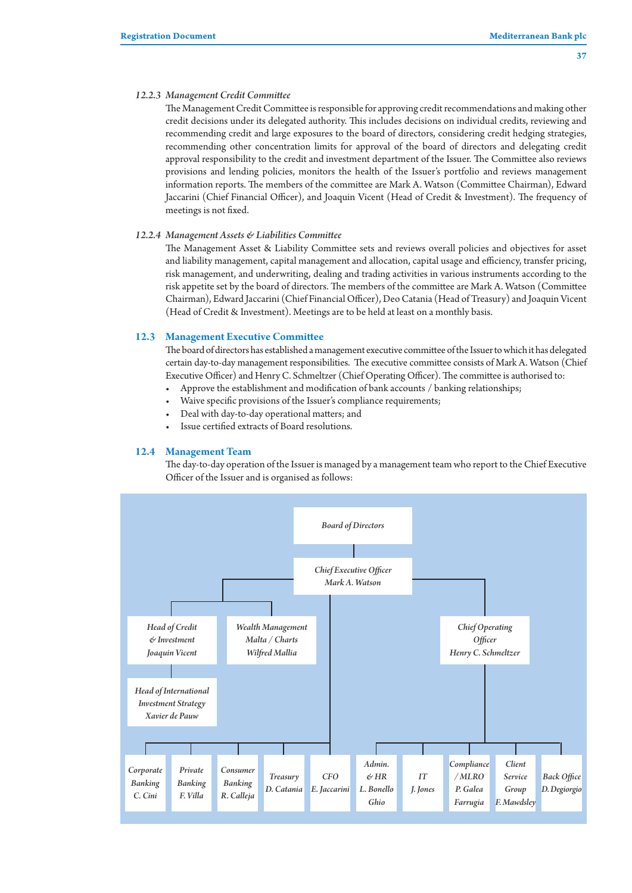#### *12.2.3 Management Credit Committee*

The Management Credit Committee is responsible for approving credit recommendations and making other credit decisions under its delegated authority. This includes decisions on individual credits, reviewing and recommending credit and large exposures to the board of directors, considering credit hedging strategies, recommending other concentration limits for approval of the board of directors and delegating credit approval responsibility to the credit and investment department of the Issuer. The Committee also reviews provisions and lending policies, monitors the health of the Issuer's portfolio and reviews management information reports. The members of the committee are Mark A. Watson (Committee Chairman), Edward Jaccarini (Chief Financial Officer), and Joaquin Vicent (Head of Credit & Investment). The frequency of meetings is not fixed.

#### *12.2.4 Management Assets & Liabilities Committee*

The Management Asset & Liability Committee sets and reviews overall policies and objectives for asset and liability management, capital management and allocation, capital usage and efficiency, transfer pricing, risk management, and underwriting, dealing and trading activities in various instruments according to the risk appetite set by the board of directors. The members of the committee are Mark A. Watson (Committee Chairman), Edward Jaccarini (Chief Financial Officer), Deo Catania (Head of Treasury) and Joaquin Vicent (Head of Credit & Investment). Meetings are to be held at least on a monthly basis.

## **12.3 Management Executive Committee**

The board of directors has established a management executive committee of the Issuer to which it has delegated certain day-to-day management responsibilities. The executive committee consists of Mark A. Watson (Chief Executive Officer) and Henry C. Schmeltzer (Chief Operating Officer). The committee is authorised to:

- Approve the establishment and modification of bank accounts / banking relationships;
- Waive specific provisions of the Issuer's compliance requirements;
- Deal with day-to-day operational matters; and
- Issue certified extracts of Board resolutions.

## **12.4 Management Team**

The day-to-day operation of the Issuer is managed by a management team who report to the Chief Executive Officer of the Issuer and is organised as follows:

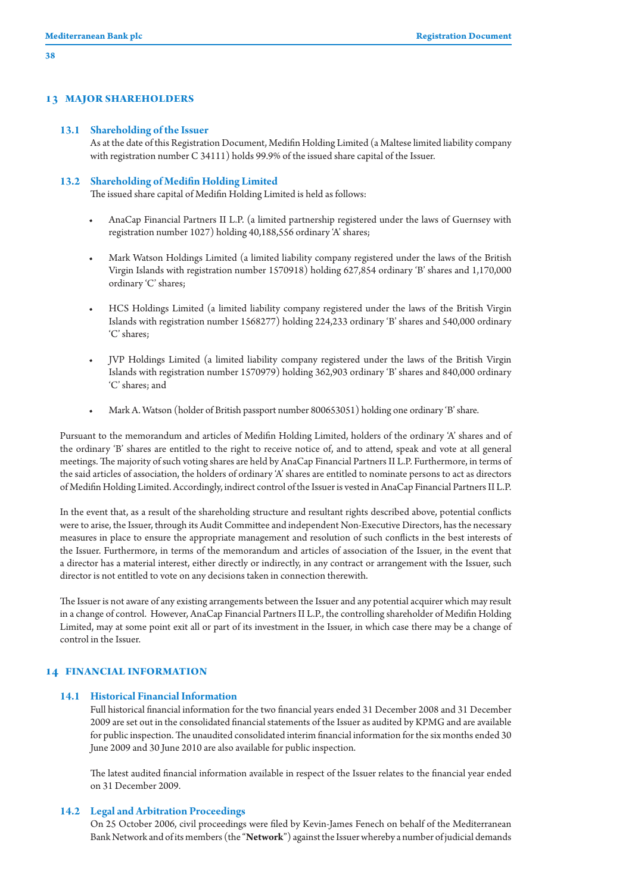## **13 Major Shareholders**

#### **13.1 Shareholding of the Issuer**

As at the date of this Registration Document, Medifin Holding Limited (a Maltese limited liability company with registration number C 34111) holds 99.9% of the issued share capital of the Issuer.

## **13.2 Shareholding of Medifin Holding Limited**

The issued share capital of Medifin Holding Limited is held as follows:

- *•* AnaCap Financial Partners II L.P. (a limited partnership registered under the laws of Guernsey with registration number 1027) holding 40,188,556 ordinary 'A' shares;
- *•* Mark Watson Holdings Limited (a limited liability company registered under the laws of the British Virgin Islands with registration number 1570918) holding 627,854 ordinary 'B' shares and 1,170,000 ordinary 'C' shares;
- *•* HCS Holdings Limited (a limited liability company registered under the laws of the British Virgin Islands with registration number 1568277) holding 224,233 ordinary 'B' shares and 540,000 ordinary 'C' shares;
- *•* JVP Holdings Limited (a limited liability company registered under the laws of the British Virgin Islands with registration number 1570979) holding 362,903 ordinary 'B' shares and 840,000 ordinary 'C' shares; and
- *•* Mark A. Watson (holder of British passport number 800653051) holding one ordinary 'B' share.

Pursuant to the memorandum and articles of Medifin Holding Limited, holders of the ordinary 'A' shares and of the ordinary 'B' shares are entitled to the right to receive notice of, and to attend, speak and vote at all general meetings. The majority of such voting shares are held by AnaCap Financial Partners II L.P. Furthermore, in terms of the said articles of association, the holders of ordinary 'A' shares are entitled to nominate persons to act as directors of Medifin Holding Limited. Accordingly, indirect control of the Issuer is vested in AnaCap Financial Partners II L.P.

In the event that, as a result of the shareholding structure and resultant rights described above, potential conflicts were to arise, the Issuer, through its Audit Committee and independent Non-Executive Directors, has the necessary measures in place to ensure the appropriate management and resolution of such conflicts in the best interests of the Issuer. Furthermore, in terms of the memorandum and articles of association of the Issuer, in the event that a director has a material interest, either directly or indirectly, in any contract or arrangement with the Issuer, such director is not entitled to vote on any decisions taken in connection therewith.

The Issuer is not aware of any existing arrangements between the Issuer and any potential acquirer which may result in a change of control. However, AnaCap Financial Partners II L.P., the controlling shareholder of Medifin Holding Limited, may at some point exit all or part of its investment in the Issuer, in which case there may be a change of control in the Issuer.

## **14 Financial Information**

#### **14.1 Historical Financial Information**

Full historical financial information for the two financial years ended 31 December 2008 and 31 December 2009 are set out in the consolidated financial statements of the Issuer as audited by KPMG and are available for public inspection. The unaudited consolidated interim financial information for the six months ended 30 June 2009 and 30 June 2010 are also available for public inspection.

The latest audited financial information available in respect of the Issuer relates to the financial year ended on 31 December 2009.

## **14.2 Legal and Arbitration Proceedings**

On 25 October 2006, civil proceedings were filed by Kevin-James Fenech on behalf of the Mediterranean Bank Network and of its members (the "**Network**") against the Issuer whereby a number of judicial demands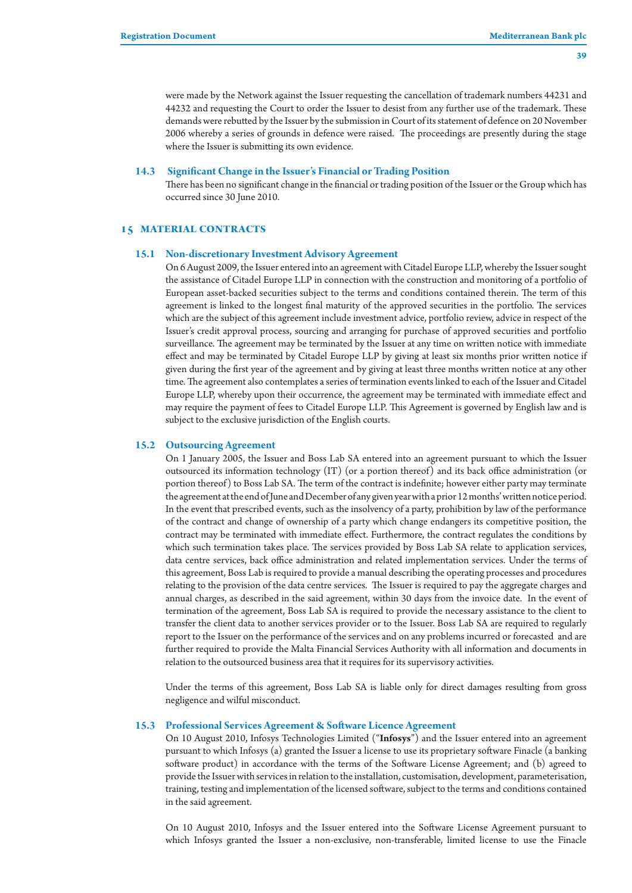were made by the Network against the Issuer requesting the cancellation of trademark numbers 44231 and 44232 and requesting the Court to order the Issuer to desist from any further use of the trademark. These demands were rebutted by the Issuer by the submission in Court of its statement of defence on 20 November 2006 whereby a series of grounds in defence were raised. The proceedings are presently during the stage where the Issuer is submitting its own evidence.

#### **14.3 Significant Change in the Issuer's Financial or Trading Position**

There has been no significant change in the financial or trading position of the Issuer or the Group which has occurred since 30 June 2010.

## **15 Material Contracts**

#### **15.1 Non-discretionary Investment Advisory Agreement**

On 6 August 2009, the Issuer entered into an agreement with Citadel Europe LLP, whereby the Issuer sought the assistance of Citadel Europe LLP in connection with the construction and monitoring of a portfolio of European asset-backed securities subject to the terms and conditions contained therein. The term of this agreement is linked to the longest final maturity of the approved securities in the portfolio. The services which are the subject of this agreement include investment advice, portfolio review, advice in respect of the Issuer's credit approval process, sourcing and arranging for purchase of approved securities and portfolio surveillance. The agreement may be terminated by the Issuer at any time on written notice with immediate effect and may be terminated by Citadel Europe LLP by giving at least six months prior written notice if given during the first year of the agreement and by giving at least three months written notice at any other time. The agreement also contemplates a series of termination events linked to each of the Issuer and Citadel Europe LLP, whereby upon their occurrence, the agreement may be terminated with immediate effect and may require the payment of fees to Citadel Europe LLP. This Agreement is governed by English law and is subject to the exclusive jurisdiction of the English courts.

#### **15.2 Outsourcing Agreement**

On 1 January 2005, the Issuer and Boss Lab SA entered into an agreement pursuant to which the Issuer outsourced its information technology (IT) (or a portion thereof) and its back office administration (or portion thereof) to Boss Lab SA. The term of the contract is indefinite; however either party may terminate the agreement at the end of June and December of any given year with a prior 12 months' written notice period. In the event that prescribed events, such as the insolvency of a party, prohibition by law of the performance of the contract and change of ownership of a party which change endangers its competitive position, the contract may be terminated with immediate effect. Furthermore, the contract regulates the conditions by which such termination takes place. The services provided by Boss Lab SA relate to application services, data centre services, back office administration and related implementation services. Under the terms of this agreement, Boss Lab is required to provide a manual describing the operating processes and procedures relating to the provision of the data centre services. The Issuer is required to pay the aggregate charges and annual charges, as described in the said agreement, within 30 days from the invoice date. In the event of termination of the agreement, Boss Lab SA is required to provide the necessary assistance to the client to transfer the client data to another services provider or to the Issuer. Boss Lab SA are required to regularly report to the Issuer on the performance of the services and on any problems incurred or forecasted and are further required to provide the Malta Financial Services Authority with all information and documents in relation to the outsourced business area that it requires for its supervisory activities.

Under the terms of this agreement, Boss Lab SA is liable only for direct damages resulting from gross negligence and wilful misconduct.

#### **15.3 Professional Services Agreement & Software Licence Agreement**

On 10 August 2010, Infosys Technologies Limited ("**Infosys**") and the Issuer entered into an agreement pursuant to which Infosys (a) granted the Issuer a license to use its proprietary software Finacle (a banking software product) in accordance with the terms of the Software License Agreement; and (b) agreed to provide the Issuer with services in relation to the installation, customisation, development, parameterisation, training, testing and implementation of the licensed software, subject to the terms and conditions contained in the said agreement.

On 10 August 2010, Infosys and the Issuer entered into the Software License Agreement pursuant to which Infosys granted the Issuer a non-exclusive, non-transferable, limited license to use the Finacle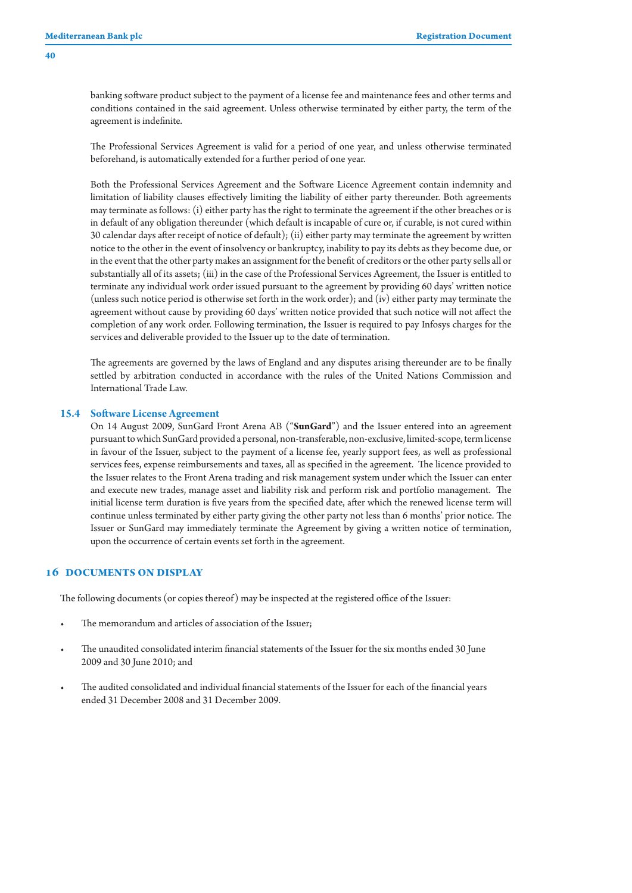banking software product subject to the payment of a license fee and maintenance fees and other terms and conditions contained in the said agreement. Unless otherwise terminated by either party, the term of the agreement is indefinite.

The Professional Services Agreement is valid for a period of one year, and unless otherwise terminated beforehand, is automatically extended for a further period of one year.

Both the Professional Services Agreement and the Software Licence Agreement contain indemnity and limitation of liability clauses effectively limiting the liability of either party thereunder. Both agreements may terminate as follows: (i) either party has the right to terminate the agreement if the other breaches or is in default of any obligation thereunder (which default is incapable of cure or, if curable, is not cured within 30 calendar days after receipt of notice of default); (ii) either party may terminate the agreement by written notice to the other in the event of insolvency or bankruptcy, inability to pay its debts as they become due, or in the event that the other party makes an assignment for the benefit of creditors or the other party sells all or substantially all of its assets; (iii) in the case of the Professional Services Agreement, the Issuer is entitled to terminate any individual work order issued pursuant to the agreement by providing 60 days' written notice (unless such notice period is otherwise set forth in the work order); and (iv) either party may terminate the agreement without cause by providing 60 days' written notice provided that such notice will not affect the completion of any work order. Following termination, the Issuer is required to pay Infosys charges for the services and deliverable provided to the Issuer up to the date of termination.

The agreements are governed by the laws of England and any disputes arising thereunder are to be finally settled by arbitration conducted in accordance with the rules of the United Nations Commission and International Trade Law.

## **15.4 Software License Agreement**

On 14 August 2009, SunGard Front Arena AB ("**SunGard**") and the Issuer entered into an agreement pursuant to which SunGard provided a personal, non-transferable, non-exclusive, limited-scope, term license in favour of the Issuer, subject to the payment of a license fee, yearly support fees, as well as professional services fees, expense reimbursements and taxes, all as specified in the agreement. The licence provided to the Issuer relates to the Front Arena trading and risk management system under which the Issuer can enter and execute new trades, manage asset and liability risk and perform risk and portfolio management. The initial license term duration is five years from the specified date, after which the renewed license term will continue unless terminated by either party giving the other party not less than 6 months' prior notice. The Issuer or SunGard may immediately terminate the Agreement by giving a written notice of termination, upon the occurrence of certain events set forth in the agreement.

## **16 Documents on Display**

The following documents (or copies thereof) may be inspected at the registered office of the Issuer:

- The memorandum and articles of association of the Issuer:
- The unaudited consolidated interim financial statements of the Issuer for the six months ended 30 June 2009 and 30 June 2010; and
- The audited consolidated and individual financial statements of the Issuer for each of the financial years ended 31 December 2008 and 31 December 2009.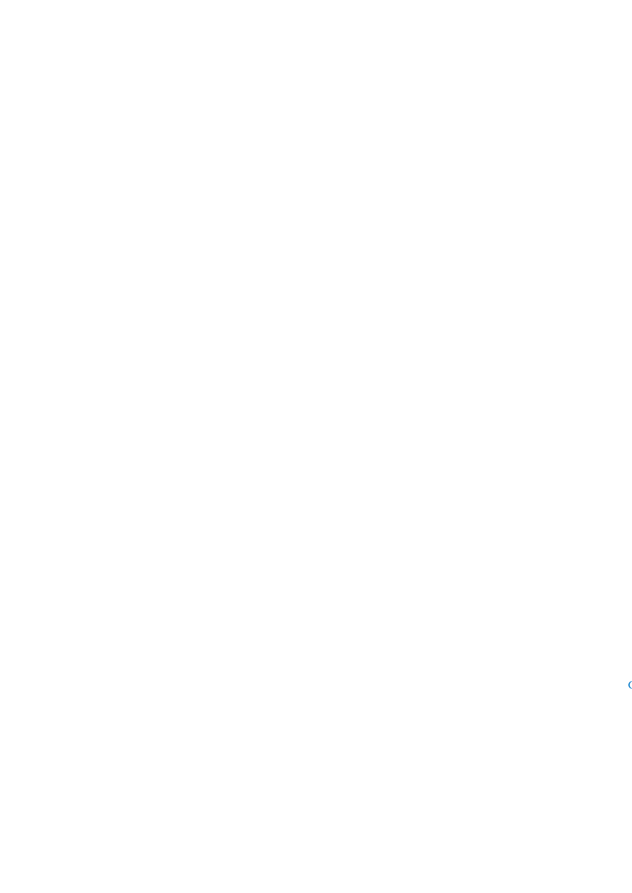$\overline{\mathbf{C}}$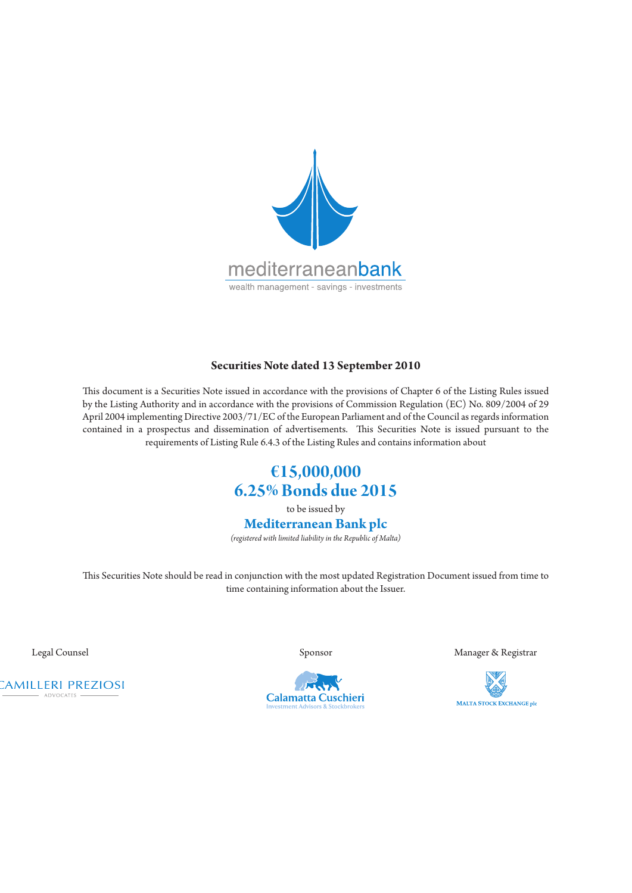

# **Securities Note dated 13 September 2010**

This document is a Securities Note issued in accordance with the provisions of Chapter 6 of the Listing Rules issued by the Listing Authority and in accordance with the provisions of Commission Regulation (EC) No. 809/2004 of 29 April 2004 implementing Directive 2003/71/EC of the European Parliament and of the Council as regards information contained in a prospectus and dissemination of advertisements. This Securities Note is issued pursuant to the requirements of Listing Rule 6.4.3 of the Listing Rules and contains information about

# **€15,000,000 6.25% Bonds due 2015**

to be issued by **Mediterranean Bank plc** *(registered with limited liability in the Republic of Malta)*

This Securities Note should be read in conjunction with the most updated Registration Document issued from time to

time containing information about the Issuer.

**CAMILLERI PREZIOSI** 



Legal Counsel Sponsor Manager & Registrar

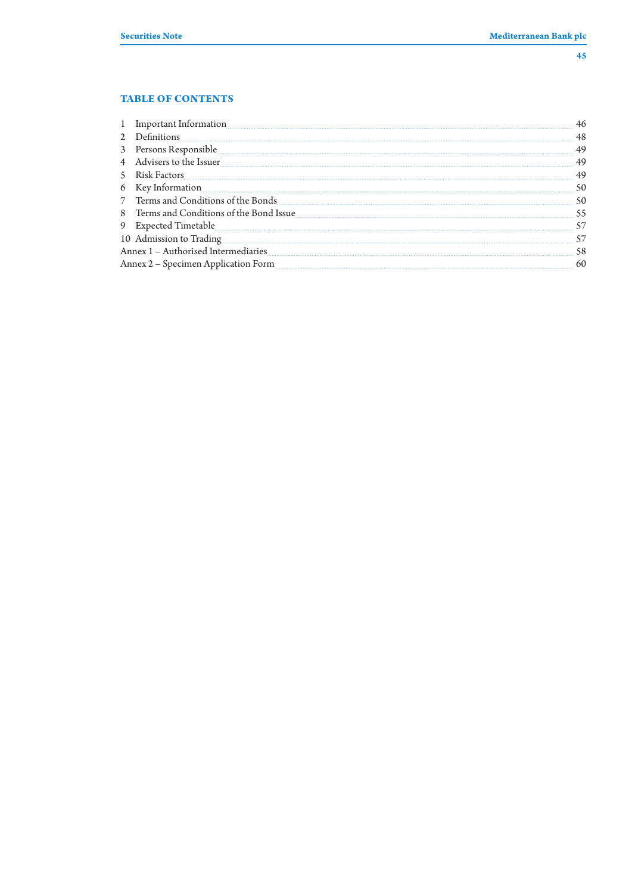# **Table of Contents**

|   | <b>Important Information</b>             |  |
|---|------------------------------------------|--|
|   | 2 Definitions                            |  |
|   | 3 Persons Responsible                    |  |
|   | 4 Advisers to the Issuer                 |  |
|   | 5 Risk Factors                           |  |
| 6 | Key Information                          |  |
|   | 7 Terms and Conditions of the Bonds      |  |
|   | 8 Terms and Conditions of the Bond Issue |  |
|   | 9 Expected Timetable                     |  |
|   | 10 Admission to Trading                  |  |
|   | Annex 1 - Authorised Intermediaries      |  |
|   | Annex 2 - Specimen Application Form      |  |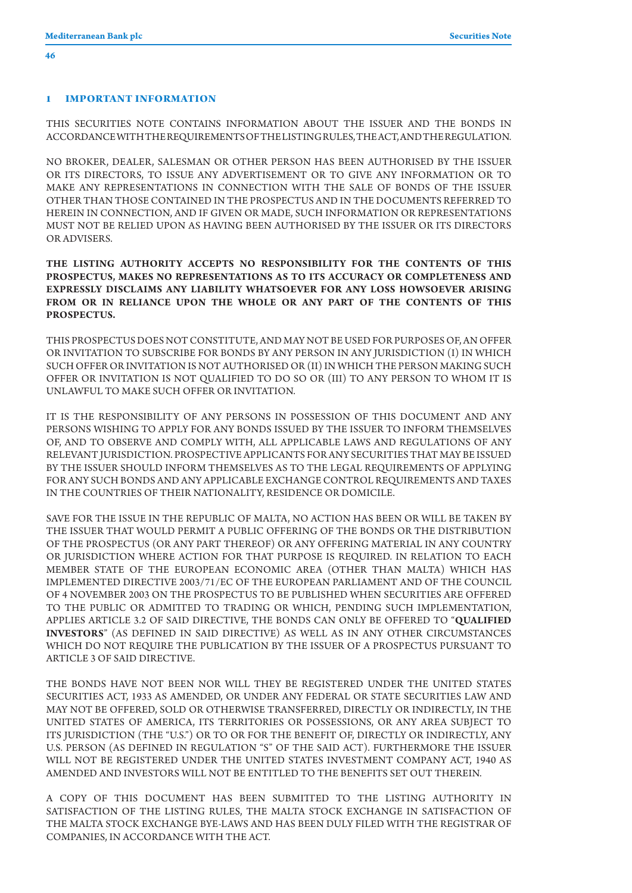## **1 Important Information**

THIS SECURITIES NOTE CONTAINS INFORMATION ABOUT THE ISSUER AND THE BONDS IN ACCORDANCE WITH THE REQUIREMENTS OF THE LISTING RULES, THE ACT, AND THE REGULATION.

NO BROKER, DEALER, SALESMAN OR OTHER PERSON HAS BEEN AUTHORISED BY THE ISSUER OR ITS DIRECTORS, TO ISSUE ANY ADVERTISEMENT OR TO GIVE ANY INFORMATION OR TO MAKE ANY REPRESENTATIONS IN CONNECTION WITH THE SALE OF BONDS OF THE ISSUER OTHER THAN THOSE CONTAINED IN THE PROSPECTUS AND IN THE DOCUMENTS REFERRED TO HEREIN IN CONNECTION, AND IF GIVEN OR MADE, SUCH INFORMATION OR REPRESENTATIONS MUST NOT BE RELIED UPON AS HAVING BEEN AUTHORISED BY THE ISSUER OR ITS DIRECTORS OR ADVISERS.

**THE LISTING AUTHORITY ACCEPTS NO RESPONSIBILITY FOR THE CONTENTS OF THIS PROSPECTUS, MAKES NO REPRESENTATIONS AS TO ITS ACCURACY OR COMPLETENESS AND EXPRESSLY DISCLAIMS ANY LIABILITY WHATSOEVER FOR ANY LOSS HOWSOEVER ARISING FROM OR IN RELIANCE UPON THE WHOLE OR ANY PART OF THE CONTENTS OF THIS PROSPECTUS.**

THIS PROSPECTUS DOES NOT CONSTITUTE, AND MAY NOT BE USED FOR PURPOSES OF, AN OFFER OR INVITATION TO SUBSCRIBE FOR BONDS BY ANY PERSON IN ANY JURISDICTION (I) IN WHICH SUCH OFFER OR INVITATION IS NOT AUTHORISED OR (II) IN WHICH THE PERSON MAKING SUCH OFFER OR INVITATION IS NOT QUALIFIED TO DO SO OR (III) TO ANY PERSON TO WHOM IT IS UNLAWFUL TO MAKE SUCH OFFER OR INVITATION.

IT IS THE RESPONSIBILITY OF ANY PERSONS IN POSSESSION OF THIS DOCUMENT AND ANY PERSONS WISHING TO APPLY FOR ANY BONDS ISSUED BY THE ISSUER TO INFORM THEMSELVES OF, AND TO OBSERVE AND COMPLY WITH, ALL APPLICABLE LAWS AND REGULATIONS OF ANY RELEVANT JURISDICTION. PROSPECTIVE APPLICANTS FOR ANY SECURITIES THAT MAY BE ISSUED BY THE ISSUER SHOULD INFORM THEMSELVES AS TO THE LEGAL REQUIREMENTS OF APPLYING FOR ANY SUCH BONDS AND ANY APPLICABLE EXCHANGE CONTROL REQUIREMENTS AND TAXES IN THE COUNTRIES OF THEIR NATIONALITY, RESIDENCE OR DOMICILE.

SAVE FOR THE ISSUE IN THE REPUBLIC OF MALTA, NO ACTION HAS BEEN OR WILL BE TAKEN BY THE ISSUER THAT WOULD PERMIT A PUBLIC OFFERING OF THE BONDS OR THE DISTRIBUTION OF THE PROSPECTUS (OR ANY PART THEREOF) OR ANY OFFERING MATERIAL IN ANY COUNTRY OR JURISDICTION WHERE ACTION FOR THAT PURPOSE IS REQUIRED. IN RELATION TO EACH MEMBER STATE OF THE EUROPEAN ECONOMIC AREA (OTHER THAN MALTA) WHICH HAS IMPLEMENTED DIRECTIVE 2003/71/EC OF THE EUROPEAN PARLIAMENT AND OF THE COUNCIL OF 4 NOVEMBER 2003 ON THE PROSPECTUS TO BE PUBLISHED WHEN SECURITIES ARE OFFERED TO THE PUBLIC OR ADMITTED TO TRADING OR WHICH, PENDING SUCH IMPLEMENTATION, APPLIES ARTICLE 3.2 OF SAID DIRECTIVE, THE BONDS CAN ONLY BE OFFERED TO "**QUALIFIED INVESTORS**" (AS DEFINED IN SAID DIRECTIVE) AS WELL AS IN ANY OTHER CIRCUMSTANCES WHICH DO NOT REQUIRE THE PUBLICATION BY THE ISSUER OF A PROSPECTUS PURSUANT TO ARTICLE 3 OF SAID DIRECTIVE.

THE BONDS HAVE NOT BEEN NOR WILL THEY BE REGISTERED UNDER THE UNITED STATES SECURITIES ACT, 1933 AS AMENDED, OR UNDER ANY FEDERAL OR STATE SECURITIES LAW AND MAY NOT BE OFFERED, SOLD OR OTHERWISE TRANSFERRED, DIRECTLY OR INDIRECTLY, IN THE UNITED STATES OF AMERICA, ITS TERRITORIES OR POSSESSIONS, OR ANY AREA SUBJECT TO ITS JURISDICTION (THE "U.S.") OR TO OR FOR THE BENEFIT OF, DIRECTLY OR INDIRECTLY, ANY U.S. PERSON (AS DEFINED IN REGULATION "S" OF THE SAID ACT). FURTHERMORE THE ISSUER WILL NOT BE REGISTERED UNDER THE UNITED STATES INVESTMENT COMPANY ACT, 1940 AS AMENDED AND INVESTORS WILL NOT BE ENTITLED TO THE BENEFITS SET OUT THEREIN.

A COPY OF THIS DOCUMENT HAS BEEN SUBMITTED TO THE LISTING AUTHORITY IN SATISFACTION OF THE LISTING RULES, THE MALTA STOCK EXCHANGE IN SATISFACTION OF THE MALTA STOCK EXCHANGE BYE-LAWS AND HAS BEEN DULY FILED WITH THE REGISTRAR OF COMPANIES, IN ACCORDANCE WITH THE ACT.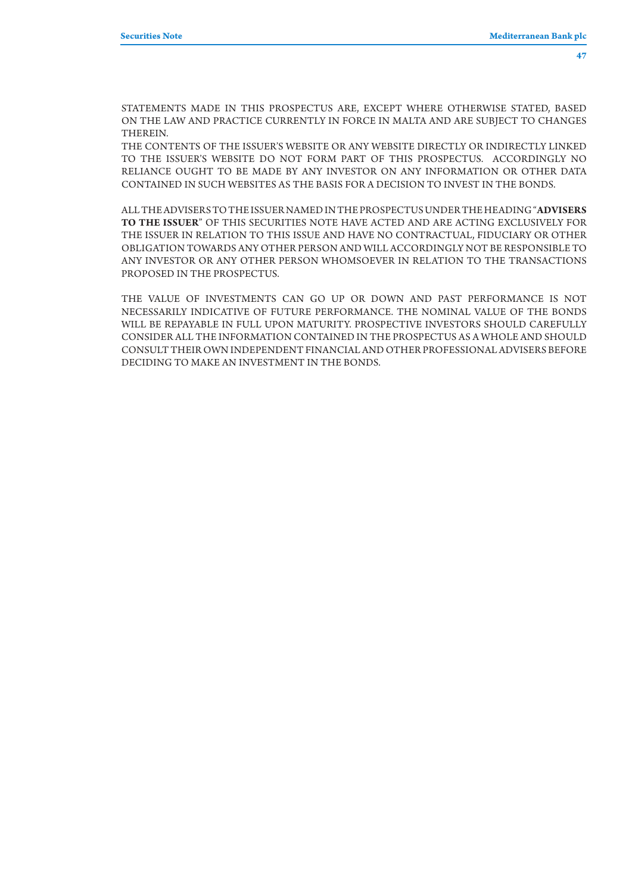STATEMENTS MADE IN THIS PROSPECTUS ARE, EXCEPT WHERE OTHERWISE STATED, BASED ON THE LAW AND PRACTICE CURRENTLY IN FORCE IN MALTA AND ARE SUBJECT TO CHANGES THEREIN.

THE CONTENTS OF THE ISSUER'S WEBSITE OR ANY WEBSITE DIRECTLY OR INDIRECTLY LINKED TO THE ISSUER'S WEBSITE DO NOT FORM PART OF THIS PROSPECTUS. ACCORDINGLY NO RELIANCE OUGHT TO BE MADE BY ANY INVESTOR ON ANY INFORMATION OR OTHER DATA CONTAINED IN SUCH WEBSITES AS THE BASIS FOR A DECISION TO INVEST IN THE BONDS.

ALL THE ADVISERS TO THE ISSUER NAMED IN THE PROSPECTUS UNDER THE HEADING "**ADVISERS TO THE ISSUER**" OF THIS SECURITIES NOTE HAVE ACTED AND ARE ACTING EXCLUSIVELY FOR THE ISSUER IN RELATION TO THIS ISSUE AND HAVE NO CONTRACTUAL, FIDUCIARY OR OTHER OBLIGATION TOWARDS ANY OTHER PERSON AND WILL ACCORDINGLY NOT BE RESPONSIBLE TO ANY INVESTOR OR ANY OTHER PERSON WHOMSOEVER IN RELATION TO THE TRANSACTIONS PROPOSED IN THE PROSPECTUS.

THE VALUE OF INVESTMENTS CAN GO UP OR DOWN AND PAST PERFORMANCE IS NOT NECESSARILY INDICATIVE OF FUTURE PERFORMANCE. THE NOMINAL VALUE OF THE BONDS WILL BE REPAYABLE IN FULL UPON MATURITY. PROSPECTIVE INVESTORS SHOULD CAREFULLY CONSIDER ALL THE INFORMATION CONTAINED IN THE PROSPECTUS AS A WHOLE AND SHOULD CONSULT THEIR OWN INDEPENDENT FINANCIAL AND OTHER PROFESSIONAL ADVISERS BEFORE DECIDING TO MAKE AN INVESTMENT IN THE BONDS.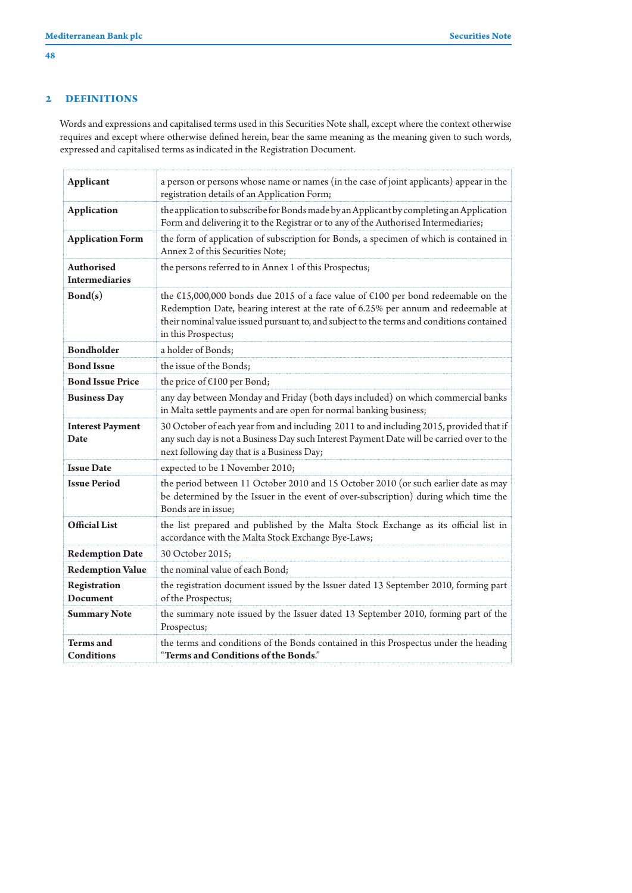# **2 Definitions**

Words and expressions and capitalised terms used in this Securities Note shall, except where the context otherwise requires and except where otherwise defined herein, bear the same meaning as the meaning given to such words, expressed and capitalised terms as indicated in the Registration Document.

| <b>Applicant</b>                    | a person or persons whose name or names (in the case of joint applicants) appear in the<br>registration details of an Application Form;                                                                                                                                                         |
|-------------------------------------|-------------------------------------------------------------------------------------------------------------------------------------------------------------------------------------------------------------------------------------------------------------------------------------------------|
| <b>Application</b>                  | the application to subscribe for Bonds made by an Applicant by completing an Application<br>Form and delivering it to the Registrar or to any of the Authorised Intermediaries;                                                                                                                 |
| <b>Application Form</b>             | the form of application of subscription for Bonds, a specimen of which is contained in<br>Annex 2 of this Securities Note;                                                                                                                                                                      |
| Authorised<br><b>Intermediaries</b> | the persons referred to in Annex 1 of this Prospectus;                                                                                                                                                                                                                                          |
| Bond(s)                             | the $£15,000,000$ bonds due 2015 of a face value of $£100$ per bond redeemable on the<br>Redemption Date, bearing interest at the rate of 6.25% per annum and redeemable at<br>their nominal value issued pursuant to, and subject to the terms and conditions contained<br>in this Prospectus; |
| Bondholder                          | a holder of Bonds;                                                                                                                                                                                                                                                                              |
| <b>Bond Issue</b>                   | the issue of the Bonds;                                                                                                                                                                                                                                                                         |
| <b>Bond Issue Price</b>             | the price of €100 per Bond;                                                                                                                                                                                                                                                                     |
| <b>Business Day</b>                 | any day between Monday and Friday (both days included) on which commercial banks<br>in Malta settle payments and are open for normal banking business;                                                                                                                                          |
| <b>Interest Payment</b><br>Date     | 30 October of each year from and including 2011 to and including 2015, provided that if<br>any such day is not a Business Day such Interest Payment Date will be carried over to the<br>next following day that is a Business Day;                                                              |
| <b>Issue Date</b>                   | expected to be 1 November 2010;                                                                                                                                                                                                                                                                 |
| <b>Issue Period</b>                 | the period between 11 October 2010 and 15 October 2010 (or such earlier date as may<br>be determined by the Issuer in the event of over-subscription) during which time the<br>Bonds are in issue;                                                                                              |
| <b>Official List</b>                | the list prepared and published by the Malta Stock Exchange as its official list in<br>accordance with the Malta Stock Exchange Bye-Laws;                                                                                                                                                       |
| <b>Redemption Date</b>              | 30 October 2015;                                                                                                                                                                                                                                                                                |
| <b>Redemption Value</b>             | the nominal value of each Bond;                                                                                                                                                                                                                                                                 |
| Registration<br><b>Document</b>     | the registration document issued by the Issuer dated 13 September 2010, forming part<br>of the Prospectus;                                                                                                                                                                                      |
| <b>Summary Note</b>                 | the summary note issued by the Issuer dated 13 September 2010, forming part of the<br>Prospectus;                                                                                                                                                                                               |
| Terms and<br>Conditions             | the terms and conditions of the Bonds contained in this Prospectus under the heading<br>"Terms and Conditions of the Bonds."                                                                                                                                                                    |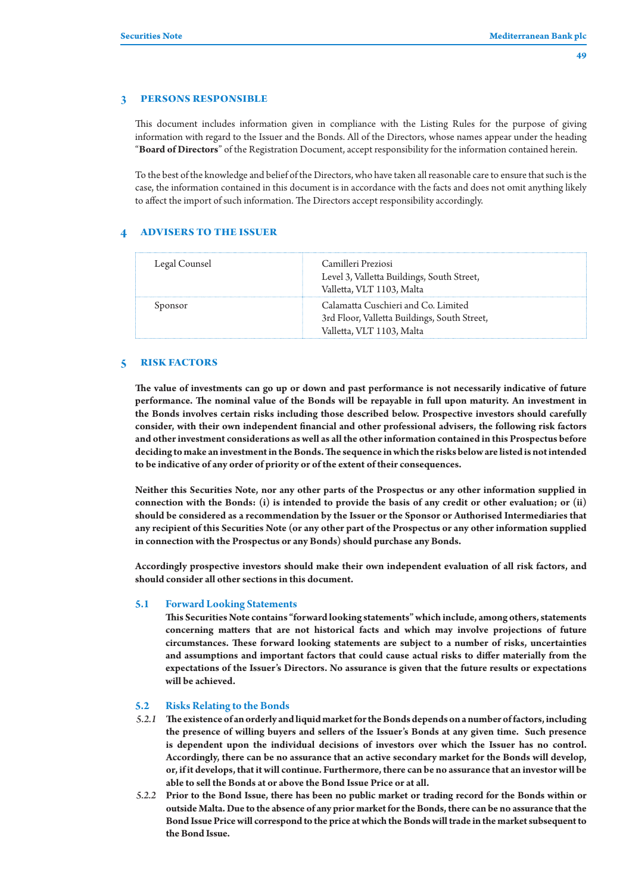## **3 Persons Responsible**

This document includes information given in compliance with the Listing Rules for the purpose of giving information with regard to the Issuer and the Bonds. All of the Directors, whose names appear under the heading "**Board of Directors**" of the Registration Document, accept responsibility for the information contained herein.

To the best of the knowledge and belief of the Directors, who have taken all reasonable care to ensure that such is the case, the information contained in this document is in accordance with the facts and does not omit anything likely to affect the import of such information. The Directors accept responsibility accordingly.

## **4 Advisers to the Issuer**

| Legal Counsel | Camilleri Preziosi<br>Level 3, Valletta Buildings, South Street,<br>Valletta, VLT 1103, Malta                    |
|---------------|------------------------------------------------------------------------------------------------------------------|
| Sponsor       | Calamatta Cuschieri and Co. Limited<br>3rd Floor, Valletta Buildings, South Street,<br>Valletta, VLT 1103, Malta |

## **5 Risk Factors**

**The value of investments can go up or down and past performance is not necessarily indicative of future performance. The nominal value of the Bonds will be repayable in full upon maturity. An investment in the Bonds involves certain risks including those described below. Prospective investors should carefully consider, with their own independent financial and other professional advisers, the following risk factors and other investment considerations as well as all the other information contained in this Prospectus before deciding to make an investment in the Bonds. The sequence in which the risks below are listed is not intended to be indicative of any order of priority or of the extent of their consequences.**

**Neither this Securities Note, nor any other parts of the Prospectus or any other information supplied in connection with the Bonds: (i) is intended to provide the basis of any credit or other evaluation; or (ii) should be considered as a recommendation by the Issuer or the Sponsor or Authorised Intermediaries that any recipient of this Securities Note (or any other part of the Prospectus or any other information supplied in connection with the Prospectus or any Bonds) should purchase any Bonds.**

**Accordingly prospective investors should make their own independent evaluation of all risk factors, and should consider all other sections in this document.**

#### **5.1 Forward Looking Statements**

**This Securities Note contains "forward looking statements" which include, among others, statements concerning matters that are not historical facts and which may involve projections of future circumstances. These forward looking statements are subject to a number of risks, uncertainties and assumptions and important factors that could cause actual risks to differ materially from the expectations of the Issuer's Directors. No assurance is given that the future results or expectations will be achieved.** 

## **5.2 Risks Relating to the Bonds**

- *5.2.1* **The existence of an orderly and liquid market for the Bonds depends on a number of factors, including the presence of willing buyers and sellers of the Issuer's Bonds at any given time. Such presence is dependent upon the individual decisions of investors over which the Issuer has no control. Accordingly, there can be no assurance that an active secondary market for the Bonds will develop, or, if it develops, that it will continue. Furthermore, there can be no assurance that an investor will be able to sell the Bonds at or above the Bond Issue Price or at all.**
- *5.2.2* **Prior to the Bond Issue, there has been no public market or trading record for the Bonds within or outside Malta. Due to the absence of any prior market for the Bonds, there can be no assurance that the Bond Issue Price will correspond to the price at which the Bonds will trade in the market subsequent to the Bond Issue.**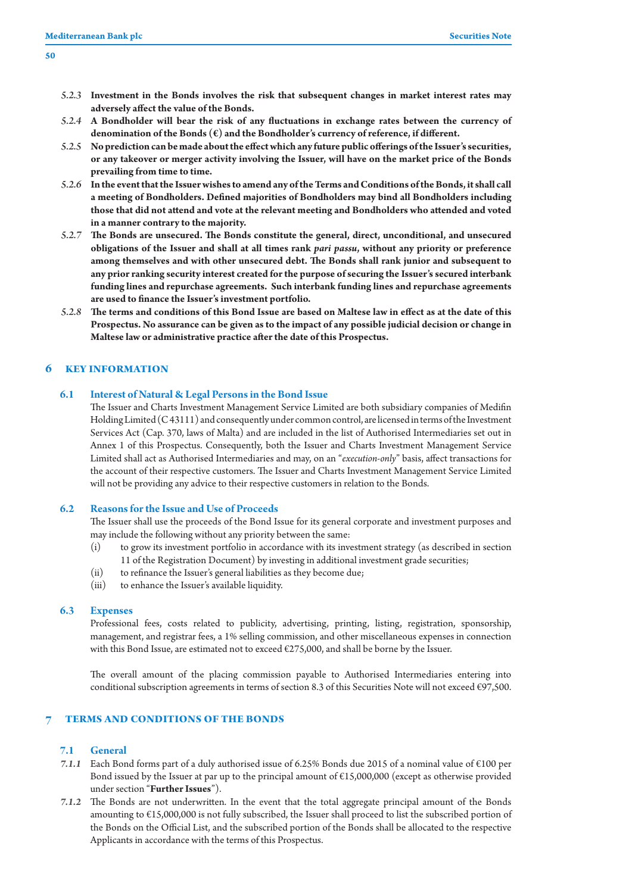- *5.2.3* **Investment in the Bonds involves the risk that subsequent changes in market interest rates may adversely affect the value of the Bonds.**
- *5.2.4* **A Bondholder will bear the risk of any fluctuations in exchange rates between the currency of denomination of the Bonds (€) and the Bondholder's currency of reference, if different.**
- *5.2.5* **No prediction can be made about the effect which any future public offerings of the Issuer's securities, or any takeover or merger activity involving the Issuer, will have on the market price of the Bonds prevailing from time to time.**
- *5.2.6* **In the event that the Issuer wishes to amend any of the Terms and Conditions of the Bonds, it shall call a meeting of Bondholders. Defined majorities of Bondholders may bind all Bondholders including those that did not attend and vote at the relevant meeting and Bondholders who attended and voted in a manner contrary to the majority.**
- *5.2.7* **The Bonds are unsecured. The Bonds constitute the general, direct, unconditional, and unsecured obligations of the Issuer and shall at all times rank** *pari passu***, without any priority or preference among themselves and with other unsecured debt. The Bonds shall rank junior and subsequent to any prior ranking security interest created for the purpose of securing the Issuer's secured interbank funding lines and repurchase agreements. Such interbank funding lines and repurchase agreements are used to finance the Issuer's investment portfolio.**
- *5.2.8* **The terms and conditions of this Bond Issue are based on Maltese law in effect as at the date of this Prospectus. No assurance can be given as to the impact of any possible judicial decision or change in Maltese law or administrative practice after the date of this Prospectus.**

## **6 Key Information**

## **6.1 Interest of Natural & Legal Persons in the Bond Issue**

The Issuer and Charts Investment Management Service Limited are both subsidiary companies of Medifin Holding Limited (C 43111) and consequently under common control, are licensed in terms of the Investment Services Act (Cap. 370, laws of Malta) and are included in the list of Authorised Intermediaries set out in Annex 1 of this Prospectus. Consequently, both the Issuer and Charts Investment Management Service Limited shall act as Authorised Intermediaries and may, on an "*execution-only*" basis, affect transactions for the account of their respective customers. The Issuer and Charts Investment Management Service Limited will not be providing any advice to their respective customers in relation to the Bonds.

#### **6.2 Reasons for the Issue and Use of Proceeds**

The Issuer shall use the proceeds of the Bond Issue for its general corporate and investment purposes and may include the following without any priority between the same:

- (i) to grow its investment portfolio in accordance with its investment strategy (as described in section 11 of the Registration Document) by investing in additional investment grade securities;
- (ii) to refinance the Issuer's general liabilities as they become due;
- (iii) to enhance the Issuer's available liquidity.

## **6.3 Expenses**

Professional fees, costs related to publicity, advertising, printing, listing, registration, sponsorship, management, and registrar fees, a 1% selling commission, and other miscellaneous expenses in connection with this Bond Issue, are estimated not to exceed €275,000, and shall be borne by the Issuer.

The overall amount of the placing commission payable to Authorised Intermediaries entering into conditional subscription agreements in terms of section 8.3 of this Securities Note will not exceed  $\epsilon$ 97,500.

## **7 Terms and Conditions of the Bonds**

## **7.1 General**

- *7.1.1* Each Bond forms part of a duly authorised issue of 6.25% Bonds due 2015 of a nominal value of €100 per Bond issued by the Issuer at par up to the principal amount of  $£15,000,000$  (except as otherwise provided under section "**Further Issues**").
- *7.1.2* The Bonds are not underwritten. In the event that the total aggregate principal amount of the Bonds amounting to €15,000,000 is not fully subscribed, the Issuer shall proceed to list the subscribed portion of the Bonds on the Official List, and the subscribed portion of the Bonds shall be allocated to the respective Applicants in accordance with the terms of this Prospectus.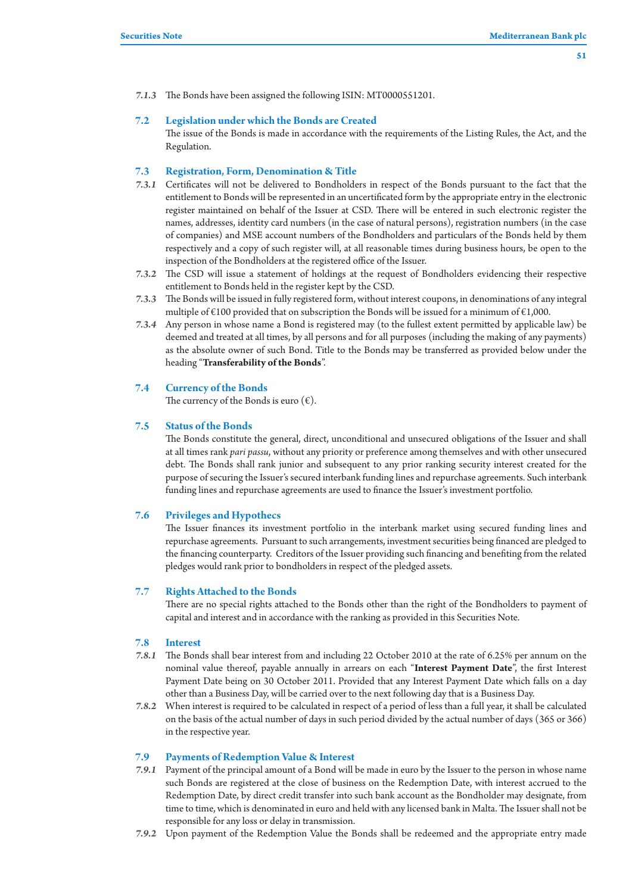*7.1.3* The Bonds have been assigned the following ISIN: MT0000551201.

#### **7.2 Legislation under which the Bonds are Created**

The issue of the Bonds is made in accordance with the requirements of the Listing Rules, the Act, and the Regulation.

## **7.3 Registration, Form, Denomination & Title**

- *7.3.1* Certificates will not be delivered to Bondholders in respect of the Bonds pursuant to the fact that the entitlement to Bonds will be represented in an uncertificated form by the appropriate entry in the electronic register maintained on behalf of the Issuer at CSD. There will be entered in such electronic register the names, addresses, identity card numbers (in the case of natural persons), registration numbers (in the case of companies) and MSE account numbers of the Bondholders and particulars of the Bonds held by them respectively and a copy of such register will, at all reasonable times during business hours, be open to the inspection of the Bondholders at the registered office of the Issuer.
- *7.3.2* The CSD will issue a statement of holdings at the request of Bondholders evidencing their respective entitlement to Bonds held in the register kept by the CSD.
- *7.3.3* The Bonds will be issued in fully registered form, without interest coupons, in denominations of any integral multiple of  $\epsilon$ 100 provided that on subscription the Bonds will be issued for a minimum of  $\epsilon$ 1,000.
- *7.3.4* Any person in whose name a Bond is registered may (to the fullest extent permitted by applicable law) be deemed and treated at all times, by all persons and for all purposes (including the making of any payments) as the absolute owner of such Bond. Title to the Bonds may be transferred as provided below under the heading "**Transferability of the Bonds**".

## **7.4 Currency of the Bonds**

The currency of the Bonds is euro  $(\epsilon)$ .

### **7.5 Status of the Bonds**

The Bonds constitute the general, direct, unconditional and unsecured obligations of the Issuer and shall at all times rank *pari passu*, without any priority or preference among themselves and with other unsecured debt. The Bonds shall rank junior and subsequent to any prior ranking security interest created for the purpose of securing the Issuer's secured interbank funding lines and repurchase agreements. Such interbank funding lines and repurchase agreements are used to finance the Issuer's investment portfolio.

## **7.6 Privileges and Hypothecs**

The Issuer finances its investment portfolio in the interbank market using secured funding lines and repurchase agreements. Pursuant to such arrangements, investment securities being financed are pledged to the financing counterparty. Creditors of the Issuer providing such financing and benefiting from the related pledges would rank prior to bondholders in respect of the pledged assets.

#### **7.7 Rights Attached to the Bonds**

There are no special rights attached to the Bonds other than the right of the Bondholders to payment of capital and interest and in accordance with the ranking as provided in this Securities Note.

#### **7.8 Interest**

- *7.8.1* The Bonds shall bear interest from and including 22 October 2010 at the rate of 6.25% per annum on the nominal value thereof, payable annually in arrears on each "**Interest Payment Date**", the first Interest Payment Date being on 30 October 2011. Provided that any Interest Payment Date which falls on a day other than a Business Day, will be carried over to the next following day that is a Business Day.
- *7.8.2* When interest is required to be calculated in respect of a period of less than a full year, it shall be calculated on the basis of the actual number of days in such period divided by the actual number of days (365 or 366) in the respective year.

## **7.9 Payments of Redemption Value & Interest**

- *7.9.1* Payment of the principal amount of a Bond will be made in euro by the Issuer to the person in whose name such Bonds are registered at the close of business on the Redemption Date, with interest accrued to the Redemption Date, by direct credit transfer into such bank account as the Bondholder may designate, from time to time, which is denominated in euro and held with any licensed bank in Malta. The Issuer shall not be responsible for any loss or delay in transmission.
- *7.9.2* Upon payment of the Redemption Value the Bonds shall be redeemed and the appropriate entry made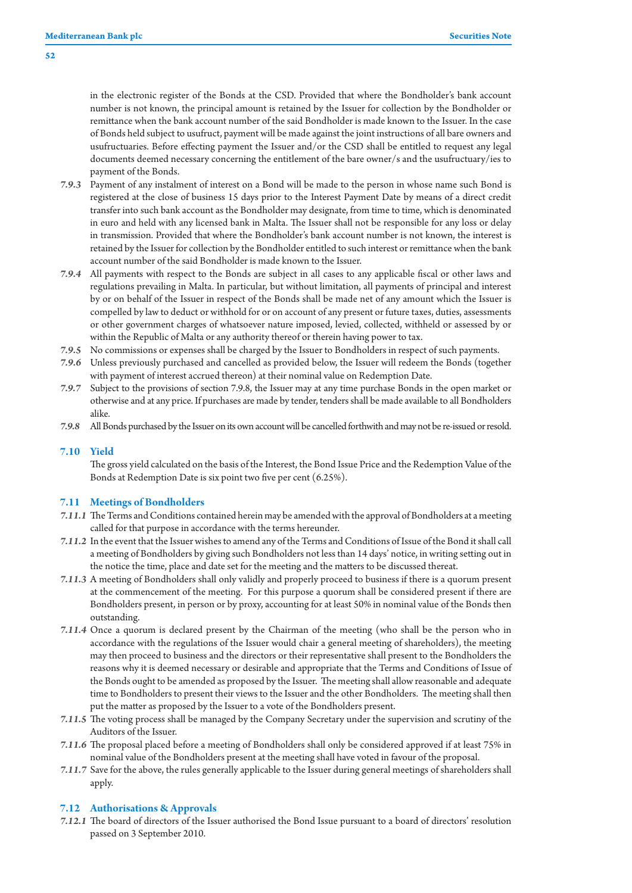in the electronic register of the Bonds at the CSD. Provided that where the Bondholder's bank account number is not known, the principal amount is retained by the Issuer for collection by the Bondholder or remittance when the bank account number of the said Bondholder is made known to the Issuer. In the case of Bonds held subject to usufruct, payment will be made against the joint instructions of all bare owners and usufructuaries. Before effecting payment the Issuer and/or the CSD shall be entitled to request any legal documents deemed necessary concerning the entitlement of the bare owner/s and the usufructuary/ies to payment of the Bonds.

- *7.9.3* Payment of any instalment of interest on a Bond will be made to the person in whose name such Bond is registered at the close of business 15 days prior to the Interest Payment Date by means of a direct credit transfer into such bank account as the Bondholder may designate, from time to time, which is denominated in euro and held with any licensed bank in Malta. The Issuer shall not be responsible for any loss or delay in transmission. Provided that where the Bondholder's bank account number is not known, the interest is retained by the Issuer for collection by the Bondholder entitled to such interest or remittance when the bank account number of the said Bondholder is made known to the Issuer.
- *7.9.4* All payments with respect to the Bonds are subject in all cases to any applicable fiscal or other laws and regulations prevailing in Malta. In particular, but without limitation, all payments of principal and interest by or on behalf of the Issuer in respect of the Bonds shall be made net of any amount which the Issuer is compelled by law to deduct or withhold for or on account of any present or future taxes, duties, assessments or other government charges of whatsoever nature imposed, levied, collected, withheld or assessed by or within the Republic of Malta or any authority thereof or therein having power to tax.
- *7.9.5* No commissions or expenses shall be charged by the Issuer to Bondholders in respect of such payments.
- *7.9.6* Unless previously purchased and cancelled as provided below, the Issuer will redeem the Bonds (together with payment of interest accrued thereon) at their nominal value on Redemption Date.
- *7.9.7* Subject to the provisions of section 7.9.8, the Issuer may at any time purchase Bonds in the open market or otherwise and at any price. If purchases are made by tender, tenders shall be made available to all Bondholders alike.
- *7.9.8* All Bonds purchased by the Issuer on its own account will be cancelled forthwith and may not be re-issued or resold.

## **7.10 Yield**

The gross yield calculated on the basis of the Interest, the Bond Issue Price and the Redemption Value of the Bonds at Redemption Date is six point two five per cent (6.25%).

## **7.11 Meetings of Bondholders**

- *7.11.1* The Terms and Conditions contained herein may be amended with the approval of Bondholders at a meeting called for that purpose in accordance with the terms hereunder.
- *7.11.2* In the event that the Issuer wishes to amend any of the Terms and Conditions of Issue of the Bond it shall call a meeting of Bondholders by giving such Bondholders not less than 14 days' notice, in writing setting out in the notice the time, place and date set for the meeting and the matters to be discussed thereat.
- *7.11.3* A meeting of Bondholders shall only validly and properly proceed to business if there is a quorum present at the commencement of the meeting. For this purpose a quorum shall be considered present if there are Bondholders present, in person or by proxy, accounting for at least 50% in nominal value of the Bonds then outstanding.
- *7.11.4* Once a quorum is declared present by the Chairman of the meeting (who shall be the person who in accordance with the regulations of the Issuer would chair a general meeting of shareholders), the meeting may then proceed to business and the directors or their representative shall present to the Bondholders the reasons why it is deemed necessary or desirable and appropriate that the Terms and Conditions of Issue of the Bonds ought to be amended as proposed by the Issuer. The meeting shall allow reasonable and adequate time to Bondholders to present their views to the Issuer and the other Bondholders. The meeting shall then put the matter as proposed by the Issuer to a vote of the Bondholders present.
- *7.11.5* The voting process shall be managed by the Company Secretary under the supervision and scrutiny of the Auditors of the Issuer.
- *7.11.6* The proposal placed before a meeting of Bondholders shall only be considered approved if at least 75% in nominal value of the Bondholders present at the meeting shall have voted in favour of the proposal.
- *7.11.7* Save for the above, the rules generally applicable to the Issuer during general meetings of shareholders shall apply.

## **7.12 Authorisations & Approvals**

*7.12.1* The board of directors of the Issuer authorised the Bond Issue pursuant to a board of directors' resolution passed on 3 September 2010.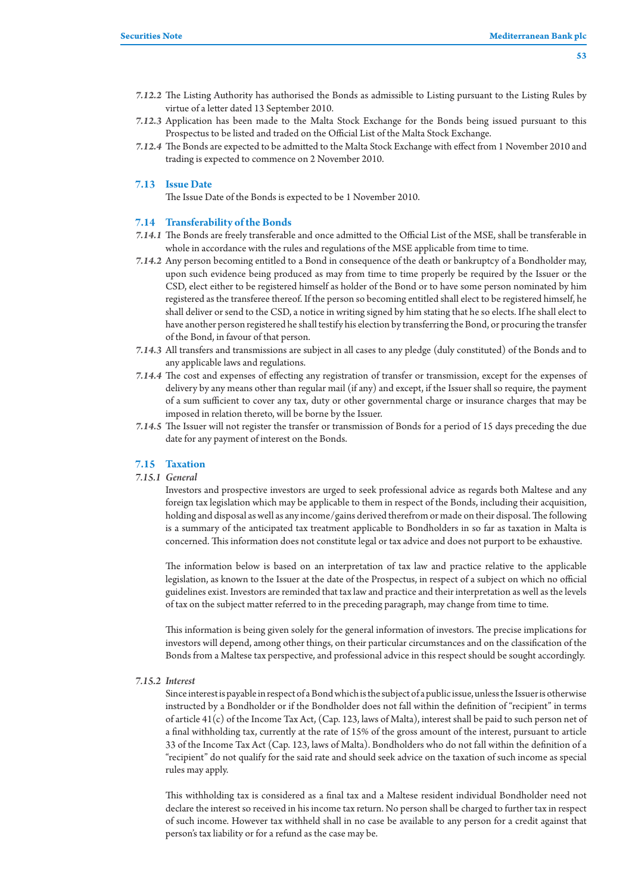- *7.12.2* The Listing Authority has authorised the Bonds as admissible to Listing pursuant to the Listing Rules by virtue of a letter dated 13 September 2010.
- *7.12.3* Application has been made to the Malta Stock Exchange for the Bonds being issued pursuant to this Prospectus to be listed and traded on the Official List of the Malta Stock Exchange.
- *7.12.4* The Bonds are expected to be admitted to the Malta Stock Exchange with effect from 1 November 2010 and trading is expected to commence on 2 November 2010.

## **7.13 Issue Date**

The Issue Date of the Bonds is expected to be 1 November 2010.

#### **7.14 Transferability of the Bonds**

- *7.14.1* The Bonds are freely transferable and once admitted to the Official List of the MSE, shall be transferable in whole in accordance with the rules and regulations of the MSE applicable from time to time.
- *7.14.2* Any person becoming entitled to a Bond in consequence of the death or bankruptcy of a Bondholder may, upon such evidence being produced as may from time to time properly be required by the Issuer or the CSD, elect either to be registered himself as holder of the Bond or to have some person nominated by him registered as the transferee thereof. If the person so becoming entitled shall elect to be registered himself, he shall deliver or send to the CSD, a notice in writing signed by him stating that he so elects. If he shall elect to have another person registered he shall testify his election by transferring the Bond, or procuring the transfer of the Bond, in favour of that person.
- *7.14.3* All transfers and transmissions are subject in all cases to any pledge (duly constituted) of the Bonds and to any applicable laws and regulations.
- *7.14.4* The cost and expenses of effecting any registration of transfer or transmission, except for the expenses of delivery by any means other than regular mail (if any) and except, if the Issuer shall so require, the payment of a sum sufficient to cover any tax, duty or other governmental charge or insurance charges that may be imposed in relation thereto, will be borne by the Issuer.
- *7.14.5* The Issuer will not register the transfer or transmission of Bonds for a period of 15 days preceding the due date for any payment of interest on the Bonds.

#### **7.15 Taxation**

#### *7.15.1 General*

Investors and prospective investors are urged to seek professional advice as regards both Maltese and any foreign tax legislation which may be applicable to them in respect of the Bonds, including their acquisition, holding and disposal as well as any income/gains derived therefrom or made on their disposal. The following is a summary of the anticipated tax treatment applicable to Bondholders in so far as taxation in Malta is concerned. This information does not constitute legal or tax advice and does not purport to be exhaustive.

The information below is based on an interpretation of tax law and practice relative to the applicable legislation, as known to the Issuer at the date of the Prospectus, in respect of a subject on which no official guidelines exist. Investors are reminded that tax law and practice and their interpretation as well as the levels of tax on the subject matter referred to in the preceding paragraph, may change from time to time.

This information is being given solely for the general information of investors. The precise implications for investors will depend, among other things, on their particular circumstances and on the classification of the Bonds from a Maltese tax perspective, and professional advice in this respect should be sought accordingly.

#### *7.15.2 Interest*

Since interest is payable in respect of a Bond which is the subject of a public issue, unless the Issuer is otherwise instructed by a Bondholder or if the Bondholder does not fall within the definition of "recipient" in terms of article 41(c) of the Income Tax Act, (Cap. 123, laws of Malta), interest shall be paid to such person net of a final withholding tax, currently at the rate of 15% of the gross amount of the interest, pursuant to article 33 of the Income Tax Act (Cap. 123, laws of Malta). Bondholders who do not fall within the definition of a "recipient" do not qualify for the said rate and should seek advice on the taxation of such income as special rules may apply.

This withholding tax is considered as a final tax and a Maltese resident individual Bondholder need not declare the interest so received in his income tax return. No person shall be charged to further tax in respect of such income. However tax withheld shall in no case be available to any person for a credit against that person's tax liability or for a refund as the case may be.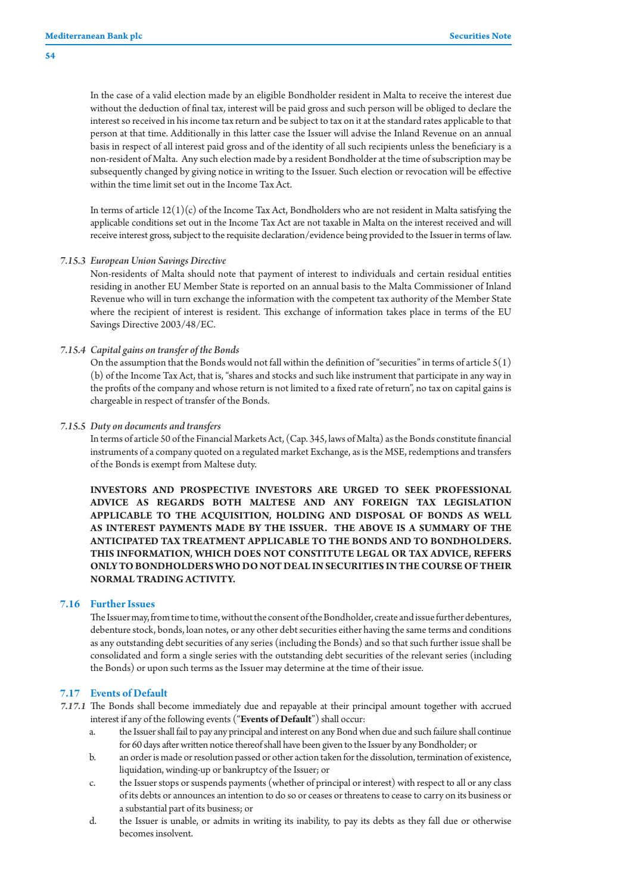In the case of a valid election made by an eligible Bondholder resident in Malta to receive the interest due without the deduction of final tax, interest will be paid gross and such person will be obliged to declare the interest so received in his income tax return and be subject to tax on it at the standard rates applicable to that person at that time. Additionally in this latter case the Issuer will advise the Inland Revenue on an annual basis in respect of all interest paid gross and of the identity of all such recipients unless the beneficiary is a non-resident of Malta. Any such election made by a resident Bondholder at the time of subscription may be subsequently changed by giving notice in writing to the Issuer. Such election or revocation will be effective within the time limit set out in the Income Tax Act.

In terms of article  $12(1)(c)$  of the Income Tax Act, Bondholders who are not resident in Malta satisfying the applicable conditions set out in the Income Tax Act are not taxable in Malta on the interest received and will receive interest gross, subject to the requisite declaration/evidence being provided to the Issuer in terms of law.

#### *7.15.3 European Union Savings Directive*

Non-residents of Malta should note that payment of interest to individuals and certain residual entities residing in another EU Member State is reported on an annual basis to the Malta Commissioner of Inland Revenue who will in turn exchange the information with the competent tax authority of the Member State where the recipient of interest is resident. This exchange of information takes place in terms of the EU Savings Directive 2003/48/EC.

## *7.15.4 Capital gains on transfer of the Bonds*

On the assumption that the Bonds would not fall within the definition of "securities" in terms of article  $5(1)$ (b) of the Income Tax Act, that is, "shares and stocks and such like instrument that participate in any way in the profits of the company and whose return is not limited to a fixed rate of return", no tax on capital gains is chargeable in respect of transfer of the Bonds.

#### *7.15.5 Duty on documents and transfers*

In terms of article 50 of the Financial Markets Act, (Cap. 345, laws of Malta) as the Bonds constitute financial instruments of a company quoted on a regulated market Exchange, as is the MSE, redemptions and transfers of the Bonds is exempt from Maltese duty.

**INVESTORS AND PROSPECTIVE INVESTORS ARE URGED TO SEEK PROFESSIONAL ADVICE AS REGARDS BOTH MALTESE AND ANY FOREIGN TAX LEGISLATION APPLICABLE TO THE ACQUISITION, HOLDING AND DISPOSAL OF BONDS AS WELL AS INTEREST PAYMENTS MADE BY THE ISSUER. THE ABOVE IS A SUMMARY OF THE ANTICIPATED TAX TREATMENT APPLICABLE TO THE BONDS AND TO BONDHOLDERS. THIS INFORMATION, WHICH DOES NOT CONSTITUTE LEGAL OR TAX ADVICE, REFERS ONLY TO BONDHOLDERS WHO DO NOT DEAL IN SECURITIES IN THE COURSE OF THEIR NORMAL TRADING ACTIVITY.**

## **7.16 Further Issues**

The Issuer may, from time to time, without the consent of the Bondholder, create and issue further debentures, debenture stock, bonds, loan notes, or any other debt securities either having the same terms and conditions as any outstanding debt securities of any series (including the Bonds) and so that such further issue shall be consolidated and form a single series with the outstanding debt securities of the relevant series (including the Bonds) or upon such terms as the Issuer may determine at the time of their issue.

#### **7.17 Events of Default**

- *7.17.1* The Bonds shall become immediately due and repayable at their principal amount together with accrued interest if any of the following events ("**Events of Default**") shall occur:
	- a. the Issuer shall fail to pay any principal and interest on any Bond when due and such failure shall continue for 60 days after written notice thereof shall have been given to the Issuer by any Bondholder; or
	- b. an order is made or resolution passed or other action taken for the dissolution, termination of existence, liquidation, winding-up or bankruptcy of the Issuer; or
	- c. the Issuer stops or suspends payments (whether of principal or interest) with respect to all or any class of its debts or announces an intention to do so or ceases or threatens to cease to carry on its business or a substantial part of its business; or
	- d. the Issuer is unable, or admits in writing its inability, to pay its debts as they fall due or otherwise becomes insolvent.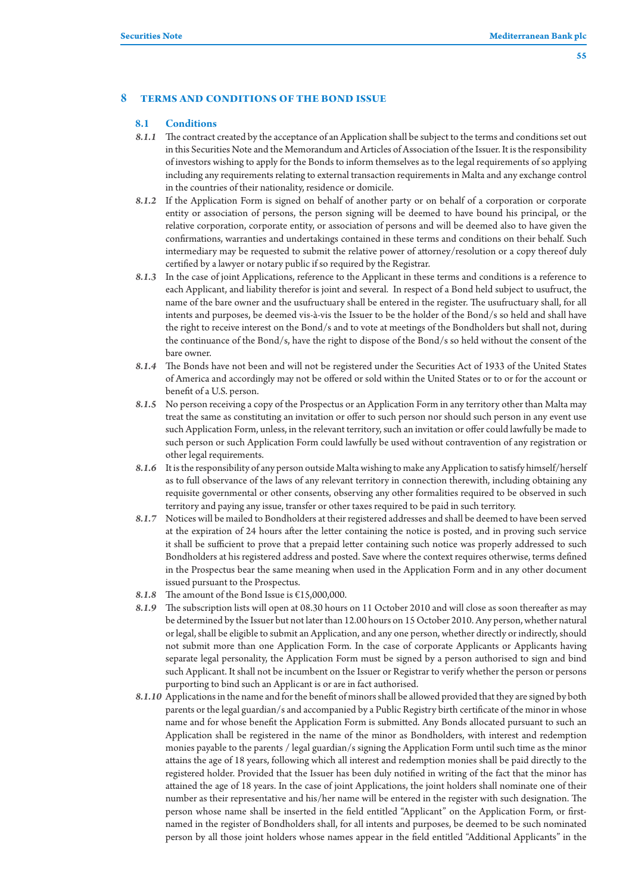# **8 Terms and Conditions of the Bond Issue**

## **8.1 Conditions**

- *8.1.1* The contract created by the acceptance of an Application shall be subject to the terms and conditions set out in this Securities Note and the Memorandum and Articles of Association of the Issuer. It is the responsibility of investors wishing to apply for the Bonds to inform themselves as to the legal requirements of so applying including any requirements relating to external transaction requirements in Malta and any exchange control in the countries of their nationality, residence or domicile.
- *8.1.2* If the Application Form is signed on behalf of another party or on behalf of a corporation or corporate entity or association of persons, the person signing will be deemed to have bound his principal, or the relative corporation, corporate entity, or association of persons and will be deemed also to have given the confirmations, warranties and undertakings contained in these terms and conditions on their behalf. Such intermediary may be requested to submit the relative power of attorney/resolution or a copy thereof duly certified by a lawyer or notary public if so required by the Registrar.
- *8.1.3* In the case of joint Applications, reference to the Applicant in these terms and conditions is a reference to each Applicant, and liability therefor is joint and several. In respect of a Bond held subject to usufruct, the name of the bare owner and the usufructuary shall be entered in the register. The usufructuary shall, for all intents and purposes, be deemed vis-à-vis the Issuer to be the holder of the Bond/s so held and shall have the right to receive interest on the Bond/s and to vote at meetings of the Bondholders but shall not, during the continuance of the Bond/s, have the right to dispose of the Bond/s so held without the consent of the bare owner.
- *8.1.4* The Bonds have not been and will not be registered under the Securities Act of 1933 of the United States of America and accordingly may not be offered or sold within the United States or to or for the account or benefit of a U.S. person.
- *8.1.5* No person receiving a copy of the Prospectus or an Application Form in any territory other than Malta may treat the same as constituting an invitation or offer to such person nor should such person in any event use such Application Form, unless, in the relevant territory, such an invitation or offer could lawfully be made to such person or such Application Form could lawfully be used without contravention of any registration or other legal requirements.
- *8.1.6* It is the responsibility of any person outside Malta wishing to make any Application to satisfy himself/herself as to full observance of the laws of any relevant territory in connection therewith, including obtaining any requisite governmental or other consents, observing any other formalities required to be observed in such territory and paying any issue, transfer or other taxes required to be paid in such territory.
- *8.1.7* Notices will be mailed to Bondholders at their registered addresses and shall be deemed to have been served at the expiration of 24 hours after the letter containing the notice is posted, and in proving such service it shall be sufficient to prove that a prepaid letter containing such notice was properly addressed to such Bondholders at his registered address and posted. Save where the context requires otherwise, terms defined in the Prospectus bear the same meaning when used in the Application Form and in any other document issued pursuant to the Prospectus.
- *8.1.8* The amount of the Bond Issue is €15,000,000.
- *8.1.9* The subscription lists will open at 08.30 hours on 11 October 2010 and will close as soon thereafter as may be determined by the Issuer but not later than 12.00 hours on 15 October 2010. Any person, whether natural or legal, shall be eligible to submit an Application, and any one person, whether directly or indirectly, should not submit more than one Application Form. In the case of corporate Applicants or Applicants having separate legal personality, the Application Form must be signed by a person authorised to sign and bind such Applicant. It shall not be incumbent on the Issuer or Registrar to verify whether the person or persons purporting to bind such an Applicant is or are in fact authorised.
- *8.1.10* Applications in the name and for the benefit of minors shall be allowed provided that they are signed by both parents or the legal guardian/s and accompanied by a Public Registry birth certificate of the minor in whose name and for whose benefit the Application Form is submitted. Any Bonds allocated pursuant to such an Application shall be registered in the name of the minor as Bondholders, with interest and redemption monies payable to the parents / legal guardian/s signing the Application Form until such time as the minor attains the age of 18 years, following which all interest and redemption monies shall be paid directly to the registered holder. Provided that the Issuer has been duly notified in writing of the fact that the minor has attained the age of 18 years. In the case of joint Applications, the joint holders shall nominate one of their number as their representative and his/her name will be entered in the register with such designation. The person whose name shall be inserted in the field entitled "Applicant" on the Application Form, or firstnamed in the register of Bondholders shall, for all intents and purposes, be deemed to be such nominated person by all those joint holders whose names appear in the field entitled "Additional Applicants" in the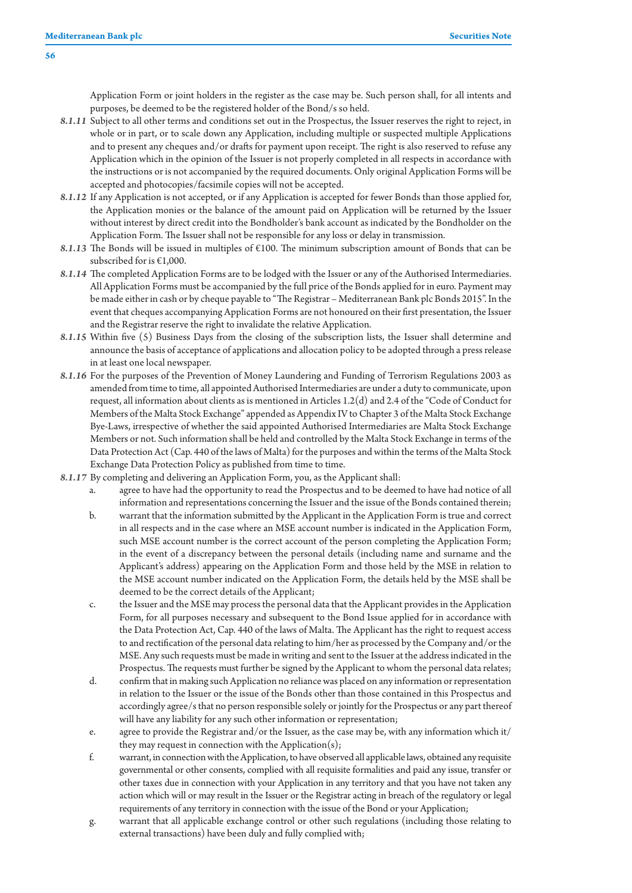Application Form or joint holders in the register as the case may be. Such person shall, for all intents and purposes, be deemed to be the registered holder of the Bond/s so held.

- *8.1.11* Subject to all other terms and conditions set out in the Prospectus, the Issuer reserves the right to reject, in whole or in part, or to scale down any Application, including multiple or suspected multiple Applications and to present any cheques and/or drafts for payment upon receipt. The right is also reserved to refuse any Application which in the opinion of the Issuer is not properly completed in all respects in accordance with the instructions or is not accompanied by the required documents. Only original Application Forms will be accepted and photocopies/facsimile copies will not be accepted.
- *8.1.12* If any Application is not accepted, or if any Application is accepted for fewer Bonds than those applied for, the Application monies or the balance of the amount paid on Application will be returned by the Issuer without interest by direct credit into the Bondholder's bank account as indicated by the Bondholder on the Application Form. The Issuer shall not be responsible for any loss or delay in transmission.
- *8.1.13* The Bonds will be issued in multiples of €100. The minimum subscription amount of Bonds that can be subscribed for is €1,000.
- *8.1.14* The completed Application Forms are to be lodged with the Issuer or any of the Authorised Intermediaries. All Application Forms must be accompanied by the full price of the Bonds applied for in euro. Payment may be made either in cash or by cheque payable to "The Registrar – Mediterranean Bank plc Bonds 2015". In the event that cheques accompanying Application Forms are not honoured on their first presentation, the Issuer and the Registrar reserve the right to invalidate the relative Application.
- *8.1.15* Within five (5) Business Days from the closing of the subscription lists, the Issuer shall determine and announce the basis of acceptance of applications and allocation policy to be adopted through a press release in at least one local newspaper.
- *8.1.16* For the purposes of the Prevention of Money Laundering and Funding of Terrorism Regulations 2003 as amended from time to time, all appointed Authorised Intermediaries are under a duty to communicate, upon request, all information about clients as is mentioned in Articles 1.2(d) and 2.4 of the "Code of Conduct for Members of the Malta Stock Exchange" appended as Appendix IV to Chapter 3 of the Malta Stock Exchange Bye-Laws, irrespective of whether the said appointed Authorised Intermediaries are Malta Stock Exchange Members or not. Such information shall be held and controlled by the Malta Stock Exchange in terms of the Data Protection Act (Cap. 440 of the laws of Malta) for the purposes and within the terms of the Malta Stock Exchange Data Protection Policy as published from time to time.
- *8.1.17* By completing and delivering an Application Form, you, as the Applicant shall:
	- a. agree to have had the opportunity to read the Prospectus and to be deemed to have had notice of all information and representations concerning the Issuer and the issue of the Bonds contained therein;
	- b. warrant that the information submitted by the Applicant in the Application Form is true and correct in all respects and in the case where an MSE account number is indicated in the Application Form, such MSE account number is the correct account of the person completing the Application Form; in the event of a discrepancy between the personal details (including name and surname and the Applicant's address) appearing on the Application Form and those held by the MSE in relation to the MSE account number indicated on the Application Form, the details held by the MSE shall be deemed to be the correct details of the Applicant;
	- c. the Issuer and the MSE may process the personal data that the Applicant provides in the Application Form, for all purposes necessary and subsequent to the Bond Issue applied for in accordance with the Data Protection Act, Cap. 440 of the laws of Malta. The Applicant has the right to request access to and rectification of the personal data relating to him/her as processed by the Company and/or the MSE. Any such requests must be made in writing and sent to the Issuer at the address indicated in the Prospectus. The requests must further be signed by the Applicant to whom the personal data relates;
	- d. confirm that in making such Application no reliance was placed on any information or representation in relation to the Issuer or the issue of the Bonds other than those contained in this Prospectus and accordingly agree/s that no person responsible solely or jointly for the Prospectus or any part thereof will have any liability for any such other information or representation;
	- e. agree to provide the Registrar and/or the Issuer, as the case may be, with any information which it/ they may request in connection with the Application $(s)$ ;
	- f. warrant, in connection with the Application, to have observed all applicable laws, obtained any requisite governmental or other consents, complied with all requisite formalities and paid any issue, transfer or other taxes due in connection with your Application in any territory and that you have not taken any action which will or may result in the Issuer or the Registrar acting in breach of the regulatory or legal requirements of any territory in connection with the issue of the Bond or your Application;
	- g. warrant that all applicable exchange control or other such regulations (including those relating to external transactions) have been duly and fully complied with;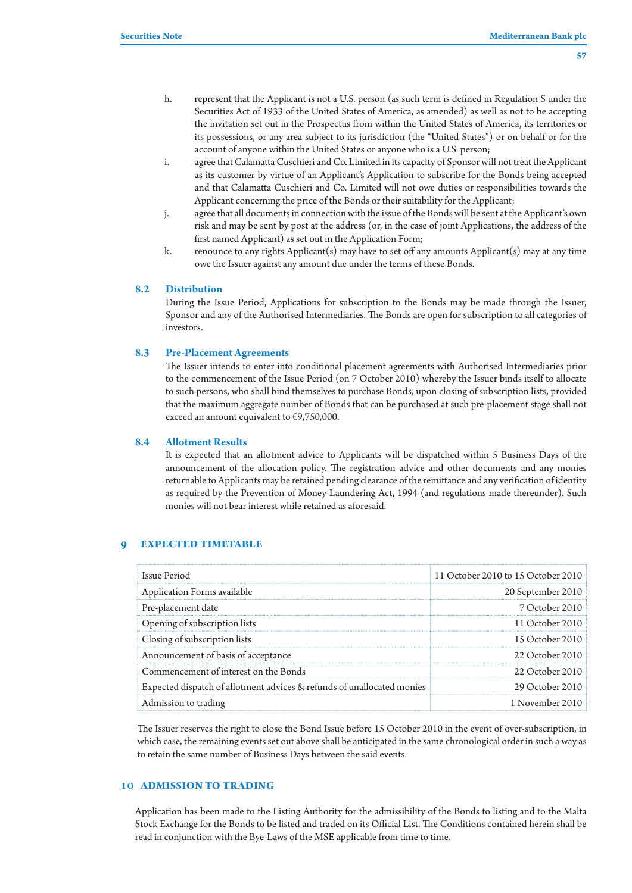- h. represent that the Applicant is not a U.S. person (as such term is defined in Regulation S under the Securities Act of 1933 of the United States of America, as amended) as well as not to be accepting the invitation set out in the Prospectus from within the United States of America, its territories or its possessions, or any area subject to its jurisdiction (the "United States") or on behalf or for the account of anyone within the United States or anyone who is a U.S. person;
- i. agree that Calamatta Cuschieri and Co. Limited in its capacity of Sponsor will not treat the Applicant as its customer by virtue of an Applicant's Application to subscribe for the Bonds being accepted and that Calamatta Cuschieri and Co. Limited will not owe duties or responsibilities towards the Applicant concerning the price of the Bonds or their suitability for the Applicant;
- j. agree that all documents in connection with the issue of the Bonds will be sent at the Applicant's own risk and may be sent by post at the address (or, in the case of joint Applications, the address of the first named Applicant) as set out in the Application Form;
- k. renounce to any rights Applicant(s) may have to set off any amounts Applicant(s) may at any time owe the Issuer against any amount due under the terms of these Bonds.

## **8.2 Distribution**

During the Issue Period, Applications for subscription to the Bonds may be made through the Issuer, Sponsor and any of the Authorised Intermediaries. The Bonds are open for subscription to all categories of investors.

## **8.3 Pre-Placement Agreements**

The Issuer intends to enter into conditional placement agreements with Authorised Intermediaries prior to the commencement of the Issue Period (on 7 October 2010) whereby the Issuer binds itself to allocate to such persons, who shall bind themselves to purchase Bonds, upon closing of subscription lists, provided that the maximum aggregate number of Bonds that can be purchased at such pre-placement stage shall not exceed an amount equivalent to €9,750,000.

### **8.4 Allotment Results**

It is expected that an allotment advice to Applicants will be dispatched within 5 Business Days of the announcement of the allocation policy. The registration advice and other documents and any monies returnable to Applicants may be retained pending clearance of the remittance and any verification of identity as required by the Prevention of Money Laundering Act, 1994 (and regulations made thereunder). Such monies will not bear interest while retained as aforesaid.

## **9 Expected Timetable**

| Issue Period                                                           | 11 October 2010 to 15 October 2010 |
|------------------------------------------------------------------------|------------------------------------|
| Application Forms available                                            | 20 September 2010                  |
| Pre-placement date                                                     | 7 October 2010                     |
| Opening of subscription lists                                          | 11 October 2010                    |
| Closing of subscription lists                                          | 15 October 2010                    |
| Announcement of basis of acceptance                                    | 22 October 2010                    |
| Commencement of interest on the Bonds                                  | 22 October 2010                    |
| Expected dispatch of allotment advices & refunds of unallocated monies | 29 October 2010                    |
| Admission to trading                                                   | 1 November 2010                    |

The Issuer reserves the right to close the Bond Issue before 15 October 2010 in the event of over-subscription, in which case, the remaining events set out above shall be anticipated in the same chronological order in such a way as to retain the same number of Business Days between the said events.

## **10 Admission to Trading**

Application has been made to the Listing Authority for the admissibility of the Bonds to listing and to the Malta Stock Exchange for the Bonds to be listed and traded on its Official List. The Conditions contained herein shall be read in conjunction with the Bye-Laws of the MSE applicable from time to time.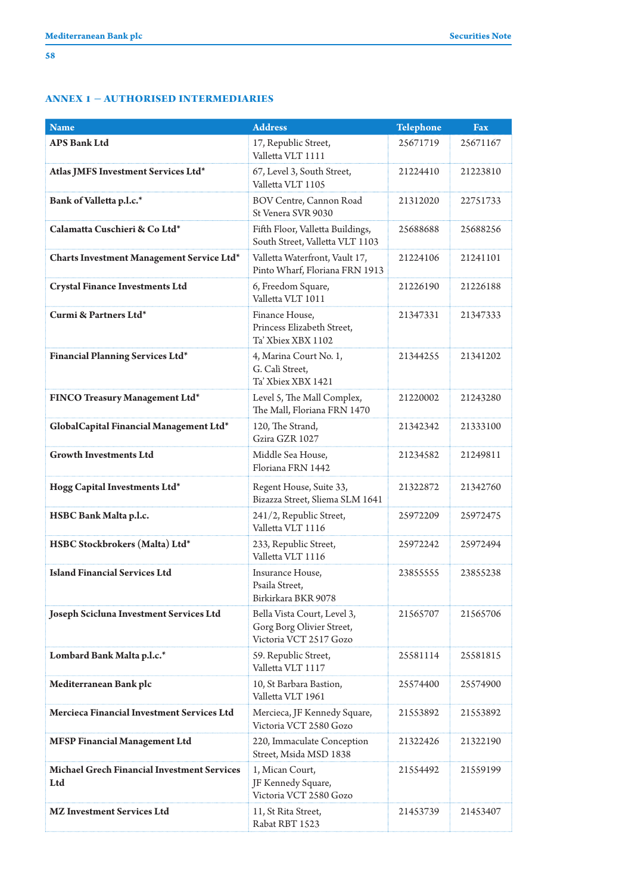# **Annex 1 – Authorised Intermediaries**

| <b>Name</b>                                               | <b>Address</b>                                                                     | <b>Telephone</b> | Fax      |
|-----------------------------------------------------------|------------------------------------------------------------------------------------|------------------|----------|
| <b>APS Bank Ltd</b>                                       | 17, Republic Street,<br>Valletta VLT 1111                                          | 25671719         | 25671167 |
| Atlas JMFS Investment Services Ltd*                       | 67, Level 3, South Street,<br>Valletta VLT 1105                                    | 21224410         | 21223810 |
| Bank of Valletta p.l.c.*                                  | BOV Centre, Cannon Road<br>St Venera SVR 9030                                      | 21312020         | 22751733 |
| Calamatta Cuschieri & Co Ltd*                             | Fifth Floor, Valletta Buildings,<br>South Street, Valletta VLT 1103                | 25688688         | 25688256 |
| Charts Investment Management Service Ltd*                 | Valletta Waterfront, Vault 17,<br>Pinto Wharf, Floriana FRN 1913                   | 21224106         | 21241101 |
| <b>Crystal Finance Investments Ltd</b>                    | 6, Freedom Square,<br>Valletta VLT 1011                                            | 21226190         | 21226188 |
| Curmi & Partners Ltd*                                     | Finance House,<br>Princess Elizabeth Street,<br>Ta' Xbiex XBX 1102                 | 21347331         | 21347333 |
| Financial Planning Services Ltd*                          | 4, Marina Court No. 1,<br>G. Calì Street,<br>Ta' Xbiex XBX 1421                    | 21344255         | 21341202 |
| FINCO Treasury Management Ltd*                            | Level 5, The Mall Complex,<br>The Mall, Floriana FRN 1470                          | 21220002         | 21243280 |
| GlobalCapital Financial Management Ltd*                   | 120, The Strand,<br>Gzira GZR 1027                                                 | 21342342         | 21333100 |
| <b>Growth Investments Ltd</b>                             | Middle Sea House,<br>Floriana FRN 1442                                             | 21234582         | 21249811 |
| Hogg Capital Investments Ltd*                             | Regent House, Suite 33,<br>Bizazza Street, Sliema SLM 1641                         | 21322872         | 21342760 |
| HSBC Bank Malta p.l.c.                                    | 241/2, Republic Street,<br>Valletta VLT 1116                                       | 25972209         | 25972475 |
| HSBC Stockbrokers (Malta) Ltd*                            | 233, Republic Street,<br>Valletta VLT 1116                                         | 25972242         | 25972494 |
| <b>Island Financial Services Ltd</b>                      | Insurance House,<br>Psaila Street,<br>Birkirkara BKR 9078                          | 23855555         | 23855238 |
| Joseph Scicluna Investment Services Ltd                   | Bella Vista Court, Level 3,<br>Gorg Borg Olivier Street,<br>Victoria VCT 2517 Gozo | 21565707         | 21565706 |
| Lombard Bank Malta p.l.c.*                                | 59. Republic Street,<br>Valletta VLT 1117                                          | 25581114         | 25581815 |
| Mediterranean Bank plc                                    | 10, St Barbara Bastion,<br>Valletta VLT 1961                                       | 25574400         | 25574900 |
| <b>Mercieca Financial Investment Services Ltd</b>         | Mercieca, JF Kennedy Square,<br>Victoria VCT 2580 Gozo                             | 21553892         | 21553892 |
| <b>MFSP Financial Management Ltd</b>                      | 220, Immaculate Conception<br>Street, Msida MSD 1838                               | 21322426         | 21322190 |
| <b>Michael Grech Financial Investment Services</b><br>Ltd | 1, Mican Court,<br>JF Kennedy Square,<br>Victoria VCT 2580 Gozo                    | 21554492         | 21559199 |
| <b>MZ Investment Services Ltd</b>                         | 11, St Rita Street,<br>Rabat RBT 1523                                              | 21453739         | 21453407 |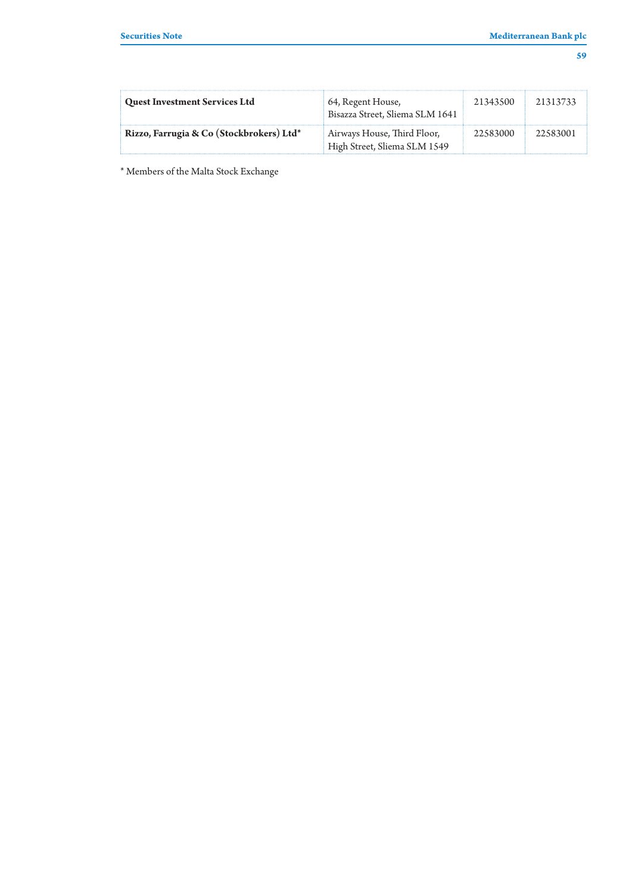| Quest Investment Services Ltd            | 64, Regent House,<br>Bisazza Street, Sliema SLM 1641        | 21343500 | 21313733 |
|------------------------------------------|-------------------------------------------------------------|----------|----------|
| Rizzo, Farrugia & Co (Stockbrokers) Ltd* | Airways House, Third Floor,<br>High Street, Sliema SLM 1549 | 22583000 | 22583001 |

\* Members of the Malta Stock Exchange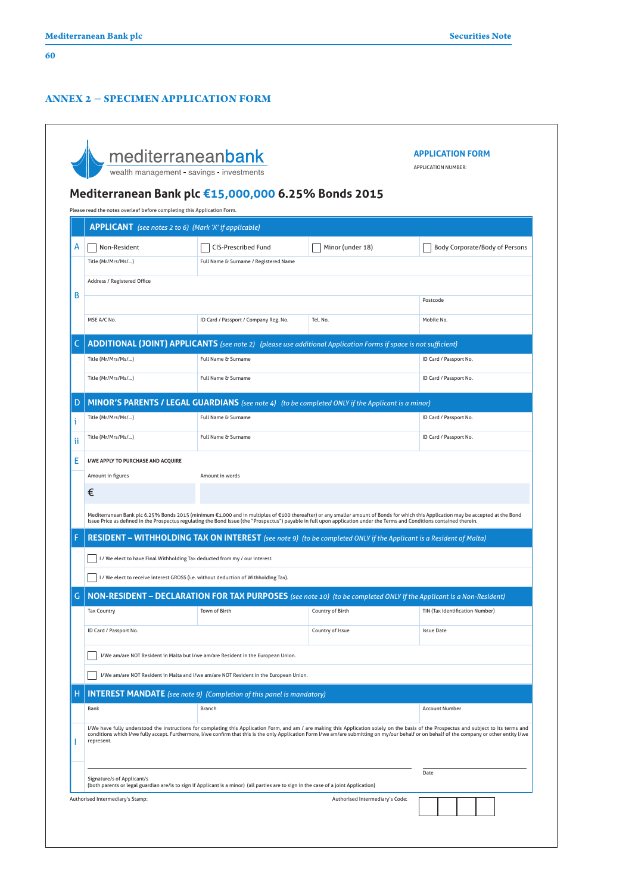# **Annex 2 – Specimen Application Form**

|    | Please read the notes overleaf before completing this Application Form.                                                                                                                                                                                                                                                                                                                                  | Mediterranean Bank plc €15,000,000 6.25% Bonds 2015                                                                                                                                                                                                                                            |                  |                                                                                                                                                                                    |
|----|----------------------------------------------------------------------------------------------------------------------------------------------------------------------------------------------------------------------------------------------------------------------------------------------------------------------------------------------------------------------------------------------------------|------------------------------------------------------------------------------------------------------------------------------------------------------------------------------------------------------------------------------------------------------------------------------------------------|------------------|------------------------------------------------------------------------------------------------------------------------------------------------------------------------------------|
|    | <b>APPLICANT</b> (see notes 2 to 6) (Mark 'X' if applicable)                                                                                                                                                                                                                                                                                                                                             |                                                                                                                                                                                                                                                                                                |                  |                                                                                                                                                                                    |
| А  | Non-Resident                                                                                                                                                                                                                                                                                                                                                                                             | <b>CIS-Prescribed Fund</b>                                                                                                                                                                                                                                                                     | Minor (under 18) | Body Corporate/Body of Persons                                                                                                                                                     |
|    | Title (Mr/Mrs/Ms/)                                                                                                                                                                                                                                                                                                                                                                                       | Full Name & Surname / Registered Name                                                                                                                                                                                                                                                          |                  |                                                                                                                                                                                    |
|    | Address / Registered Office                                                                                                                                                                                                                                                                                                                                                                              |                                                                                                                                                                                                                                                                                                |                  |                                                                                                                                                                                    |
| B  |                                                                                                                                                                                                                                                                                                                                                                                                          |                                                                                                                                                                                                                                                                                                |                  | Postcode                                                                                                                                                                           |
|    | MSE A/C No.                                                                                                                                                                                                                                                                                                                                                                                              | ID Card / Passport / Company Reg. No.                                                                                                                                                                                                                                                          | Tel. No.         | Mobile No.                                                                                                                                                                         |
| C  |                                                                                                                                                                                                                                                                                                                                                                                                          | <b>ADDITIONAL (JOINT) APPLICANTS</b> (see note 2) (please use additional Application Forms if space is not sufficient)                                                                                                                                                                         |                  |                                                                                                                                                                                    |
|    | Title (Mr/Mrs/Ms/)                                                                                                                                                                                                                                                                                                                                                                                       | Full Name & Surname                                                                                                                                                                                                                                                                            |                  | ID Card / Passport No.                                                                                                                                                             |
|    | Title (Mr/Mrs/Ms/)                                                                                                                                                                                                                                                                                                                                                                                       | Full Name & Surname                                                                                                                                                                                                                                                                            |                  | ID Card / Passport No.                                                                                                                                                             |
| D  |                                                                                                                                                                                                                                                                                                                                                                                                          | MINOR'S PARENTS / LEGAL GUARDIANS (see note 4) (to be completed ONLY if the Applicant is a minor)                                                                                                                                                                                              |                  |                                                                                                                                                                                    |
| i  | Title (Mr/Mrs/Ms/)                                                                                                                                                                                                                                                                                                                                                                                       | Full Name & Surname                                                                                                                                                                                                                                                                            |                  | ID Card / Passport No.                                                                                                                                                             |
| ii | Title (Mr/Mrs/Ms/)                                                                                                                                                                                                                                                                                                                                                                                       | Full Name & Surname                                                                                                                                                                                                                                                                            |                  | ID Card / Passport No.                                                                                                                                                             |
| Е  | I/WE APPLY TO PURCHASE AND ACQUIRE                                                                                                                                                                                                                                                                                                                                                                       |                                                                                                                                                                                                                                                                                                |                  |                                                                                                                                                                                    |
|    | Amount in figures                                                                                                                                                                                                                                                                                                                                                                                        | Amount in words                                                                                                                                                                                                                                                                                |                  |                                                                                                                                                                                    |
|    | €                                                                                                                                                                                                                                                                                                                                                                                                        |                                                                                                                                                                                                                                                                                                |                  |                                                                                                                                                                                    |
|    |                                                                                                                                                                                                                                                                                                                                                                                                          |                                                                                                                                                                                                                                                                                                |                  | Mediterranean Bank plc 6.25% Bonds 2015 (minimum €1,000 and in multiples of €100 thereafter) or any smaller amount of Bonds for which this Application may be accepted at the Bond |
|    |                                                                                                                                                                                                                                                                                                                                                                                                          | Issue Price as defined in the Prospectus regulating the Bond Issue (the "Prospectus") payable in full upon application under the Terms and Conditions contained therein.<br>RESIDENT - WITHHOLDING TAX ON INTEREST (see note 9) (to be completed ONLY if the Applicant is a Resident of Malta) |                  |                                                                                                                                                                                    |
|    |                                                                                                                                                                                                                                                                                                                                                                                                          |                                                                                                                                                                                                                                                                                                |                  |                                                                                                                                                                                    |
|    | I / We elect to have Final Withholding Tax deducted from my / our interest.                                                                                                                                                                                                                                                                                                                              |                                                                                                                                                                                                                                                                                                |                  |                                                                                                                                                                                    |
|    | I / We elect to receive interest GROSS (i.e. without deduction of Withholding Tax).                                                                                                                                                                                                                                                                                                                      |                                                                                                                                                                                                                                                                                                |                  |                                                                                                                                                                                    |
| G  | <b>Tax Country</b>                                                                                                                                                                                                                                                                                                                                                                                       | <b>NON-RESIDENT - DECLARATION FOR TAX PURPOSES</b> (see note 10) (to be completed ONLY if the Applicant is a Non-Resident)<br>Town of Birth                                                                                                                                                    | Country of Birth | TIN (Tax Identification Number)                                                                                                                                                    |
|    |                                                                                                                                                                                                                                                                                                                                                                                                          |                                                                                                                                                                                                                                                                                                |                  |                                                                                                                                                                                    |
|    | ID Card / Passport No.                                                                                                                                                                                                                                                                                                                                                                                   |                                                                                                                                                                                                                                                                                                | Country of Issue | <b>Issue Date</b>                                                                                                                                                                  |
|    | I/We am/are NOT Resident in Malta but I/we am/are Resident in the European Union.                                                                                                                                                                                                                                                                                                                        |                                                                                                                                                                                                                                                                                                |                  |                                                                                                                                                                                    |
|    | I/We am/are NOT Resident in Malta and I/we am/are NOT Resident in the European Union.                                                                                                                                                                                                                                                                                                                    |                                                                                                                                                                                                                                                                                                |                  |                                                                                                                                                                                    |
| Н  | <b>INTEREST MANDATE</b> (see note 9) (Completion of this panel is mandatory)                                                                                                                                                                                                                                                                                                                             |                                                                                                                                                                                                                                                                                                |                  |                                                                                                                                                                                    |
|    | Bank                                                                                                                                                                                                                                                                                                                                                                                                     | Branch                                                                                                                                                                                                                                                                                         |                  | <b>Account Number</b>                                                                                                                                                              |
|    | I/We have fully understood the instructions for completing this Application Form, and am / are making this Application solely on the basis of the Prospectus and subject to its terms and<br>conditions which I/we fully accept. Furthermore, I/we confirm that this is the only Application Form I/we am/are submitting on my/our behalf or on behalf of the company or other entity I/we<br>represent. |                                                                                                                                                                                                                                                                                                |                  |                                                                                                                                                                                    |
|    | Date                                                                                                                                                                                                                                                                                                                                                                                                     |                                                                                                                                                                                                                                                                                                |                  |                                                                                                                                                                                    |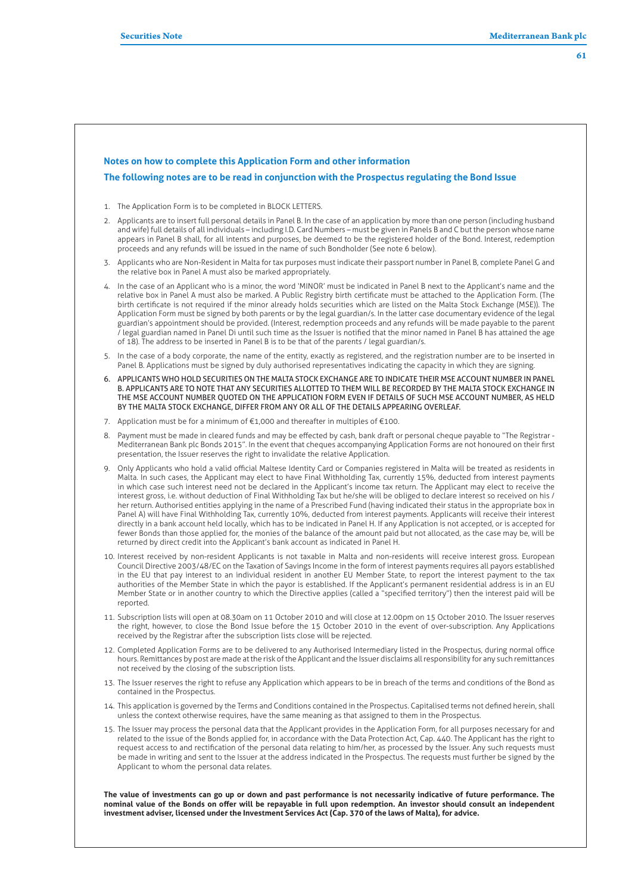# **Notes on how to complete this Application Form and other information The following notes are to be read in conjunction with the Prospectus regulating the Bond Issue**

- 1. The Application Form is to be completed in BLOCK LETTERS.
- 2. Applicants are to insert full personal details in Panel B. In the case of an application by more than one person (including husband and wife) full details of all individuals – including I.D. Card Numbers – must be given in Panels B and C but the person whose name appears in Panel B shall, for all intents and purposes, be deemed to be the registered holder of the Bond. Interest, redemption proceeds and any refunds will be issued in the name of such Bondholder (See note 6 below).
- 3. Applicants who are Non-Resident in Malta for tax purposes must indicate their passport number in Panel B, complete Panel G and the relative box in Panel A must also be marked appropriately.
- 4. In the case of an Applicant who is a minor, the word 'MINOR' must be indicated in Panel B next to the Applicant's name and the relative box in Panel A must also be marked. A Public Registry birth certificate must be attached to the Application Form. (The birth certificate is not required if the minor already holds securities which are listed on the Malta Stock Exchange (MSE)). The Application Form must be signed by both parents or by the legal guardian/s. In the latter case documentary evidence of the legal guardian's appointment should be provided. (Interest, redemption proceeds and any refunds will be made payable to the parent / legal guardian named in Panel Di until such time as the Issuer is notified that the minor named in Panel B has attained the age of 18). The address to be inserted in Panel B is to be that of the parents / legal guardian/s.
- 5. In the case of a body corporate, the name of the entity, exactly as registered, and the registration number are to be inserted in Panel B. Applications must be signed by duly authorised representatives indicating the capacity in which they are signing.
- 6. APPLICANTS WHO HOLD SECURITIES ON THE MALTA STOCK EXCHANGE ARE TO INDICATE THEIR MSE ACCOUNT NUMBER IN PANEL B. APPLICANTS ARE TO NOTE THAT ANY SECURITIES ALLOTTED TO THEM WILL BE RECORDED BY THE MALTA STOCK EXCHANGE IN THE MSE ACCOUNT NUMBER QUOTED ON THE APPLICATION FORM EVEN IF DETAILS OF SUCH MSE ACCOUNT NUMBER, AS HELD BY THE MALTA STOCK EXCHANGE, DIFFER FROM ANY OR ALL OF THE DETAILS APPEARING OVERLEAF.
- 7. Application must be for a minimum of  $\epsilon$ 1,000 and thereafter in multiples of  $\epsilon$ 100
- 8. Payment must be made in cleared funds and may be effected by cash, bank draft or personal cheque payable to "The Registrar -Mediterranean Bank plc Bonds 2015". In the event that cheques accompanying Application Forms are not honoured on their first presentation, the Issuer reserves the right to invalidate the relative Application.
- 9. Only Applicants who hold a valid official Maltese Identity Card or Companies registered in Malta will be treated as residents in Malta. In such cases, the Applicant may elect to have Final Withholding Tax, currently 15%, deducted from interest payments in which case such interest need not be declared in the Applicant's income tax return. The Applicant may elect to receive the interest gross, i.e. without deduction of Final Withholding Tax but he/she will be obliged to declare interest so received on his / her return. Authorised entities applying in the name of a Prescribed Fund (having indicated their status in the appropriate box in Panel A) will have Final Withholding Tax, currently 10%, deducted from interest payments. Applicants will receive their interest directly in a bank account held locally, which has to be indicated in Panel H. If any Application is not accepted, or is accepted for fewer Bonds than those applied for, the monies of the balance of the amount paid but not allocated, as the case may be, will be returned by direct credit into the Applicant's bank account as indicated in Panel H.
- 10. Interest received by non-resident Applicants is not taxable in Malta and non-residents will receive interest gross. European Council Directive 2003/48/EC on the Taxation of Savings Income in the form of interest payments requires all payors established in the EU that pay interest to an individual resident in another EU Member State, to report the interest payment to the tax authorities of the Member State in which the payor is established. If the Applicant's permanent residential address is in an EU Member State or in another country to which the Directive applies (called a "specified territory") then the interest paid will be reported.
- 11. Subscription lists will open at 08.30am on 11 October 2010 and will close at 12.00pm on 15 October 2010. The Issuer reserves the right, however, to close the Bond Issue before the 15 October 2010 in the event of over-subscription. Any Applications received by the Registrar after the subscription lists close will be rejected.
- 12. Completed Application Forms are to be delivered to any Authorised Intermediary listed in the Prospectus, during normal office hours. Remittances by post are made at the risk of the Applicant and the Issuer disclaims all responsibility for any such remittances not received by the closing of the subscription lists.
- 13. The Issuer reserves the right to refuse any Application which appears to be in breach of the terms and conditions of the Bond as contained in the Prospectus.
- 14. This application is governed by the Terms and Conditions contained in the Prospectus. Capitalised terms not defined herein, shall unless the context otherwise requires, have the same meaning as that assigned to them in the Prospectus.
- 15. The Issuer may process the personal data that the Applicant provides in the Application Form, for all purposes necessary for and related to the issue of the Bonds applied for, in accordance with the Data Protection Act, Cap. 440. The Applicant has the right to request access to and rectification of the personal data relating to him/her, as processed by the Issuer. Any such requests must be made in writing and sent to the Issuer at the address indicated in the Prospectus. The requests must further be signed by the Applicant to whom the personal data relates.

**The value of investments can go up or down and past performance is not necessarily indicative of future performance. The nominal value of the Bonds on offer will be repayable in full upon redemption. An investor should consult an independent investment adviser, licensed under the Investment Services Act (Cap. 370 of the laws of Malta), for advice.**